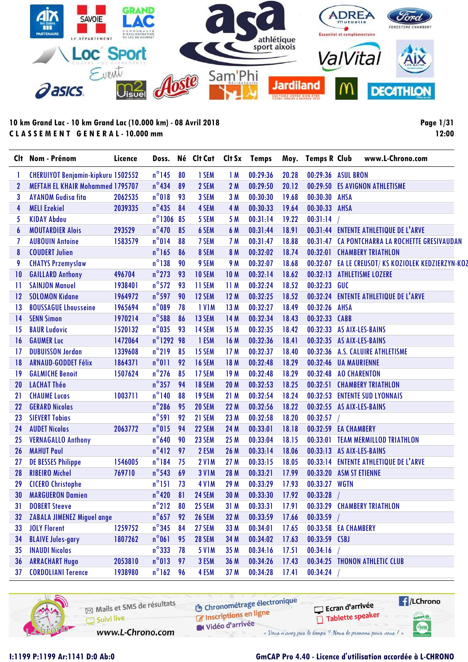

**Page 1/31 12:00**

| Clt             | Nom - Prénom                              | Licence | Doss.           |    | Né Clt Cat    | Clt Sx          | <b>Temps</b> |       | Moy. Temps R Club | www.L-Chrono.com                         |
|-----------------|-------------------------------------------|---------|-----------------|----|---------------|-----------------|--------------|-------|-------------------|------------------------------------------|
|                 | <b>CHERUIYOT Benjamin-kipkuru 1502552</b> |         | $n^{\circ}$ 145 | 80 | 1 SEM         | 1M              | 00:29:36     | 20.28 |                   | 00:29:36 ASUL BRON                       |
| 2               | <b>MEFTAH EL KHAIR Mohammed 1795707</b>   |         | $n^{\circ}$ 434 | 89 | 2 SEM         | 2M              | 00:29:50     | 20.12 | 00:29:50          | <b>ES AVIGNON ATHLETISME</b>             |
| 3               | <b>AYANOM Gudisa fita</b>                 | 2062535 | $n^{\circ}018$  | 93 | 3 SEM         | 3M              | 00:30:30     | 19.68 | 00:30:30          | <b>AHSA</b>                              |
| 4               | <b>MELI Ezekiel</b>                       | 2039335 | $n^{\circ}$ 435 | 84 | 4 SEM         | 4 M             | 00:30:33     | 19.64 | 00:30:33          | <b>AHSA</b>                              |
| 5               | <b>KIDAY Abdou</b>                        |         | n°1306 85       |    | 5 SEM         | 5 M             | 00:31:14     | 19.22 | 00:31:14          |                                          |
| 6               | <b>MOUTARDIER Alois</b>                   | 293529  | $n^{\circ}470$  | 85 | 6 SEM         | 6 M             | 00:31:44     | 18.91 |                   | 00:31:44 ENTENTE ATHLETIQUE DE L'ARVE    |
| 7               | <b>AUBOUIN Antoine</b>                    | 1583579 | $n^{\circ}014$  | 88 | 7 SEM         | 7 M             | 00:31:47     | 18.88 | 00:31:47          | CA PONTCHARRA LA ROCHETTE GRESIVAUDAN    |
| 8               | <b>COUDERT Julien</b>                     |         | $n^{\circ}$ 165 | 86 | 8 SEM         | 8 M             | 00:32:02     | 18.74 | 00:32:01          | <b>CHAMBERY TRIATHLON</b>                |
| 9               | <b>CHATYS Przemyslaw</b>                  |         | $n^{\circ}138$  | 90 | 9 SEM         | 9 M             | 00:32:07     | 18.68 | 00:32:07          | EA LE CREUSOT/KS KOZIOLEK KEDZIERZYN-KOZ |
| $\overline{10}$ | <b>GAILLARD Anthony</b>                   | 496704  | $n^{\circ}$ 273 | 93 | 10 SEM        | 10 <sub>M</sub> | 00:32:14     | 18.62 | 00:32:13          | <b>ATHLETISME LOZERE</b>                 |
| 11              | <b>SAINJON Manuel</b>                     | 1938401 | $n^{\circ}572$  | 93 | 11 SEM        | 11M             | 00:32:24     | 18.52 | 00:32:23          | <b>GUC</b>                               |
| 12              | <b>SOLOMON Kidane</b>                     | 1964972 | $n^{\circ}$ 597 | 90 | 12 SEM        | 12M             | 00:32:25     | 18.52 | 00:32:24          | <b>ENTENTE ATHLETIQUE DE L'ARVE</b>      |
| 13              | <b>BOUSSAGUE Lhousseine</b>               | 1965694 | $n^{\circ}089$  | 78 | <b>IVIM</b>   | 13 M            | 00:32:27     | 18.49 | 00:32:26          | <b>AHSA</b>                              |
| 14              | <b>SENN Simon</b>                         | 1970214 | $n^{\circ}$ 588 | 86 | 13 SEM        | 14 M            | 00:32:34     | 18.43 | 00:32:33          | <b>CABB</b>                              |
| 15              | <b>BAUR Ludovic</b>                       | 1520132 | $n^{\circ}$ 035 | 93 | 14 SEM        | 15 M            | 00:32:35     | 18.42 | 00:32:33          | AS AIX-LES-BAINS                         |
| 16              | <b>GAUMER Luc</b>                         | 1472064 | n°1292 98       |    | 1 ESM         | 16 M            | 00:32:36     | 18.41 | 00:32:35          | AS AIX-LES-BAINS                         |
| 17              | <b>DUBUISSON Jordan</b>                   | 1339608 | $n^{\circ}$ 219 | 85 | 15 SEM        | 17M             | 00:32:37     | 18.40 | 00:32:36          | A.S. CALUIRE ATHLETISME                  |
| 18              | <b>ARNAUD-GODDET Félix</b>                | 1864371 | $n^{\circ}011$  | 92 | 16 SEM        | 18 M            | 00:32:48     | 18.29 | 00:32:46          | <b>UA MAURIENNE</b>                      |
| 19              | <b>GALMICHE Benoit</b>                    | 1507624 | $n^{\circ}$ 276 | 85 | 17 SEM        | 19 <sub>M</sub> | 00:32:48     | 18.29 | 00:32:48          | <b>AO CHARENTON</b>                      |
| 20              | <b>LACHAT Théo</b>                        |         | $n^{\circ}357$  | 94 | 18 SEM        | 20 M            | 00:32:53     | 18.25 | 00:32:51          | <b>CHAMBERY TRIATHLON</b>                |
| 21              | <b>CHAUME Lucas</b>                       | 1003711 | $n^{\circ}$ 140 | 88 | 19 SEM        | 21M             | 00:32:54     | 18.24 |                   | 00:32:53 ENTENTE SUD LYONNAIS            |
| 22              | <b>GERARD Nicolas</b>                     |         | $n^{\circ}$ 286 | 95 | <b>20 SEM</b> | 22 M            | 00:32:56     | 18.22 |                   | 00:32:55 AS AIX-LES-BAINS                |
| 23              | <b>SIEVERT Tobias</b>                     |         | $n^{\circ}591$  | 92 | 21 SEM        | 23 M            | 00:32:58     | 18.20 | 00:32:57          |                                          |
| 24              | <b>AUDET Nicolas</b>                      | 2063772 | $n^{\circ}015$  | 94 | 22 SEM        | 24 M            | 00:33:01     | 18.18 |                   | 00:32:59 EA CHAMBERY                     |
| 25              | <b>VERNAGALLO Anthony</b>                 |         | $n^{\circ}$ 640 | 90 | 23 SEM        | 25 M            | 00:33:04     | 18.15 | 00:33:01          | <b>TEAM MERMILLOD TRIATHLON</b>          |
| 26              | <b>MAHUT Paul</b>                         |         | $n^{\circ}412$  | 97 | 2 ESM         | 26 M            | 00:33:14     | 18.06 | 00:33:13          | AS AIX-LES-BAINS                         |
| 27              | <b>DE BESSES Philippe</b>                 | 1546005 | $n^{\circ}184$  | 75 | <b>2 V1M</b>  | 27 M            | 00:33:15     | 18.05 | 00:33:14          | <b>ENTENTE ATHLETIQUE DE L'ARVE</b>      |
| 28              | <b>RIBEIRO Michel</b>                     | 769710  | $n^{\circ}$ 543 | 69 | <b>3 V1M</b>  | 28 M            | 00:33:21     | 17.99 | 00:33:20          | <b>ASM ST ETIENNE</b>                    |
| 29              | <b>CICERO Christophe</b>                  |         | $n^{\circ}$ 151 | 73 | <b>4 V1M</b>  | 29 M            | 00:33:29     | 17.93 | 00:33:27          | <b>WGTN</b>                              |
| 30              | <b>MARGUERON Damien</b>                   |         | $n^{\circ}420$  | 81 | 24 SEM        | 30 M            | 00:33:30     | 17.92 | 00:33:28          |                                          |
| 31              | <b>DOBERT Steeve</b>                      |         | $n^{\circ}212$  | 80 | 25 SEM        | 31 M            | 00:33:31     | 17.91 |                   | 00:33:29 CHAMBERY TRIATHLON              |
| 32              | <b>ZABALA JIMENEZ Miguel angel</b>        |         | $n^{\circ}$ 657 | 92 | <b>26 SEM</b> | 32 M            | 00:33:59     | 17.66 | 00:33:59          |                                          |
| 33              | <b>JOLY Florent</b>                       | 1259752 | $n^{\circ}$ 345 | 84 | 27 SEM        | 33 M            | 00:34:01     | 17.65 |                   | 00:33:58 EA CHAMBERY                     |
| 34              | <b>BLAIVE Jules-gary</b>                  | 1807262 | $n^{\circ}061$  | 95 | <b>28 SEM</b> | 34 M            | 00:34:02     | 17.63 | 00:33:59 CSBJ     |                                          |
| 35              | <b>INAUDI Nicolas</b>                     |         | $n^{\circ}$ 333 | 78 | <b>5 V1M</b>  | 35 M            | 00:34:16     | 17.51 | 00:34:16          |                                          |
| 36              | <b>ARRACHART Hugo</b>                     | 2053810 | $n^{\circ}013$  | 97 | 3 ESM         | 36 M            | 00:34:26     | 17.43 |                   | 00:34:25 THONON ATHLETIC CLUB            |
| 37              | <b>CORDOLIANI Terence</b>                 | 1938980 | $n^{\circ}$ 162 | 96 | 4 ESM         | 37 M            | 00:34:28     | 17.41 | 00:34:24          |                                          |

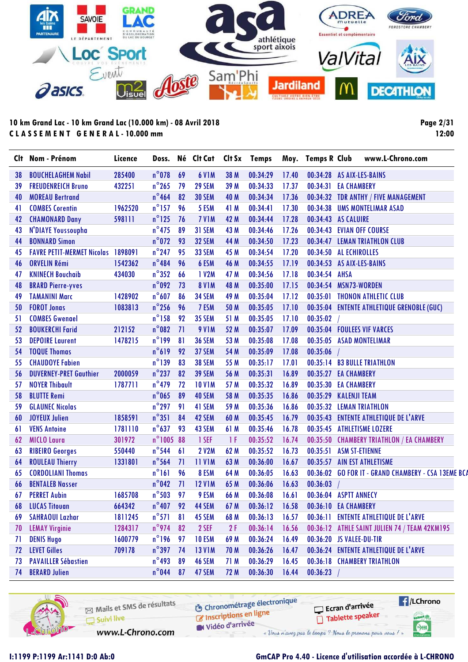

**Page 2/31 12:00**

|    | Clt Nom - Prénom                          | Licence |                 |    | Doss. Né Clt Cat Clt Sx Temps |      |          |       | Moy. Temps R Club | www.L-Chrono.com                                    |
|----|-------------------------------------------|---------|-----------------|----|-------------------------------|------|----------|-------|-------------------|-----------------------------------------------------|
| 38 | <b>BOUCHELAGHEM Nabil</b>                 | 285400  | $n^{\circ}$ 078 | 69 | <b>6 V1M</b>                  | 38 M | 00:34:29 | 17.40 |                   | 00:34:28 AS AIX-LES-BAINS                           |
| 39 | <b>FREUDENREICH Bruno</b>                 | 432251  | $n^{\circ}$ 265 | 79 | 29 SEM                        | 39 M | 00:34:33 | 17.37 |                   | 00:34:31 EA CHAMBERY                                |
| 40 | <b>MOREAU Bertrand</b>                    |         | $n^{\circ}$ 464 | 82 | <b>30 SEM</b>                 | 40 M | 00:34:34 | 17.36 |                   | 00:34:32 TDR ANTHY / FIVE MANAGEMENT                |
| 41 | <b>COMBES Corentin</b>                    | 1962520 | $n^{\circ}$ 157 | 96 | 5 ESM                         | 41 M | 00:34:41 | 17.30 |                   | 00:34:38 UMS MONTELIMAR ASAD                        |
| 42 | <b>CHAMONARD Dany</b>                     | 598111  | $n^{\circ}$ 125 | 76 | 7 VIM                         | 42 M | 00:34:44 | 17.28 |                   | 00:34:43 AS CALUIRE                                 |
| 43 | N'DIAYE Youssoupha                        |         | $n^{\circ}475$  | 89 | 31 SEM                        | 43 M | 00:34:46 | 17.26 |                   | 00:34:43 EVIAN OFF COURSE                           |
| 44 | <b>BONNARD Simon</b>                      |         | $n^{\circ}072$  | 93 | 32 SEM                        | 44 M | 00:34:50 | 17.23 |                   | 00:34:47 LEMAN TRIATHLON CLUB                       |
| 45 | <b>FAVRE PETIT-MERMET Nicolas 1898091</b> |         | $n^{\circ}$ 247 | 95 | <b>33 SEM</b>                 | 45 M | 00:34:54 | 17.20 |                   | 00:34:50 AL ECHIROLLES                              |
| 46 | <b>ORVELIN Rémi</b>                       | 1542362 | $n^{\circ}484$  | 96 | 6 ESM                         | 46 M | 00:34:55 | 17.19 |                   | 00:34:53 AS AIX-LES-BAINS                           |
| 47 | <b>KNINECH Bouchaib</b>                   | 434030  | $n^{\circ}352$  | 66 | 1 V2M                         | 47 M | 00:34:56 | 17.18 | 00:34:54 AHSA     |                                                     |
| 48 | <b>BRARD Pierre-yves</b>                  |         | $n^{\circ}092$  | 73 | <b>8 V1M</b>                  | 48 M | 00:35:00 | 17.15 |                   | 00:34:54 MSN73-WORDEN                               |
| 49 | <b>TAMANINI Marc</b>                      | 1428902 | $n^{\circ}607$  | 86 | <b>34 SEM</b>                 | 49 M | 00:35:04 | 17.12 |                   | 00:35:01 THONON ATHLETIC CLUB                       |
| 50 | <b>FOROT Jonas</b>                        | 1083813 | $n^{\circ}$ 256 | 96 | 7 ESM                         | 50 M | 00:35:05 | 17.10 |                   | 00:35:04 ENTENTE ATHLETIQUE GRENOBLE (GUC)          |
| 51 | <b>COMBES Gwenael</b>                     |         | $n^{\circ}$ 158 | 92 | <b>35 SEM</b>                 | 51 M | 00:35:05 | 17.10 | 00:35:02          |                                                     |
| 52 | <b>BOUKERCHI Farid</b>                    | 212152  | $n^{\circ}082$  | 71 | <b>9 V1M</b>                  | 52 M | 00:35:07 | 17.09 |                   | 00:35:04 FOULEES VIF VARCES                         |
| 53 | <b>DEPOIRE Laurent</b>                    | 1478215 | $n^{\circ}$ 199 | 81 | <b>36 SEM</b>                 | 53 M | 00:35:08 | 17.08 |                   | 00:35:05 ASAD MONTELIMAR                            |
| 54 | <b>TOQUE Thomas</b>                       |         | $n^{\circ}619$  | 92 | 37 SEM                        | 54 M | 00:35:09 | 17.08 | 00:35:06          |                                                     |
| 55 | <b>CHAUDOYE Fabien</b>                    |         | $n^{\circ}$ 139 | 83 | <b>38 SEM</b>                 | 55 M | 00:35:17 | 17.01 |                   | 00:35:14 B3 BULLE TRIATHLON                         |
| 56 | <b>DUVERNEY-PRET Gauthier</b>             | 2000059 | $n^{\circ}$ 237 | 82 | <b>39 SEM</b>                 | 56 M | 00:35:31 | 16.89 |                   | 00:35:27 EA CHAMBERY                                |
| 57 | <b>NOYER Thibault</b>                     | 1787711 | $n^{\circ}$ 479 | 72 | <b>10 V1M</b>                 | 57 M | 00:35:32 | 16.89 |                   | 00:35:30 EA CHAMBERY                                |
| 58 | <b>BLUTTE Remi</b>                        |         | $n^{\circ}$ 065 | 89 | 40 SEM                        | 58 M | 00:35:35 | 16.86 | 00:35:29          | <b>KALENJI TEAM</b>                                 |
| 59 | <b>GLAUNEC Nicolas</b>                    |         | $n^{\circ}$ 297 | 91 | 41 SEM                        | 59 M | 00:35:36 | 16.86 |                   | 00:35:32 LEMAN TRIATHLON                            |
| 60 | <b>JOYEUX Julien</b>                      | 1858591 | $n^{\circ}351$  | 84 | 42 SEM                        | 60 M | 00:35:45 | 16.79 |                   | 00:35:43 ENTENTE ATHLETIQUE DE L'ARVE               |
| 61 | <b>VENS Antoine</b>                       | 1781110 | $n^{\circ}637$  | 93 | 43 SEM                        | 61 M | 00:35:46 | 16.78 |                   | 00:35:45 ATHLETISME LOZERE                          |
| 62 | <b>MICLO Laura</b>                        | 301972  | n°1005 88       |    | 1 SEF                         | 1F   | 00:35:52 | 16.74 |                   | 00:35:50 CHAMBERY TRIATHLON / EA CHAMBERY           |
| 63 | <b>RIBEIRO Georges</b>                    | 550440  | $n^{\circ}$ 544 | 61 | <b>2 V2M</b>                  | 62 M | 00:35:52 | 16.73 | 00:35:51          | <b>ASM ST-ETIENNE</b>                               |
| 64 | <b>ROULEAU Thierry</b>                    | 1331801 | $n^{\circ}$ 564 | 71 | <b>11 V1M</b>                 | 63 M | 00:36:00 | 16.67 |                   | 00:35:57 AIN EST ATHLETISME                         |
| 65 | <b>CORDOLIANI Thomas</b>                  |         | $n^{\circ}161$  | 96 | 8 ESM                         | 64 M | 00:36:05 | 16.63 |                   | 00:36:02 GO FOR IT - GRAND CHAMBERY - CSA 13EME BCA |
| 66 | <b>BENTALEB Nasser</b>                    |         | $n^{\circ}042$  | 71 | <b>12 V1M</b>                 | 65 M | 00:36:06 | 16.63 | 00:36:03          |                                                     |
| 67 | <b>PERRET Aubin</b>                       | 1685708 | $n^{\circ}$ 503 | 97 | 9 ESM                         | 66 M | 00:36:08 | 16.61 |                   | 00:36:04 ASPTT ANNECY                               |
| 68 | <b>LUCAS Titouan</b>                      | 664342  | $n^{\circ}$ 407 | 92 | 44 SEM                        | 67 M | 00:36:12 | 16.58 |                   | 00:36:10 EA CHAMBERY                                |
| 69 | <b>SAHRAOUI Lazhar</b>                    | 1811245 | $n^{\circ}571$  | 81 | 45 SEM                        | 68 M | 00:36:13 | 16.57 |                   | 00:36:11 ENTENTE ATHLETIQUE DE L'ARVE               |
| 70 | <b>LEMAY Virginie</b>                     | 1284317 | $n^{\circ}$ 974 | 82 | 2 SEF                         | 2F   | 00:36:14 | 16.56 |                   | 00:36:12 ATHLE SAINT JULIEN 74 / TEAM 42KM195       |
| 71 | <b>DENIS Hugo</b>                         | 1600779 | $n^{\circ}$ 196 | 97 | <b>10 ESM</b>                 | 69 M | 00:36:24 | 16.49 |                   | 00:36:20 JS VALEE-DU-TIR                            |
| 72 | <b>LEVET Gilles</b>                       | 709178  | $n^{\circ}$ 397 | 74 | <b>13 V1M</b>                 | 70 M | 00:36:26 | 16.47 |                   | 00:36:24 ENTENTE ATHLETIQUE DE L'ARVE               |
| 73 | <b>PAVAILLER Sébastien</b>                |         | $n^{\circ}$ 493 | 89 | 46 SEM                        | 71 M | 00:36:29 | 16.45 |                   | 00:36:18 CHAMBERY TRIATHLON                         |
| 74 | <b>BERARD Julien</b>                      |         | $n^{\circ}$ 044 | 87 | 47 SEM                        | 72 M | 00:36:30 | 16.44 | 00:36:23          |                                                     |

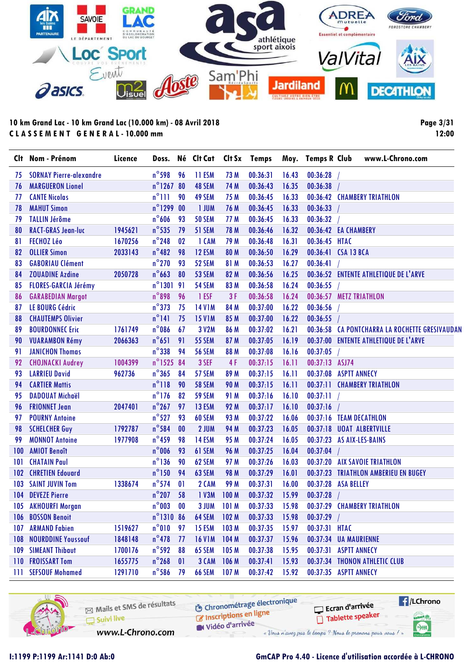

**Page 3/31 12:00**

|     | Clt Nom - Prénom               | Licence |                  |                | Doss. Né Clt Cat |                  | Clt Sx Temps |       | Moy. Temps R Club | www.L-Chrono.com                               |
|-----|--------------------------------|---------|------------------|----------------|------------------|------------------|--------------|-------|-------------------|------------------------------------------------|
| 75  | <b>SORNAY Pierre-alexandre</b> |         | $n^{\circ}$ 598  | 96             | 11 ESM           | 73 M             | 00:36:31     | 16.43 | 00:36:28          |                                                |
| 76  | <b>MARGUERON Lionel</b>        |         | n°1267 80        |                | 48 SEM           | 74 M             | 00:36:43     | 16.35 | 00:36:38          |                                                |
| 77  | <b>CANTE Nicolas</b>           |         | $n^{\circ}$ 111  | 90             | 49 SEM           | 75 M             | 00:36:45     | 16.33 |                   | 00:36:42 CHAMBERY TRIATHLON                    |
| 78  | <b>MAHUT Simon</b>             |         | $n^{\circ}$ 1299 | 0 <sup>0</sup> | 1 JUM            | 76 M             | 00:36:45     | 16.33 | 00:36:33          |                                                |
| 79  | <b>TALLIN Jérôme</b>           |         | $n^{\circ}$ 606  | 93             | <b>50 SEM</b>    | 77 M             | 00:36:45     | 16.33 | 00:36:32          |                                                |
| 80  | <b>RACT-GRAS Jean-luc</b>      | 1945621 | $n^{\circ}$ 535  | 79             | 51 SEM           | 78 M             | 00:36:46     | 16.32 |                   | 00:36:42 EA CHAMBERY                           |
| 81  | FECHOZ Léo                     | 1670256 | $n^{\circ}$ 248  | 02             | 1 CAM            | 79 M             | 00:36:48     | 16.31 | 00:36:45 HTAC     |                                                |
| 82  | <b>OLLIER Simon</b>            | 2033143 | $n^{\circ}482$   | 98             | 12 ESM           | 80 M             | 00:36:50     | 16.29 |                   | 00:36:41 CSA 13 BCA                            |
| 83  | <b>GABORIAU Clément</b>        |         | $n^{\circ}$ 270  | 93             | 52 SEM           | 81 M             | 00:36:53     | 16.27 | 00:36:41          |                                                |
| 84  | <b>ZOUADINE Azdine</b>         | 2050728 | $n^{\circ}$ 663  | 80             | 53 SEM           | 82 M             | 00:36:56     | 16.25 |                   | 00:36:52 ENTENTE ATHLETIQUE DE L'ARVE          |
| 85  | <b>FLORES-GARCIA Jérémy</b>    |         | $n^{\circ}1301$  | 91             | 54 SEM           | 83 M             | 00:36:58     | 16.24 | 00:36:55          |                                                |
| 86  | <b>GARABEDIAN Margot</b>       |         | $n^{\circ}$ 898  | 96             | 1 ESF            | 3F               | 00:36:58     | 16.24 |                   | 00:36:57 METZ TRIATHLON                        |
| 87  | <b>LE BOURG Cédric</b>         |         | $n^{\circ}373$   | 75             | <b>14 V1M</b>    | 84 M             | 00:37:00     | 16.22 | 00:36:56          |                                                |
| 88  | <b>CHAUTEMPS Olivier</b>       |         | $n^{\circ}$ 141  | 75             | <b>15 V1M</b>    | 85 M             | 00:37:00     | 16.22 | 00:36:55          |                                                |
| 89  | <b>BOURDONNEC Eric</b>         | 1761749 | $n^{\circ}$ 086  | 67             | 3 V2M            | 86 M             | 00:37:02     | 16.21 |                   | 00:36:58 CA PONTCHARRA LA ROCHETTE GRESIVAUDAN |
| 90  | <b>VUARAMBON Rémy</b>          | 2066363 | $n^{\circ}651$   | 91             | <b>55 SEM</b>    | 87 M             | 00:37:05     | 16.19 |                   | 00:37:00 ENTENTE ATHLETIQUE DE L'ARVE          |
| 91  | <b>JANICHON Thomas</b>         |         | $n^{\circ}338$   | 94             | <b>56 SEM</b>    | 88 M             | 00:37:08     | 16.16 | 00:37:05          |                                                |
| 92  | <b>CHOJNACKI Audrey</b>        | 1004399 | n°1525 84        |                | 3 SEF            | 4F               | 00:37:15     | 16.11 | 00:37:13 ASJ74    |                                                |
| 93  | <b>LARRIEU David</b>           | 962736  | $n^{\circ}365$   | 84             | 57 SEM           | 89 M             | 00:37:15     | 16.11 |                   | 00:37:08 ASPTT ANNECY                          |
| 94  | <b>CARTIER Mattis</b>          |         | $n^{\circ}118$   | 90             | <b>58 SEM</b>    | <b>90 M</b>      | 00:37:15     | 16.11 |                   | 00:37:11 CHAMBERY TRIATHLON                    |
| 95  | <b>DADOUAT Michaël</b>         |         | $n^{\circ}$ 176  | 82             | <b>59 SEM</b>    | 91 M             | 00:37:16     | 16.10 | 00:37:11          |                                                |
| 96  | <b>FRIONNET Jean</b>           | 2047401 | $n^{\circ}$ 267  | 97             | 13 ESM           | 92 M             | 00:37:17     | 16.10 | 00:37:16          |                                                |
| 97  | <b>POURNY Antoine</b>          |         | $n^{\circ}527$   | 93             | 60 SEM           | 93 M             | 00:37:22     | 16.06 |                   | 00:37:16 TEAM DECATHLON                        |
| 98  | <b>SCHELCHER Guy</b>           | 1792787 | $n^{\circ}$ 584  | 00             | 2 JUM            | 94 M             | 00:37:23     | 16.05 |                   | 00:37:18 UOAT ALBERTVILLE                      |
| 99  | <b>MONNOT Antoine</b>          | 1977908 | $n^{\circ}$ 459  | 98             | 14 ESM           | 95 M             | 00:37:24     | 16.05 |                   | 00:37:23 AS AIX-LES-BAINS                      |
| 100 | <b>AMIOT Benoît</b>            |         | $n^{\circ}$ 006  | 93             | 61 SEM           | 96 M             | 00:37:25     | 16.04 | 00:37:04          |                                                |
| 101 | <b>CHATAIN Paul</b>            |         | $n^{\circ}$ 136  | 90             | 62 SEM           | 97 M             | 00:37:26     | 16.03 |                   | 00:37:20 AIX SAVOIE TRIATHLON                  |
| 102 | <b>CHRETIEN Edouard</b>        |         | $n^{\circ}$ 150  | 94             | 63 SEM           | <b>98 M</b>      | 00:37:29     | 16.01 |                   | 00:37:23 TRIATHLON AMBERIEU EN BUGEY           |
| 103 | <b>SAINT JUVIN Tom</b>         | 1338674 | $n^{\circ}$ 574  | 01             | 2 CAM            | 99 M             | 00:37:31     | 16.00 |                   | 00:37:28 ASA BELLEY                            |
|     | 104 DEVEZE Pierre              |         | $n^{\circ}$ 207  | 58             | 1 V3M            | 100 M            | 00:37:32     | 15.99 | 00:37:28          |                                                |
|     | 105 AKHOURFI Morgan            |         | $n^{\circ}$ 003  | $\bf{00}$      | 3 JUM            | 101 M            | 00:37:33     | 15.98 |                   | 00:37:29 CHAMBERY TRIATHLON                    |
|     | 106 BOSSON Benoit              |         | n°1310 86        |                | 64 SEM           | 102 M            | 00:37:33     | 15.98 | 00:37:29          |                                                |
| 107 | <b>ARMAND Fabien</b>           | 1519627 | $n^{\circ}010$   | 97             | 15 ESM           | 103 M            | 00:37:35     | 15.97 | 00:37:31 HTAC     |                                                |
| 108 | <b>NOURDDINE Youssouf</b>      | 1848148 | $n^{\circ}$ 478  | 77             | <b>16 V1M</b>    | 104 M            | 00:37:37     | 15.96 |                   | 00:37:34 UA MAURIENNE                          |
|     | 109 SIMEANT Thibaut            | 1700176 | $n^{\circ}$ 592  | 88             | 65 SEM           | 105 <sub>M</sub> | 00:37:38     | 15.95 |                   | 00:37:31 ASPTT ANNECY                          |
|     | 110 FROISSART Tom              | 1655775 | $n^{\circ}$ 268  | 0              | 3 CAM            | 106 M            | 00:37:41     | 15.93 |                   | 00:37:34 THONON ATHLETIC CLUB                  |
| Ш   | <b>SEFSOUF Mohamed</b>         | 1291710 | $n^{\circ}$ 586  | 79             | <b>66 SEM</b>    | 107 M            | 00:37:42     | 15.92 |                   | 00:37:35 ASPTT ANNECY                          |

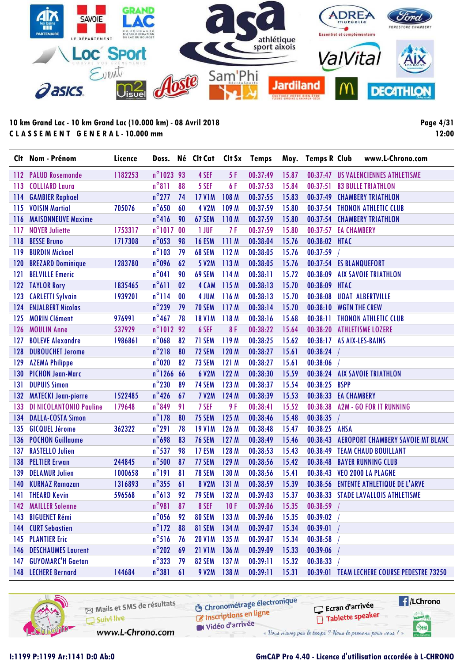

**Page 4/31 12:00**

|     | Clt Nom - Prénom               | Licence | Doss.               |           | Né Clt Cat    | Clt Sx | <b>Temps</b> |       | Moy. Temps R Club | www.L-Chrono.com                            |  |
|-----|--------------------------------|---------|---------------------|-----------|---------------|--------|--------------|-------|-------------------|---------------------------------------------|--|
| 112 | <b>PALUD Rosemonde</b>         | 1182253 | n°1023 93           |           | 4 SEF         | 5F     | 00:37:49     | 15.87 |                   | 00:37:47 US VALENCIENNES ATHLETISME         |  |
| 113 | <b>COLLIARD Laura</b>          |         | $n^{\circ}811$      | 88        | 5 SEF         | 6F     | 00:37:53     | 15.84 | 00:37:51          | <b>B3 BULLE TRIATHLON</b>                   |  |
| 114 | <b>GAMBIER Raphael</b>         |         | $n^{\circ}$ 277     | 74        | <b>17 V1M</b> | 108 M  | 00:37:55     | 15.83 | 00:37:49          | <b>CHAMBERY TRIATHLON</b>                   |  |
| 115 | <b>VOISIN Martial</b>          | 705076  | $n^{\circ}$ 650     | 60        | <b>4 V2M</b>  | 109 M  | 00:37:59     | 15.80 |                   | 00:37:54 THONON ATHLETIC CLUB               |  |
| 116 | <b>MAISONNEUVE Maxime</b>      |         | $n^{\circ}416$      | 90        | 67 SEM        | 110M   | 00:37:59     | 15.80 |                   | 00:37:54 CHAMBERY TRIATHLON                 |  |
| 117 | <b>NOYER Juliette</b>          | 1753317 | $n^{\circ}1017$     | 00        | 1 JUF         | 7 F    | 00:37:59     | 15.80 |                   | 00:37:57 EA CHAMBERY                        |  |
| 118 | <b>BESSE Bruno</b>             | 1717308 | $n^{\circ}$ 053     | 98        | <b>16 ESM</b> | 111M   | 00:38:04     | 15.76 | 00:38:02 HTAC     |                                             |  |
| 119 | <b>BURDIN Mickael</b>          |         | $n^{\circ}103$      | 79        | 68 SEM        | 112M   | 00:38:05     | 15.76 | 00:37:59          |                                             |  |
| 120 | <b>BREZARD Dominique</b>       | 1283780 | $n^{\circ}$ 096     | 62        | 5 V2M         | 113M   | 00:38:05     | 15.76 |                   | 00:37:54 ES BLANQUEFORT                     |  |
| 121 | <b>BELVILLE Emeric</b>         |         | $n^{\circ}041$      | 90        | 69 SEM        | 114 M  | 00:38:11     | 15.72 | 00:38:09          | <b>AIX SAVOIE TRIATHLON</b>                 |  |
| 122 | <b>TAYLOR Rory</b>             | 1835465 | $n^{\circ}611$      | 02        | 4 CAM         | 115 M  | 00:38:13     | 15.70 | 00:38:09 HTAC     |                                             |  |
| 123 | <b>CARLETTI Sylvain</b>        | 1939201 | $n^{\circ}$ 114     | $\bf{00}$ | 4 JUM         | 116 M  | 00:38:13     | 15.70 | 00:38:08          | <b>UOAT ALBERTVILLE</b>                     |  |
| 124 | <b>ENJALBERT Nicolas</b>       |         | $n^{\circ}$ 239     | 79        | <b>70 SEM</b> | 117 M  | 00:38:14     | 15.70 | 00:38:10          | <b>WGTN THE CREW</b>                        |  |
| 125 | <b>MORIN Clément</b>           | 976991  | $n^{\circ}$ 467     | 78        | <b>18 V1M</b> | 118 M  | 00:38:16     | 15.68 | 00:38:11          | <b>THONON ATHLETIC CLUB</b>                 |  |
| 126 | <b>MOULIN Anne</b>             | 537929  | n°1012 92           |           | 6 SEF         | 8F     | 00:38:22     | 15.64 |                   | 00:38:20 ATHLETISME LOZERE                  |  |
| 127 | <b>BOLEVE Alexandre</b>        | 1986861 | $n^{\circ}$ 068     | 82        | 71 SEM        | 119 M  | 00:38:25     | 15.62 | 00:38:17          | <b>AS AIX-LES-BAINS</b>                     |  |
| 128 | <b>DUBOUCHET Jerome</b>        |         | $n^{\circ}$ 218     | 80        | 72 SEM        | 120 M  | 00:38:27     | 15.61 | 00:38:24          |                                             |  |
| 129 | <b>AZEMA Philippe</b>          |         | $n^{\circ}$ 020     | 82        | 73 SEM        | 121M   | 00:38:27     | 15.61 | 00:38:06          |                                             |  |
| 130 | <b>PICHON Jean-Marc</b>        |         | $n^{\circ}$ 1266 66 |           | 6 V2M         | 122 M  | 00:38:30     | 15.59 |                   | 00:38:24 AIX SAVOIE TRIATHLON               |  |
| 131 | <b>DUPUIS Simon</b>            |         | $n^{\circ}$ 230     | 89        | 74 SEM        | 123 M  | 00:38:37     | 15.54 | 00:38:25          | <b>BSPP</b>                                 |  |
| 132 | <b>MATECKI Jean-pierre</b>     | 1522485 | $n^{\circ}$ 426     | 67        | <b>7 V2M</b>  | 124 M  | 00:38:39     | 15.53 |                   | 00:38:33 EA CHAMBERY                        |  |
| 133 | <b>DI NICOLANTONIO Pauline</b> | 179648  | $n^{\circ}$ 849     | 91        | 7 SEF         | 9 F    | 00:38:41     | 15.52 | 00:38:38          | <b>A2M - GO FOR IT RUNNING</b>              |  |
| 134 | <b>DALLA-COSTA Simon</b>       |         | $n^{\circ}$ 178     | 80        | 75 SEM        | 125 M  | 00:38:46     | 15.48 | 00:38:35          |                                             |  |
| 135 | <b>GICQUEL Jérome</b>          | 362322  | $n^{\circ}291$      | 78        | <b>19 V1M</b> | 126 M  | 00:38:48     | 15.47 | 00:38:25 AHSA     |                                             |  |
| 136 | <b>POCHON Guillaume</b>        |         | $n^{\circ}$ 698     | 83        | <b>76 SEM</b> | 127 M  | 00:38:49     | 15.46 |                   | 00:38:43 AEROPORT CHAMBERY SAVOIE MT BLANC  |  |
| 137 | <b>RASTELLO Julien</b>         |         | $n^{\circ}$ 537     | 98        | 17 ESM        | 128 M  | 00:38:53     | 15.43 |                   | 00:38:49 TEAM CHAUD BOUILLANT               |  |
| 138 | <b>PELTIER Erwan</b>           | 244845  | $n^{\circ}$ 500     | 87        | 77 SEM        | 129 M  | 00:38:56     | 15.42 | 00:38:48          | <b>BAYER RUNNING CLUB</b>                   |  |
| 139 | <b>DELAMUR Julien</b>          | 1000658 | $n^{\circ}$ 191     | 81        | <b>78 SEM</b> | 130 M  | 00:38:56     | 15.41 |                   | 00:38:43 VEO 2000 LA PLAGNE                 |  |
| 140 | <b>KURNAZ Ramazan</b>          | 1316893 | $n^{\circ}$ 355     | 61        | <b>8 V2M</b>  | 131 M  | 00:38:59     | 15.39 |                   | 00:38:56 ENTENTE ATHLETIQUE DE L'ARVE       |  |
| 141 | <b>THEARD Kevin</b>            | 596568  | $n^{\circ}613$      | 92        | 79 SEM        | 132 M  | 00:39:03     | 15.37 |                   | 00:38:33 STADE LAVALLOIS ATHLETISME         |  |
|     | 142 MAILLER Solenne            |         | $n^{\circ}$ 981     | 87        | 8 SEF         | 10F    | 00:39:06     | 15.35 | $00:38:59$ /      |                                             |  |
| 143 | <b>BIGUENET Rémi</b>           |         | $n^{\circ}$ 056     | 92        | 80 SEM        | 133 M  | 00:39:06     | 15.35 | 00:39:02          |                                             |  |
|     | 144 CURT Sebastien             |         | $n^{\circ}$ 172     | 88        | 81 SEM        | 134 M  | 00:39:07     | 15.34 | 00:39:01          |                                             |  |
|     | 145 PLANTIER Eric              |         | $n^{\circ}$ 516     | 76        | <b>20 V1M</b> | 135 M  | 00:39:07     | 15.34 | 00:38:58          |                                             |  |
|     | <b>146 DESCHAUMES Laurent</b>  |         | $n^{\circ}$ 202     | 69        | <b>21 V1M</b> | 136 M  | 00:39:09     | 15.33 | 00:39:06          |                                             |  |
|     | 147 GUYOMARC'H Gaetan          |         | $n^{\circ}323$      | 79        | 82 SEM        | 137 M  | 00:39:11     | 15.32 | 00:38:33          |                                             |  |
|     | <b>148 LECHERE Bernard</b>     | 144684  | $n^{\circ}381$      | 61        | 9 V2M         | 138 M  | 00:39:11     | 15.31 |                   | 00:39:01 TEAM LECHERE COURSE PEDESTRE 73250 |  |

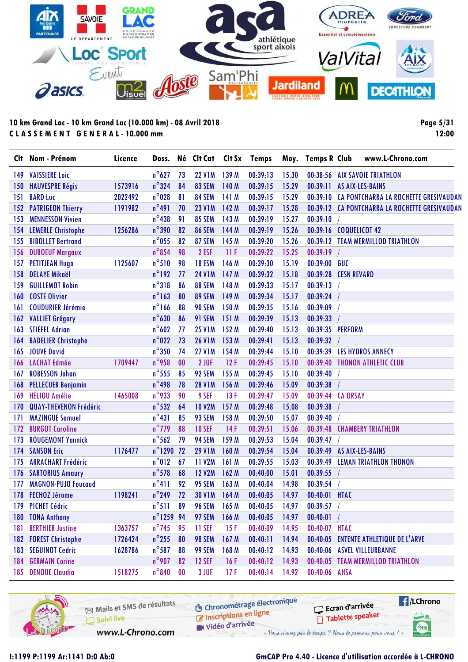

**Page 5/31 12:00**

| $n^{\circ}627$<br>73<br><b>22 V1M</b><br>139 M<br>00:39:13<br>15.30<br><b>VAISSIERE Loic</b><br>149<br>$n^{\circ}324$<br>1573916<br>83 SEM<br>140 M<br>00:39:15<br>15.29<br><b>HAUVESPRE Régis</b><br>84<br>150<br>$n^{\circ}$ 028<br><b>BARD Luc</b><br>2022492<br>81<br>84 SEM<br>141 M<br>00:39:15<br>15.29<br>151<br>$n^{\circ}491$<br><b>PATRIGEON Thierry</b><br>70<br><b>23 V1M</b><br>142 M<br>00:39:17<br>15.28<br>152<br>1191982<br>$n^{\circ}438$<br>85 SEM<br>143 M<br>00:39:19<br>15.27<br><b>MENNESSON Vivien</b><br>91<br>153<br>$n^{\circ}$ 390<br>1256286<br><b>86 SEM</b><br>144 M<br>15.26<br><b>LEMERLE Christophe</b><br>82<br>00:39:19<br>154<br>$n^{\circ}$ 055<br>82<br>87 SEM<br>145 M<br>15.26<br><b>BIBOLLET Bertrand</b><br>00:39:20<br>155<br>$n^{\circ}$ 854<br>2 ESF<br><b>DUBOEUF Margaux</b><br>98<br>11F<br>00:39:22<br>15.25<br>156<br>$n^{\circ}510$<br>1125607<br>98<br>18 ESM<br>146 M<br>00:39:30<br>15.19<br><b>PETITJEAN Hugo</b><br>157<br>$n^{\circ}$ 192<br><b>DELAYE Mikaël</b><br>77<br>147 M<br><b>24 V1M</b><br>00:39:32<br>15.18<br>158 | 00:39:11<br>00:39:10<br>00:39:19 | 00:38:56 AIX SAVOIE TRIATHLON<br>AS AIX-LES-BAINS<br>00:39:10 CA PONTCHARRA LA ROCHETTE GRESIVAUDAN<br>00:39:12 CA PONTCHARRA LA ROCHETTE GRESIVAUDAN<br>00:39:16 COQUELICOT 42 |
|------------------------------------------------------------------------------------------------------------------------------------------------------------------------------------------------------------------------------------------------------------------------------------------------------------------------------------------------------------------------------------------------------------------------------------------------------------------------------------------------------------------------------------------------------------------------------------------------------------------------------------------------------------------------------------------------------------------------------------------------------------------------------------------------------------------------------------------------------------------------------------------------------------------------------------------------------------------------------------------------------------------------------------------------------------------------------------------|----------------------------------|---------------------------------------------------------------------------------------------------------------------------------------------------------------------------------|
|                                                                                                                                                                                                                                                                                                                                                                                                                                                                                                                                                                                                                                                                                                                                                                                                                                                                                                                                                                                                                                                                                          |                                  |                                                                                                                                                                                 |
|                                                                                                                                                                                                                                                                                                                                                                                                                                                                                                                                                                                                                                                                                                                                                                                                                                                                                                                                                                                                                                                                                          |                                  |                                                                                                                                                                                 |
|                                                                                                                                                                                                                                                                                                                                                                                                                                                                                                                                                                                                                                                                                                                                                                                                                                                                                                                                                                                                                                                                                          |                                  |                                                                                                                                                                                 |
|                                                                                                                                                                                                                                                                                                                                                                                                                                                                                                                                                                                                                                                                                                                                                                                                                                                                                                                                                                                                                                                                                          |                                  |                                                                                                                                                                                 |
|                                                                                                                                                                                                                                                                                                                                                                                                                                                                                                                                                                                                                                                                                                                                                                                                                                                                                                                                                                                                                                                                                          |                                  |                                                                                                                                                                                 |
|                                                                                                                                                                                                                                                                                                                                                                                                                                                                                                                                                                                                                                                                                                                                                                                                                                                                                                                                                                                                                                                                                          |                                  |                                                                                                                                                                                 |
|                                                                                                                                                                                                                                                                                                                                                                                                                                                                                                                                                                                                                                                                                                                                                                                                                                                                                                                                                                                                                                                                                          |                                  | 00:39:12 TEAM MERMILLOD TRIATHLON                                                                                                                                               |
|                                                                                                                                                                                                                                                                                                                                                                                                                                                                                                                                                                                                                                                                                                                                                                                                                                                                                                                                                                                                                                                                                          |                                  |                                                                                                                                                                                 |
|                                                                                                                                                                                                                                                                                                                                                                                                                                                                                                                                                                                                                                                                                                                                                                                                                                                                                                                                                                                                                                                                                          | 00:39:00 GUC                     |                                                                                                                                                                                 |
|                                                                                                                                                                                                                                                                                                                                                                                                                                                                                                                                                                                                                                                                                                                                                                                                                                                                                                                                                                                                                                                                                          |                                  | 00:39:28 CESN REVARD                                                                                                                                                            |
| $n^{\circ}318$<br>88 SEM<br><b>GUILLEMOT Robin</b><br>86<br>148 M<br>00:39:33<br>15.17<br>159                                                                                                                                                                                                                                                                                                                                                                                                                                                                                                                                                                                                                                                                                                                                                                                                                                                                                                                                                                                            | 00:39:13                         |                                                                                                                                                                                 |
| $n^{\circ}$ 163<br>89 SEM<br>149 M<br>00:39:34<br><b>COSTE Olivier</b><br>80<br>15.17<br>160                                                                                                                                                                                                                                                                                                                                                                                                                                                                                                                                                                                                                                                                                                                                                                                                                                                                                                                                                                                             | 00:39:24                         |                                                                                                                                                                                 |
| $n^{\circ}$ 166<br>88<br>90 SEM<br>150 M<br>15.16<br><b>COUDURIER Jérémie</b><br>00:39:35<br>161                                                                                                                                                                                                                                                                                                                                                                                                                                                                                                                                                                                                                                                                                                                                                                                                                                                                                                                                                                                         | 00:39:09                         |                                                                                                                                                                                 |
| $n^{\circ}630$<br><b>VALLIET Grégory</b><br>86<br>91 SEM<br>151 M<br>00:39:39<br>15.13<br>162                                                                                                                                                                                                                                                                                                                                                                                                                                                                                                                                                                                                                                                                                                                                                                                                                                                                                                                                                                                            | 00:39:33                         |                                                                                                                                                                                 |
| $n^{\circ}602$<br><b>STIEFEL Adrian</b><br>77<br><b>25 V1M</b><br>152 M<br>00:39:40<br>15.13<br>163                                                                                                                                                                                                                                                                                                                                                                                                                                                                                                                                                                                                                                                                                                                                                                                                                                                                                                                                                                                      |                                  | 00:39:35 PERFORM                                                                                                                                                                |
| $n^{\circ}$ 022<br>153 M<br><b>BADELIER Christophe</b><br>73<br><b>26 V1M</b><br>00:39:41<br>15.13<br>164                                                                                                                                                                                                                                                                                                                                                                                                                                                                                                                                                                                                                                                                                                                                                                                                                                                                                                                                                                                | 00:39:32                         |                                                                                                                                                                                 |
| $n^{\circ}350$<br><b>JOUVE David</b><br>74<br><b>27 V1M</b><br>154 M<br>00:39:44<br>15.10<br>165                                                                                                                                                                                                                                                                                                                                                                                                                                                                                                                                                                                                                                                                                                                                                                                                                                                                                                                                                                                         | 00:39:39                         | LES HYDROS ANNECY                                                                                                                                                               |
| $n^{\circ}$ 958<br>2 JUF<br>12F<br>1709447<br>00<br>00:39:45<br>15.10<br><b>LACHAT Edmée</b><br>166                                                                                                                                                                                                                                                                                                                                                                                                                                                                                                                                                                                                                                                                                                                                                                                                                                                                                                                                                                                      |                                  | 00:39:40 THONON ATHLETIC CLUB                                                                                                                                                   |
| $n^{\circ}$ 555<br>92 SEM<br>155 M<br><b>ROBESSON Johan</b><br>85<br>00:39:45<br>15.10<br>167                                                                                                                                                                                                                                                                                                                                                                                                                                                                                                                                                                                                                                                                                                                                                                                                                                                                                                                                                                                            | 00:39:40                         |                                                                                                                                                                                 |
| $n^{\circ}$ 498<br>78<br><b>28 V1M</b><br>156 M<br>00:39:46<br>15.09<br>168<br><b>PELLECUER Benjamin</b>                                                                                                                                                                                                                                                                                                                                                                                                                                                                                                                                                                                                                                                                                                                                                                                                                                                                                                                                                                                 | 00:39:38                         |                                                                                                                                                                                 |
| $n^{\circ}$ 933<br>1465008<br>9 SEF<br>13F<br>15.09<br><b>HELIOU Amélie</b><br>90<br>00:39:47<br>169                                                                                                                                                                                                                                                                                                                                                                                                                                                                                                                                                                                                                                                                                                                                                                                                                                                                                                                                                                                     |                                  | 00:39:44 CA ORSAY                                                                                                                                                               |
| $n^{\circ}$ 532<br><b>10 V2M</b><br><b>QUAY-THEVENON Frédéric</b><br>64<br>157 M<br>00:39:48<br>15.08<br>170                                                                                                                                                                                                                                                                                                                                                                                                                                                                                                                                                                                                                                                                                                                                                                                                                                                                                                                                                                             | 00:39:38                         |                                                                                                                                                                                 |
| $n^{\circ}431$<br>85<br>93 SEM<br>158 M<br>15.07<br><b>MAZINGUE Samuel</b><br>00:39:50<br>171                                                                                                                                                                                                                                                                                                                                                                                                                                                                                                                                                                                                                                                                                                                                                                                                                                                                                                                                                                                            | 00:39:40                         |                                                                                                                                                                                 |
| $n^{\circ}$ 779<br>88<br><b>10 SEF</b><br>14F<br>15.06<br><b>BURGOT Caroline</b><br>00:39:51<br>172                                                                                                                                                                                                                                                                                                                                                                                                                                                                                                                                                                                                                                                                                                                                                                                                                                                                                                                                                                                      | 00:39:48                         | <b>CHAMBERY TRIATHLON</b>                                                                                                                                                       |
| $n^{\circ}$ 562<br>79<br>94 SEM<br><b>ROUGEMONT Yannick</b><br>159 M<br>00:39:53<br>15.04<br>173                                                                                                                                                                                                                                                                                                                                                                                                                                                                                                                                                                                                                                                                                                                                                                                                                                                                                                                                                                                         | 00:39:47                         |                                                                                                                                                                                 |
| n°1290 72<br>1176477<br>160 M<br><b>SANSON Eric</b><br><b>29 V1M</b><br>00:39:54<br>15.04<br>174                                                                                                                                                                                                                                                                                                                                                                                                                                                                                                                                                                                                                                                                                                                                                                                                                                                                                                                                                                                         |                                  | 00:39:49 AS AIX-LES-BAINS                                                                                                                                                       |
| $n^{\circ}012$<br><b>11 V2M</b><br>161 M<br><b>ARRACHART Frédéric</b><br>67<br>00:39:55<br>15.03<br>175                                                                                                                                                                                                                                                                                                                                                                                                                                                                                                                                                                                                                                                                                                                                                                                                                                                                                                                                                                                  | 00:39:49                         | <b>LEMAN TRIATHLON THONON</b>                                                                                                                                                   |
| $n^{\circ}$ 578<br><b>12 V2M</b><br><b>SARTORIUS Amaury</b><br>68<br>162 M<br>00:40:00<br>15.01<br>176                                                                                                                                                                                                                                                                                                                                                                                                                                                                                                                                                                                                                                                                                                                                                                                                                                                                                                                                                                                   | 00:39:55                         |                                                                                                                                                                                 |
| $n^{\circ}411$<br>92<br>163 M<br><b>MAGNON-PUJO Foucaud</b><br><b>95 SEM</b><br>00:40:04<br>14.98<br>177                                                                                                                                                                                                                                                                                                                                                                                                                                                                                                                                                                                                                                                                                                                                                                                                                                                                                                                                                                                 | 00:39:54                         |                                                                                                                                                                                 |
| $n^{\circ}$ 249<br>1198241<br><b>FECHOZ Jérome</b><br>72<br><b>30 V1M</b><br>164 M<br>00:40:05<br>14.97<br>178                                                                                                                                                                                                                                                                                                                                                                                                                                                                                                                                                                                                                                                                                                                                                                                                                                                                                                                                                                           | 00:40:01 HTAC                    |                                                                                                                                                                                 |
| 179<br><b>PICHET Cédric</b><br>$n^{\circ}$ 511<br>89<br><b>96 SEM</b><br>165M<br>00:40:05<br>14.97                                                                                                                                                                                                                                                                                                                                                                                                                                                                                                                                                                                                                                                                                                                                                                                                                                                                                                                                                                                       | 00:39:57                         |                                                                                                                                                                                 |
| n°1259 94<br>180 TONA Anthony<br>97 SEM<br>166 M<br>00:40:05<br>14.97                                                                                                                                                                                                                                                                                                                                                                                                                                                                                                                                                                                                                                                                                                                                                                                                                                                                                                                                                                                                                    | 00:40:01                         |                                                                                                                                                                                 |
| $n^{\circ}$ 745<br><b>BERTHIER Justine</b><br><b>11 SEF</b><br>15F<br>14.95<br>1363757<br>95<br>00:40:09<br>181                                                                                                                                                                                                                                                                                                                                                                                                                                                                                                                                                                                                                                                                                                                                                                                                                                                                                                                                                                          | 00:40:07 HTAC                    |                                                                                                                                                                                 |
| $n^{\circ}$ 255<br><b>FOREST Christophe</b><br>80<br>98 SEM<br>167 M<br>00:40:11<br>14.94<br>1726424<br>182                                                                                                                                                                                                                                                                                                                                                                                                                                                                                                                                                                                                                                                                                                                                                                                                                                                                                                                                                                              |                                  | 00:40:05 ENTENTE ATHLETIQUE DE L'ARVE                                                                                                                                           |
| $n^{\circ}$ 587<br>183<br><b>SEGUINOT Cedric</b><br>1628786<br>88<br>99 SEM<br>168 M<br>00:40:12<br>14.93                                                                                                                                                                                                                                                                                                                                                                                                                                                                                                                                                                                                                                                                                                                                                                                                                                                                                                                                                                                |                                  | 00:40:06 ASVEL VILLEURBANNE                                                                                                                                                     |
| $n^{\circ}$ 907<br><b>GERMAIN Corine</b><br><b>12 SEF</b><br>82<br>16F<br>00:40:12<br>14.93<br>184                                                                                                                                                                                                                                                                                                                                                                                                                                                                                                                                                                                                                                                                                                                                                                                                                                                                                                                                                                                       |                                  | 00:40:05 TEAM MERMILLOD TRIATHLON                                                                                                                                               |
| <b>DENOUE Claudia</b><br>$n^{\circ}840$<br>1518275<br>$\bf{00}$<br>3 JUF<br>00:40:14<br>14.92<br>17F<br>185                                                                                                                                                                                                                                                                                                                                                                                                                                                                                                                                                                                                                                                                                                                                                                                                                                                                                                                                                                              | 00:40:06 AHSA                    |                                                                                                                                                                                 |

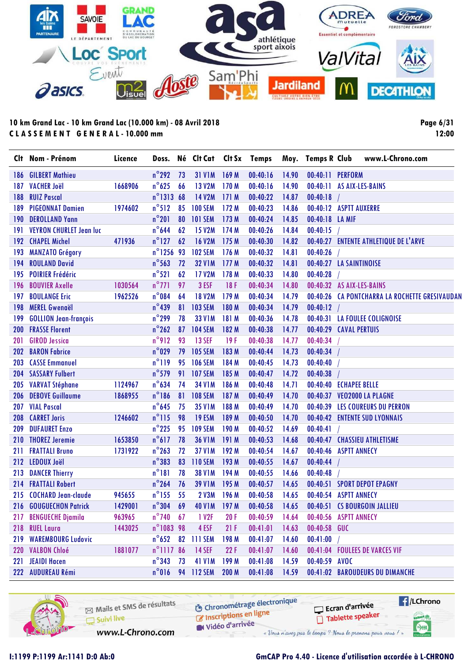

**Page 6/31 12:00**

|     | Clt Nom - Prénom               | Licence |                     |    | Doss. Né Clt Cat Clt Sx Temps |       |          |       | Moy. Temps R Club | www.L-Chrono.com                                                  |  |
|-----|--------------------------------|---------|---------------------|----|-------------------------------|-------|----------|-------|-------------------|-------------------------------------------------------------------|--|
| 186 | <b>GILBERT Mathieu</b>         |         | $n^{\circ}$ 292     | 73 | <b>31 V1M</b>                 | 169 M | 00:40:16 | 14.90 | 00:40:11 PERFORM  |                                                                   |  |
| 187 | <b>VACHER Joël</b>             | 1668906 | $n^{\circ}$ 625     | 66 | 13 V2M                        | 170 M | 00:40:16 | 14.90 |                   | 00:40:11 AS AIX-LES-BAINS                                         |  |
| 188 | <b>RUIZ Pascal</b>             |         | n°1313 68           |    | 14 V2M                        | 171M  | 00:40:22 | 14.87 | 00:40:18          |                                                                   |  |
| 189 | <b>PIGEONNAT Damien</b>        | 1974602 | $n^{\circ}512$      | 85 | <b>100 SEM</b>                | 172 M | 00:40:23 | 14.86 |                   | 00:40:12 ASPTT AUXERRE                                            |  |
| 190 | <b>DEROLLAND Yann</b>          |         | $n^{\circ}201$      | 80 | <b>101 SEM</b>                | 173 M | 00:40:24 | 14.85 | 00:40:18 LA MIF   |                                                                   |  |
| 191 | <b>VEYRON CHURLET Jean luc</b> |         | $n^{\circ}$ 644     | 62 | <b>15 V2M</b>                 | 174 M | 00:40:26 | 14.84 | 00:40:15          |                                                                   |  |
| 192 | <b>CHAPEL Michel</b>           | 471936  | $n^{\circ}$ 127     | 62 | <b>16 V2M</b>                 | 175 M | 00:40:30 | 14.82 |                   | 00:40:27 ENTENTE ATHLETIQUE DE L'ARVE                             |  |
| 193 | <b>MANZATO Grégory</b>         |         | $n^{\circ}$ 1256 93 |    | <b>102 SEM</b>                | 176 M | 00:40:32 | 14.81 | 00:40:26          |                                                                   |  |
| 194 | <b>ROULAND David</b>           |         | $n^{\circ}$ 563     | 72 | <b>32 V1M</b>                 | 177M  | 00:40:32 | 14.81 |                   | 00:40:27 LA SAINTINOISE                                           |  |
| 195 | <b>POIRIER Frédéric</b>        |         | $n^{\circ}521$      | 62 | <b>17 V2M</b>                 | 178 M | 00:40:33 | 14.80 | 00:40:28          |                                                                   |  |
| 196 | <b>BOUVIER Axelle</b>          | 1030564 | $n^{\circ}$ 771     | 97 | 3 ESF                         | 18F   | 00:40:34 | 14.80 |                   | 00:40:32 AS AIX-LES-BAINS                                         |  |
| 197 | <b>BOULANGE Eric</b>           | 1962526 | $n^{\circ}084$      | 64 | <b>18 V2M</b>                 | 179 M | 00:40:34 | 14.79 |                   | 00:40:26 CA PONTCHARRA LA ROCHETTE GRESIVAUDAN                    |  |
| 198 | <b>MEREL Gwenaël</b>           |         | $n^{\circ}$ 439     | 81 | <b>103 SEM</b>                | 180 M | 00:40:34 | 14.79 | 00:40:12          |                                                                   |  |
| 199 | <b>GOLLION Jean-françois</b>   |         | $n^{\circ}$ 299     | 78 | <b>33 V1M</b>                 | 181 M | 00:40:36 | 14.78 |                   | 00:40:31 LA FOULEE COLIGNOISE                                     |  |
| 200 | <b>FRASSE Florent</b>          |         | $n^{\circ}$ 262     |    | 87 104 SEM                    | 182 M | 00:40:38 | 14.77 |                   | 00:40:29 CAVAL PERTUIS                                            |  |
| 201 | <b>GIROD Jessica</b>           |         | n°912               | 93 | <b>13 SEF</b>                 | 19F   | 00:40:38 | 14.77 | 00:40:34          |                                                                   |  |
| 202 | <b>BARON Fabrice</b>           |         | $n^{\circ}029$      | 79 | <b>105 SEM</b>                | 183 M | 00:40:44 | 14.73 | 00:40:34          |                                                                   |  |
| 203 | <b>CASSE Emmanuel</b>          |         | $n^{\circ}119$      | 95 | <b>106 SEM</b>                | 184 M | 00:40:45 | 14.73 | 00:40:40          |                                                                   |  |
| 204 | <b>SASSARY Fulbert</b>         |         | $n^{\circ}$ 579     | 91 | <b>107 SEM</b>                | 185 M | 00:40:47 | 14.72 | 00:40:38          |                                                                   |  |
| 205 | <b>VARVAT Stéphane</b>         | 1124967 | $n^{\circ}$ 634     | 74 | <b>34 V1M</b>                 | 186 M | 00:40:48 | 14.71 |                   | 00:40:40 ECHAPEE BELLE                                            |  |
| 206 | <b>DEBOVE Guillaume</b>        | 1868955 | $n^{\circ}186$      | 81 | <b>108 SEM</b>                | 187 M | 00:40:49 | 14.70 |                   | 00:40:37 VEO2000 LA PLAGNE                                        |  |
| 207 | <b>VIAL Pascal</b>             |         | $n^{\circ}$ 645     | 75 | <b>35 V1M</b>                 | 188 M | 00:40:49 | 14.70 |                   | 00:40:39 LES COUREURS DU PERRON                                   |  |
| 208 | <b>CARRET Joris</b>            | 1246602 | $n^{\circ}$ 115     | 98 | 19 ESM                        | 189 M | 00:40:50 | 14.70 |                   | 00:40:42 ENTENTE SUD LYONNAIS                                     |  |
| 209 | <b>DUFAURET Enzo</b>           |         | $n^{\circ}$ 225     | 95 | <b>109 SEM</b>                | 190 M | 00:40:52 | 14.69 | 00:40:41          |                                                                   |  |
| 210 | <b>THOREZ Jeremie</b>          | 1653850 | $n^{\circ}617$      | 78 | <b>36 V1M</b>                 | 191 M | 00:40:53 | 14.68 |                   | 00:40:47 CHASSIEU ATHLETISME                                      |  |
| 211 | <b>FRATTALI Bruno</b>          | 1731922 | $n^{\circ}$ 263     | 72 | <b>37 V1M</b>                 | 192 M | 00:40:54 | 14.67 |                   | 00:40:46 ASPTT ANNECY                                             |  |
| 212 | <b>LEDOUX Joël</b>             |         | $n^{\circ}383$      | 83 | <b>110 SEM</b>                | 193 M | 00:40:55 | 14.67 | 00:40:44          |                                                                   |  |
| 213 | <b>DANCER Thierry</b>          |         | $n^{\circ}181$      | 78 | <b>38 V1M</b>                 | 194 M | 00:40:55 | 14.66 | 00:40:48          |                                                                   |  |
| 214 | <b>FRATTALI Robert</b>         |         | $n^{\circ}$ 264     | 76 | <b>39 V1M</b>                 | 195 M | 00:40:57 | 14.65 |                   | 00:40:51 SPORT DEPOT EPAGNY                                       |  |
|     | 215 COCHARD Jean-claude        | 945655  | $n^{\circ}$ 155     | 55 | <b>2 V3M</b>                  | 196 M | 00:40:58 | 14.65 |                   | 00:40:54 ASPTT ANNECY                                             |  |
|     | 216 GOUGUECHON Patrick 1429001 |         |                     |    |                               |       |          |       |                   | n°304 69 40 V1M 197 M 00:40:58 14.65 00:40:51 CS BOURGOIN JALLIEU |  |
| 217 | <b>BENGUECHE Djamila</b>       | 963965  | $n^{\circ}$ 740     | 67 | 1 V2F                         | 20F   | 00:40:59 | 14.64 |                   | 00:40:56 ASPTT ANNECY                                             |  |
| 218 | <b>RUEL Laura</b>              | 1443025 | n°1083 98           |    | 4 ESF                         | 21F   | 00:41:01 | 14.63 | 00:40:58 GUC      |                                                                   |  |
| 219 | <b>WAREMBOURG Ludovic</b>      |         | $n^{\circ}$ 652     | 82 | <b>111 SEM</b>                | 198 M | 00:41:07 | 14.60 | 00:41:00          |                                                                   |  |
|     | 220 VALBON Chloé               | 1881077 | n°1117 86           |    | <b>14 SEF</b>                 | 22F   | 00:41:07 | 14.60 |                   | 00:41:04 FOULEES DE VARCES VIF                                    |  |
| 221 | <b>JEAIDI Hacen</b>            |         | $n^{\circ}$ 343     | 73 | 41 V1M                        | 199 M | 00:41:08 | 14.59 | 00:40:59 AVOC     |                                                                   |  |
|     | 222 AUDUREAU Rémi              |         |                     |    | n°016 94 112 SEM              | 200 M | 00:41:08 | 14.59 |                   | 00:41:02 BAROUDEURS DU DIMANCHE                                   |  |

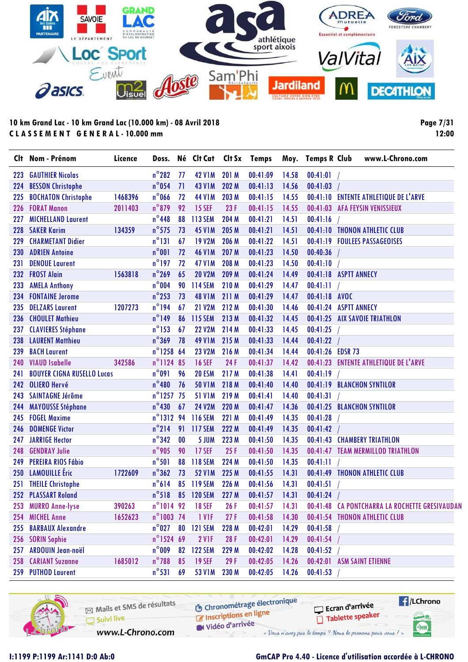

**Page 7/31 12:00**

|            | Clt Nom - Prénom                  | Licence | Doss.               |    | Né Clt Cat       | Clt Sx | <b>Temps</b>     | Moy.  | <b>Temps R Club</b>   | www.L-Chrono.com                               |
|------------|-----------------------------------|---------|---------------------|----|------------------|--------|------------------|-------|-----------------------|------------------------------------------------|
| 223        | <b>GAUTHIER Nicolas</b>           |         | $n^{\circ}282$      | 77 | <b>42 V1M</b>    | 201 M  | 00:41:09         | 14.58 | 00:41:01              |                                                |
| 224        | <b>BESSON Christophe</b>          |         | $n^{\circ}$ 054     | 71 | <b>43 V1M</b>    | 202 M  | 00:41:13         | 14.56 | 00:41:03              |                                                |
| 225        | <b>BOCHATON Christophe</b>        | 1468396 | $n^{\circ}$ 066     | 72 | <b>44 V1M</b>    | 203 M  | 00:41:15         | 14.55 |                       | 00:41:10 ENTENTE ATHLETIQUE DE L'ARVE          |
| 226        | <b>FORAT Manon</b>                | 2011403 | $n^{\circ}879$      | 92 | <b>15 SEF</b>    | 23F    | 00:41:15         | 14.55 |                       | 00:41:03 AFA FEYSIN VENISSIEUX                 |
| 227        | <b>MICHELLAND Laurent</b>         |         | $n^{\circ}$ 448     | 88 | 113 SEM          | 204 M  | 00:41:21         | 14.51 | 00:41:16              |                                                |
| 228        | <b>SAKER Karim</b>                | 134359  | $n^{\circ}$ 575     | 73 | <b>45 V1M</b>    | 205 M  | 00:41:21         | 14.51 |                       | 00:41:10 THONON ATHLETIC CLUB                  |
| 229        | <b>CHARMETANT Didier</b>          |         | $n^{\circ}131$      | 67 | <b>19 V2M</b>    | 206 M  | 00:41:22         | 14.51 |                       | 00:41:19 FOULEES PASSAGEOISES                  |
| <b>230</b> | <b>ADRIEN Antoine</b>             |         | $n^{\circ}001$      | 72 | <b>46 V1M</b>    | 207 M  | 00:41:23         | 14.50 | 00:40:36              |                                                |
| 231        | <b>DENOUE Laurent</b>             |         | $n^{\circ}$ 197     | 72 | <b>47 V1M</b>    | 208 M  | 00:41:23         | 14.50 | 00:41:10              |                                                |
| 232        | <b>FROST Alain</b>                | 1563818 | $n^{\circ}$ 269     | 65 | <b>20 V2M</b>    | 209 M  | 00:41:24         | 14.49 | 00:41:18 ASPTT ANNECY |                                                |
| 233        | <b>AMELA Anthony</b>              |         | $n^{\circ}$ 004     | 90 | <b>114 SEM</b>   | 210 M  | 00:41:29         | 14.47 | 00:41:11              |                                                |
| 234        | <b>FONTAINE Jerome</b>            |         | $n^{\circ}$ 253     | 73 | <b>48 V1M</b>    | 211 M  | 00:41:29         | 14.47 | 00:41:18 AVOC         |                                                |
| 235        | <b>DELZARS Laurent</b>            | 1207273 | $n^{\circ}$ 194     | 67 | <b>21 V2M</b>    | 212 M  | 00:41:30         | 14.46 | 00:41:24 ASPTT ANNECY |                                                |
| 236        | <b>CHOULET Mathieu</b>            |         | $n^{\circ}$ 149     | 86 | 115 SEM          | 213 M  | 00:41:32         | 14.45 |                       | 00:41:25 AIX SAVOIE TRIATHLON                  |
| 237        | <b>CLAVIERES Stéphane</b>         |         | $n^{\circ}$ 153     | 67 | <b>22 V2M</b>    | 214 M  | 00:41:33         | 14.45 | 00:41:25              |                                                |
| 238        | <b>LAURENT Matthieu</b>           |         | $n^{\circ}369$      | 78 | <b>49 V1M</b>    | 215 M  | 00:41:33         | 14.44 | 00:41:22              |                                                |
| 239        | <b>BACH Laurent</b>               |         | $n^{\circ}$ 1258 64 |    | <b>23 V2M</b>    | 216 M  | 00:41:34         | 14.44 | 00:41:26 EDSR 73      |                                                |
| 240        | <b>VIAUD Isabelle</b>             | 342586  | n°1124 85           |    | <b>16 SEF</b>    | 24F    | 00:41:37         | 14.42 |                       | 00:41:23 ENTENTE ATHLETIQUE DE L'ARVE          |
| 241        | <b>BOUYER CIGNA RUSELLO Lucas</b> |         | $n^{\circ}091$      | 96 | <b>20 ESM</b>    | 217 M  | 00:41:38         | 14.41 | 00:41:19              |                                                |
| 242        | <b>OLIERO Hervé</b>               |         | $n^{\circ}480$      | 76 | <b>50 V1M</b>    | 218 M  | 00:41:40         | 14.40 |                       | 00:41:19 BLANCHON SYNTILOR                     |
| 243        | <b>SAINTAGNE Jérôme</b>           |         | $n^{\circ}$ 1257    | 75 | <b>51 V1M</b>    | 219 M  | 00:41:41         | 14.40 | 00:41:31              |                                                |
| 244        | <b>MAYOUSSE Stéphane</b>          |         | $n^{\circ}$ 430     | 67 | <b>24 V2M</b>    | 220 M  | 00:41:47         | 14.36 |                       | 00:41:25 BLANCHON SYNTILOR                     |
| 245        | <b>FOGEL Maxime</b>               |         | n°1312 94           |    | <b>116 SEM</b>   | 221 M  | 00:41:49         | 14.35 | 00:41:28              |                                                |
| 246        | <b>DOMENGE Victor</b>             |         | $n^{\circ}$ 214     |    | 91 117 SEM       | 222 M  | 00:41:49         | 14.35 | 00:41:42              |                                                |
| 247        | <b>JARRIGE Hector</b>             |         | $n^{\circ}342$      | 00 | 5 JUM            | 223 M  | 00:41:50         | 14.35 |                       | 00:41:43 CHAMBERY TRIATHLON                    |
| 248        | <b>GENDRAY Julie</b>              |         | $n^{\circ}$ 905     | 90 | <b>17 SEF</b>    | 25F    | 00:41:50         | 14.35 |                       | 00:41:47 TEAM MERMILLOD TRIATHLON              |
| 249        | PEREIRA RIOS Fábio                |         | $n^{\circ}501$      | 88 | <b>118 SEM</b>   | 224 M  | 00:41:50         | 14.35 | 00:41:11              |                                                |
| 250        | <b>LAMOUILLE</b> Eric             | 1722609 | $n^{\circ}362$      | 73 | <b>52 V1M</b>    | 225 M  | 00:41:55         | 14.31 |                       | 00:41:49 THONON ATHLETIC CLUB                  |
| 251        | <b>THEILE Christophe</b>          |         | $n^{\circ}614$      |    | 85 119 SEM       | 226 M  | 00:41:56         | 14.31 | 00:41:51              |                                                |
|            | 252 PLASSART Roland               |         | $n^{\circ}518$      |    | 85 120 SEM       | 227 M  | 00:41:57         | 14.31 | 00:41:24              |                                                |
|            | 253 MURRO Anne-lyse               | 390263  |                     |    | n°1014 92 18 SEF | 26F    | $00:41:57$ 14.31 |       |                       | 00:41:48 CA PONTCHARRA LA ROCHETTE GRESIVAUDAN |
| 254        | <b>MICHEL Anne</b>                | 1652623 | n°1003 74           |    | 1 VIF            | 27F    | 00:41:58         | 14.30 |                       | 00:41:54 THONON ATHLETIC CLUB                  |
| 255        | <b>BARBAUX Alexandre</b>          |         | $n^{\circ}027$      | 80 | <b>121 SEM</b>   | 228 M  | 00:42:01         | 14.29 | 00:41:58              |                                                |
| 256        | <b>SORIN Sophie</b>               |         | $n^{\circ}$ 1524 69 |    | 2 VIF            | 28F    | 00:42:01         | 14.29 | 00:41:54              |                                                |
| 257        | <b>ARDOUIN Jean-noël</b>          |         | $n^{\circ}$ 009     | 82 | <b>122 SEM</b>   | 229 M  | 00:42:02         | 14.28 | 00:41:52              |                                                |
| 258        | <b>CARIANT Suzanne</b>            | 1685012 | $n^{\circ}$ 788     | 85 | <b>19 SEF</b>    | 29 F   | 00:42:05         | 14.26 |                       | 00:42:01 ASM SAINT ETIENNE                     |
|            | 259 PUTHOD Laurent                |         | $n^{\circ}531$      | 69 | <b>53 V1M</b>    | 230 M  | 00:42:05         | 14.26 | 00:41:53              |                                                |

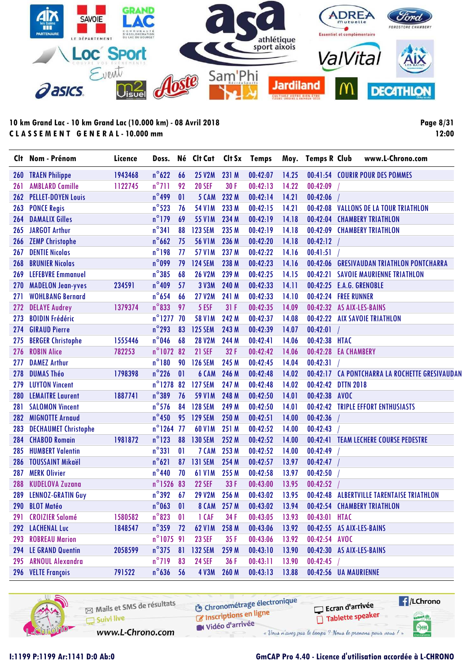

**Page 8/31 12:00**

|            | Clt Nom - Prénom            | Licence | Doss.            |                          | Né Clt Cat     | Clt Sx      | <b>Temps</b> | Moy.  | <b>Temps R Club</b> | www.L-Chrono.com                               |
|------------|-----------------------------|---------|------------------|--------------------------|----------------|-------------|--------------|-------|---------------------|------------------------------------------------|
| <b>260</b> | <b>TRAEN Philippe</b>       | 1943468 | $n^{\circ}622$   | 66                       | <b>25 V2M</b>  | 231 M       | 00:42:07     | 14.25 |                     | 00:41:54 COURIR POUR DES POMMES                |
| 261        | <b>AMBLARD Camille</b>      | 1122745 | $n^{\circ}$ 711  | 92                       | <b>20 SEF</b>  | 30 F        | 00:42:13     | 14.22 | 00:42:09            |                                                |
| 262        | <b>PELLET-DOYEN Louis</b>   |         | $n^{\circ}$ 499  | 01                       | 5 CAM          | 232 M       | 00:42:14     | 14.21 | 00:42:06            |                                                |
| 263        | <b>PONCE Regis</b>          |         | $n^{\circ}$ 523  | 76                       | <b>54 V1M</b>  | 233 M       | 00:42:15     | 14.21 |                     | 00:42:08 VALLONS DE LA TOUR TRIATHLON          |
| 264        | <b>DAMALIX Gilles</b>       |         | $n^{\circ}$ 179  | 69                       | <b>55 V1M</b>  | 234 M       | 00:42:19     | 14.18 |                     | 00:42:04 CHAMBERY TRIATHLON                    |
| 265        | <b>JARGOT Arthur</b>        |         | $n^{\circ}341$   | 88                       | <b>123 SEM</b> | 235 M       | 00:42:19     | 14.18 |                     | 00:42:09 CHAMBERY TRIATHLON                    |
| 266        | <b>ZEMP Christophe</b>      |         | $n^{\circ}$ 662  | 75                       | <b>56 V1M</b>  | 236 M       | 00:42:20     | 14.18 | $00:42:12$ /        |                                                |
| 267        | <b>DENTIE Nicolas</b>       |         | $n^{\circ}$ 198  | 77                       | <b>57 V1M</b>  | 237 M       | 00:42:22     | 14.16 | 00:41:51            |                                                |
| 268        | <b>BRUNIER Nicolas</b>      |         | $n^{\circ}$ 099  | 79                       | <b>124 SEM</b> | 238 M       | 00:42:23     | 14.16 |                     | 00:42:06 GRESIVAUDAN TRIATHLON PONTCHARRA      |
| 269        | <b>LEFEBVRE Emmanuel</b>    |         | $n^{\circ}385$   | 68                       | <b>26 V2M</b>  | 239 M       | 00:42:25     | 14.15 |                     | 00:42:21 SAVOIE MAURIENNE TRIATHLON            |
| 270        | <b>MADELON Jean-yves</b>    | 234591  | $n^{\circ}$ 409  | 57                       | 3 V3M          | 240 M       | 00:42:33     | 14.11 |                     | 00:42:25 E.A.G. GRENOBLE                       |
| 271        | <b>WOHLBANG Bernard</b>     |         | $n^{\circ}$ 654  | 66                       | <b>27 V2M</b>  | 241 M       | 00:42:33     | 14.10 |                     | 00:42:24 FREE RUNNER                           |
| 272        | <b>DELAYE Audrey</b>        | 1379374 | $n^{\circ}833$   | 97                       | 5 ESF          | 31F         | 00:42:35     | 14.09 |                     | 00:42:32 AS AIX-LES-BAINS                      |
| 273        | <b>BOIDIN Frédéric</b>      |         | n°1277 70        |                          | <b>58 V1M</b>  | 242 M       | 00:42:37     | 14.08 |                     | 00:42:22 AIX SAVOIE TRIATHLON                  |
| 274        | <b>GIRAUD Pierre</b>        |         | $n^{\circ}$ 293  | 83                       | <b>125 SEM</b> | 243 M       | 00:42:39     | 14.07 | 00:42:01            |                                                |
| 275        | <b>BERGER Christophe</b>    | 1555446 | $n^{\circ}$ 046  | 68                       | <b>28 V2M</b>  | 244 M       | 00:42:41     | 14.06 | 00:42:38 HTAC       |                                                |
| 276        | <b>ROBIN Alice</b>          | 782253  | n°1072 82        |                          | <b>21 SEF</b>  | 32F         | 00:42:42     | 14.06 |                     | 00:42:28 EA CHAMBERY                           |
| 277        | <b>DAMEZ Arthur</b>         |         | $n^{\circ}180$   | 90                       | <b>126 SEM</b> | 245 M       | 00:42:45     | 14.04 | 00:42:31            |                                                |
| 278        | <b>DUMAS Théo</b>           | 1798398 | $n^{\circ}$ 226  | $\mathbf{0}$             | 6 CAM          | 246 M       | 00:42:48     | 14.02 |                     | 00:42:17 CA PONTCHARRA LA ROCHETTE GRESIVAUDAN |
| 279        | <b>LUYTON Vincent</b>       |         | $n^{\circ}$ 1278 | 82                       | <b>127 SEM</b> | 247 M       | 00:42:48     | 14.02 |                     | 00:42:42 DTTN 2018                             |
| 280        | <b>LEMAITRE Laurent</b>     | 1887741 | $n^{\circ}389$   | 76                       | <b>59 V1M</b>  | 248 M       | 00:42:50     | 14.01 | 00:42:38 AVOC       |                                                |
| 281        | <b>SALOMON Vincent</b>      |         | $n^{\circ}$ 576  | 84                       | <b>128 SEM</b> | 249 M       | 00:42:50     | 14.01 |                     | 00:42:42 TRIPLE EFFORT ENTHUSIASTS             |
| 282        | <b>MIGNOTTE Arnaud</b>      |         | $n^{\circ}$ 450  |                          | 95 129 SEM     | 250 M       | 00:42:51     | 14.00 | 00:42:36            |                                                |
| 283        | <b>DECHAUMET Christophe</b> |         | $n^{\circ}$ 1264 | 77                       | 60 V1M         | 251 M       | 00:42:52     | 14.00 | 00:42:43            |                                                |
| 284        | <b>CHABOD Romain</b>        | 1981872 | $n^{\circ}$ 123  | 88                       | <b>130 SEM</b> | 252 M       | 00:42:52     | 14.00 |                     | 00:42:41 TEAM LECHERE COURSE PEDESTRE          |
| 285        | <b>HUMBERT Valentin</b>     |         | $n^{\circ}331$   | 01                       | 7 CAM          | 253 M       | 00:42:52     | 14.00 | 00:42:49            |                                                |
| 286        | <b>TOUSSAINT Mikaël</b>     |         | $n^{\circ}621$   | 87                       | <b>131 SEM</b> | 254 M       | 00:42:57     | 13.97 | 00:42:47            |                                                |
| 287        | <b>MERK Olivier</b>         |         | $n^{\circ}$ 440  | 70                       | <b>61 V1M</b>  | 255 M       | 00:42:58     | 13.97 | 00:42:50            |                                                |
| 288        | <b>KUDELOVA Zuzana</b>      |         | $n^{\circ}$ 1526 | 83                       | <b>22 SEF</b>  | 33 F        | 00:43:00     | 13.95 | 00:42:52            |                                                |
| 289        | <b>LENNOZ-GRATIN Guy</b>    |         | $n^{\circ}$ 392  | 67                       | <b>29 V2M</b>  | 256 M       | 00:43:02     | 13.95 |                     | 00:42:48 ALBERTVILLE TARENTAISE TRIATHLON      |
|            | 290 BLOT Matéo              |         | $n^{\circ}$ 063  | $\overline{\phantom{0}}$ |                | 8 CAM 257 M | 00:43:02     | 13.94 |                     | 00:42:54 CHAMBERY TRIATHLON                    |
| 291        | <b>CROIZIER Salomé</b>      | 1580582 | $n^{\circ}823$   | 01                       | 1 CAF          | 34 F        | 00:43:05     | 13.93 | 00:43:01 HTAC       |                                                |
|            | 292 LACHENAL Luc            | 1848547 | $n^{\circ}$ 359  | 72                       | <b>62 V1M</b>  | 258 M       | 00:43:06     | 13.92 |                     | 00:42:55 AS AIX-LES-BAINS                      |
|            | 293 ROBREAU Marion          |         | n°107591         |                          | <b>23 SEF</b>  | 35F         | 00:43:06     | 13.92 | 00:42:54 AVOC       |                                                |
|            | 294 LE GRAND Quentin        | 2058599 | $n^{\circ}375$   | 81                       | <b>132 SEM</b> | 259 M       | 00:43:10     | 13.90 |                     | 00:42:30 AS AIX-LES-BAINS                      |
| 295        | <b>ARNOUL Alexandra</b>     |         | $n^{\circ}$ 719  | 83                       | <b>24 SEF</b>  | 36 F        | 00:43:11     | 13.90 | 00:42:45            |                                                |
| 296        | <b>VELTE François</b>       | 791522  | $n^{\circ}$ 636  | 56                       | <b>4 V3M</b>   | 260 M       | 00:43:13     | 13.88 |                     | 00:42:56 UA MAURIENNE                          |

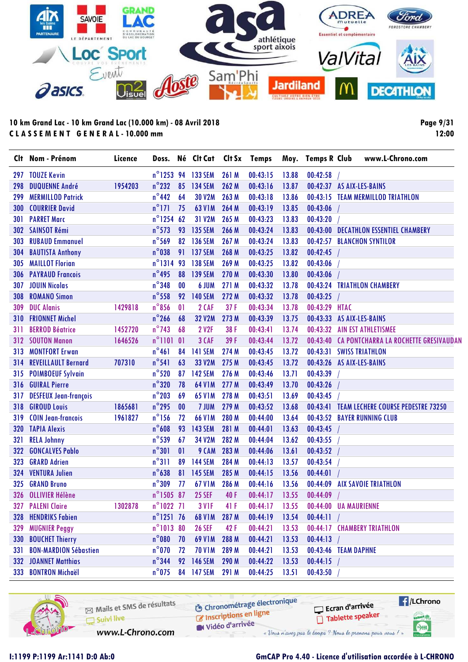

**Page 9/31 12:00**

|     | Clt Nom - Prénom             | Licence | Doss.               |                | Né Clt Cat         |       | Clt Sx Temps |       | Moy. Temps R Club     | www.L-Chrono.com                               |
|-----|------------------------------|---------|---------------------|----------------|--------------------|-------|--------------|-------|-----------------------|------------------------------------------------|
|     | 297 TOUZE Kevin              |         |                     |                | n°1253 94 133 SEM  | 261 M | 00:43:15     | 13.88 | 00:42:58              |                                                |
| 298 | <b>DUQUENNE André</b>        | 1954203 | $n^{\circ}$ 232     | 85             | 134 SEM            | 262 M | 00:43:16     | 13.87 |                       | 00:42:37 AS AIX-LES-BAINS                      |
| 299 | <b>MERMILLOD Patrick</b>     |         | $n^{\circ}$ 442     | 64             | <b>30 V2M</b>      | 263 M | 00:43:18     | 13.86 |                       | 00:43:15 TEAM MERMILLOD TRIATHLON              |
| 300 | <b>COURRIER David</b>        |         | $n^{\circ}$ 171     | 75             | <b>63 V1M</b>      | 264 M | 00:43:19     | 13.85 | 00:43:06              |                                                |
| 301 | <b>PARRET Marc</b>           |         | $n^{\circ}$ 1254 62 |                | 31 V2M             | 265 M | 00:43:23     | 13.83 | 00:43:20              |                                                |
| 302 | <b>SAINSOT Rémi</b>          |         | $n^{\circ}$ 573     | 93             | <b>135 SEM</b>     | 266 M | 00:43:24     | 13.83 |                       | 00:43:00 DECATHLON ESSENTIEL CHAMBERY          |
| 303 | <b>RUBAUD Emmanuel</b>       |         | $n^{\circ}$ 569     | 82             | <b>136 SEM</b>     | 267 M | 00:43:24     | 13.83 |                       | 00:42:57 BLANCHON SYNTILOR                     |
| 304 | <b>BAUTISTA Anthony</b>      |         | $n^{\circ}$ 038     | 91             | 137 SEM            | 268 M | 00:43:25     | 13.82 | 00:42:45              |                                                |
| 305 | <b>MAILLOT Florian</b>       |         | $n^{\circ}1314$     | 93             | <b>138 SEM</b>     | 269 M | 00:43:25     | 13.82 | 00:43:06              |                                                |
| 306 | <b>PAYRAUD Francois</b>      |         | $n^{\circ}$ 495     | 88             | <b>139 SEM</b>     | 270 M | 00:43:30     | 13.80 | 00:43:06              |                                                |
| 307 | <b>JOUIN Nicolas</b>         |         | $n^{\circ}$ 348     | 00             | 6 JUM              | 271 M | 00:43:32     | 13.78 |                       | 00:43:24 TRIATHLON CHAMBERY                    |
| 308 | <b>ROMANO Simon</b>          |         | $n^{\circ}$ 558     | 92             | <b>140 SEM</b>     | 272 M | 00:43:32     | 13.78 | 00:43:25              |                                                |
| 309 | <b>DUC Alanis</b>            | 1429818 | $n^{\circ}$ 856     | 01             | 2 CAF              | 37F   | 00:43:34     | 13.78 | 00:43:29 HTAC         |                                                |
| 310 | <b>FRIONNET Michel</b>       |         | $n^{\circ}$ 266     | 68             | 32 V2M             | 273 M | 00:43:39     | 13.75 |                       | 00:43:33 AS AIX-LES-BAINS                      |
| 311 | <b>BERROD Béatrice</b>       | 1452720 | $n^{\circ}$ 743     | 68             | <b>2 V2F</b>       | 38 F  | 00:43:41     | 13.74 |                       | 00:43:32 AIN EST ATHLETISMEE                   |
| 312 | <b>SOUTON Manon</b>          | 1646526 | $n^{\circ}1101$     | $\overline{0}$ | 3 CAF              | 39F   | 00:43:44     | 13.72 |                       | 00:43:40 CA PONTCHARRA LA ROCHETTE GRESIVAUDAN |
| 313 | <b>MONTFORT Erwan</b>        |         | $n^{\circ}461$      | 84             | <b>141 SEM</b>     | 274 M | 00:43:45     | 13.72 |                       | 00:43:31 SWISS TRIATHLON                       |
| 314 | <b>REVEILLAULT Bernard</b>   | 707310  | $n^{\circ}541$      | 63             | 33 V2M             | 275 M | 00:43:45     | 13.72 |                       | 00:43:26 AS AIX-LES-BAINS                      |
| 315 | <b>POIMBOEUF Sylvain</b>     |         | $n^{\circ}$ 520     | 87             | <b>142 SEM</b>     | 276 M | 00:43:46     | 13.71 | 00:43:39              |                                                |
| 316 | <b>GUIRAL Pierre</b>         |         | $n^{\circ}320$      | 78             | 64 V1M             | 277 M | 00:43:49     | 13.70 | 00:43:26              |                                                |
| 317 | <b>DESFEUX Jean-françois</b> |         | $n^{\circ}$ 203     | 69             | <b>65 V1M</b>      | 278 M | 00:43:51     | 13.69 | 00:43:45              |                                                |
| 318 | <b>GIROUD Louis</b>          | 1865681 | $n^{\circ}$ 295     | 00             | 7 JUM              | 279 M | 00:43:52     | 13.68 |                       | 00:43:41 TEAM LECHERE COURSE PEDESTRE 73250    |
| 319 | <b>COIN Jean-francois</b>    | 1961827 | $n^{\circ}$ 156     | 72             | <b>66 V1M</b>      | 280 M | 00:44:00     | 13.64 |                       | 00:43:52 BAYER RUNNING CLUB                    |
|     | 320 TAPIA Alexis             |         | $n^{\circ}608$      | 93             | <b>143 SEM</b>     | 281 M | 00:44:01     | 13.63 | 00:43:45              |                                                |
| 321 | <b>RELA Johnny</b>           |         | $n^{\circ}$ 539     | 67             | 34 V2M             | 282 M | 00:44:04     | 13.62 | 00:43:55              |                                                |
| 322 | <b>GONCALVES Pablo</b>       |         | $n^{\circ}301$      | 01             | 9 CAM              | 283 M | 00:44:06     | 13.61 | 00:43:52              |                                                |
| 323 | <b>GRARD Adrien</b>          |         | $n^{\circ}311$      | 89             | <b>144 SEM</b>     | 284 M | 00:44:13     | 13.57 | 00:43:54              |                                                |
| 324 | <b>VENTURA Julien</b>        |         | $n^{\circ}638$      | 81             | <b>145 SEM</b>     | 285 M | 00:44:15     | 13.56 | 00:44:01              |                                                |
| 325 | <b>GRAND Bruno</b>           |         | $n^{\circ}309$      | 77             | <b>67 V1M</b>      | 286 M | 00:44:16     | 13.56 |                       | 00:44:09 AIX SAVOIE TRIATHLON                  |
|     | 326 OLLIVIER Hélène          |         | n°1505 87           |                | <b>25 SEF</b>      | 40F   | 00:44:17     | 13.55 | 00:44:09              |                                                |
|     | 327 PALENI Claire            | 1302878 | $n^{\circ}1022$ 71  |                | 3 V <sub>1</sub> F | 41 F  | 00:44:17     | 13.55 | 00:44:00 UA MAURIENNE |                                                |
| 328 | <b>HENDRIKS Fabien</b>       |         | $n^{\circ}$ 1251 76 |                | <b>68 V1M</b>      | 287 M | 00:44:19     | 13.54 | 00:44:11              |                                                |
|     | 329 MUGNIER Peggy            |         | n°1013 80           |                | <b>26 SEF</b>      | 42F   | 00:44:21     | 13.53 |                       | 00:44:17 CHAMBERY TRIATHLON                    |
|     | 330 BOUCHET Thierry          |         | $n^{\circ}080$      | 70             | <b>69 V1M</b>      | 288 M | 00:44:21     | 13.53 | 00:44:13              |                                                |
| 331 | <b>BON-MARDION Sébastien</b> |         | $n^{\circ}$ 070     | 72             | <b>70 V1M</b>      | 289 M | 00:44:21     | 13.53 | 00:43:46 TEAM DAPHNE  |                                                |
|     | <b>332 JOANNET Matthias</b>  |         | $n^{\circ}$ 344     | 92             | <b>146 SEM</b>     | 290 M | 00:44:22     | 13.53 | 00:44:15              |                                                |
|     | 333 BONTRON Michaël          |         | $n^{\circ}$ 075     |                | 84 147 SEM         | 291 M | 00:44:25     | 13.51 | 00:43:50              |                                                |

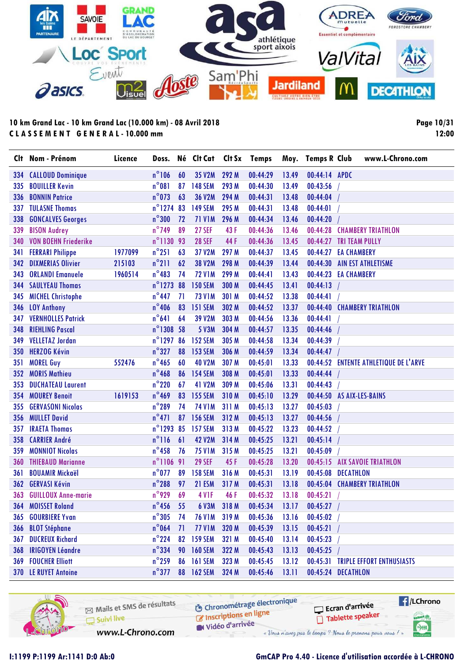

**Page 10/31 12:00**

|     | Clt Nom - Prénom            | Licence | Doss.               |    | Né Clt Cat Clt Sx Temps |             |          |       | Moy. Temps R Club         |                       | www.L-Chrono.com                      |
|-----|-----------------------------|---------|---------------------|----|-------------------------|-------------|----------|-------|---------------------------|-----------------------|---------------------------------------|
| 334 | <b>CALLOUD Dominique</b>    |         | $n^{\circ}106$      | 60 | 35 V2M                  | 292 M       | 00:44:29 | 13.49 | 00:44:14 APDC             |                       |                                       |
| 335 | <b>BOUILLER Kevin</b>       |         | $n^{\circ}081$      | 87 | <b>148 SEM</b>          | 293 M       | 00:44:30 | 13.49 | 00:43:56                  |                       |                                       |
| 336 | <b>BONNIN Patrice</b>       |         | $n^{\circ}$ 073     | 63 | 36 V2M                  | 294 M       | 00:44:31 | 13.48 | 00:44:04                  |                       |                                       |
| 337 | <b>TULASNE Thomas</b>       |         | $n^{\circ}$ 1274    | 83 | <b>149 SEM</b>          | 295 M       | 00:44:31 | 13.48 | 00:44:01                  |                       |                                       |
| 338 | <b>GONCALVES Georges</b>    |         | $n^{\circ}300$      | 72 | <b>71 V1M</b>           | 296 M       | 00:44:34 | 13.46 | 00:44:20                  |                       |                                       |
| 339 | <b>BISON Audrey</b>         |         | $n^{\circ}$ 749     | 89 | <b>27 SEF</b>           | 43F         | 00:44:36 | 13.46 | 00:44:28                  |                       | <b>CHAMBERY TRIATHLON</b>             |
| 340 | <b>VON BOEHN Friederike</b> |         | n°1130 93           |    | <b>28 SEF</b>           | 44 F        | 00:44:36 | 13.45 | 00:44:27                  | <b>TRI TEAM PULLY</b> |                                       |
| 341 | <b>FERRARI Philippe</b>     | 1977099 | $n^{\circ}251$      | 63 | 37 V2M                  | 297 M       | 00:44:37 | 13.45 | 00:44:27                  | <b>EA CHAMBERY</b>    |                                       |
| 342 | <b>DIXMERIAS Olivier</b>    | 215103  | $n^{\circ}$ 211     | 62 | 38 V2M                  | 298 M       | 00:44:39 | 13.44 | 00:44:30                  |                       | <b>AIN EST ATHLETISME</b>             |
| 343 | <b>ORLANDI Emanuele</b>     | 1960514 | $n^{\circ}483$      | 74 | <b>72 V1M</b>           | 299 M       | 00:44:41 | 13.43 | 00:44:23 EA CHAMBERY      |                       |                                       |
| 344 | <b>SAULYEAU Thomas</b>      |         | $n^{\circ}$ 1273    | 88 | <b>150 SEM</b>          | 300 M       | 00:44:45 | 13.41 | 00:44:13                  |                       |                                       |
| 345 | <b>MICHEL Christophe</b>    |         | $n^{\circ}$ 447     | 71 | <b>73 V1M</b>           | 301 M       | 00:44:52 | 13.38 | 00:44:41                  |                       |                                       |
| 346 | <b>LOY Anthony</b>          |         | $n^{\circ}$ 406     | 83 | <b>151 SEM</b>          | 302 M       | 00:44:52 | 13.37 |                           |                       | 00:44:40 CHAMBERY TRIATHLON           |
| 347 | <b>VERNHOLLES Patrick</b>   |         | $n^{\circ}641$      | 64 | 39 V2M                  | 303 M       | 00:44:56 | 13.36 | 00:44:41                  |                       |                                       |
| 348 | <b>RIEHLING Pascal</b>      |         | n°1308 58           |    | <b>5 V3M</b>            | 304 M       | 00:44:57 | 13.35 | 00:44:46                  |                       |                                       |
| 349 | <b>VELLETAZ Jordan</b>      |         | $n^{\circ}$ 1297    | 86 | <b>152 SEM</b>          | 305 M       | 00:44:58 | 13.34 | 00:44:39                  |                       |                                       |
| 350 | <b>HERZOG Kévin</b>         |         | $n^{\circ}327$      | 88 | <b>153 SEM</b>          | 306 M       | 00:44:59 | 13.34 | 00:44:47                  |                       |                                       |
| 351 | <b>MOREL Guy</b>            | 552476  | $n^{\circ}$ 465     | 60 | <b>40 V2M</b>           | 307 M       | 00:45:01 | 13.33 |                           |                       | 00:44:52 ENTENTE ATHLETIQUE DE L'ARVE |
| 352 | <b>MORIS Mathieu</b>        |         | $n^{\circ}$ 468     | 86 | <b>154 SEM</b>          | 308 M       | 00:45:01 | 13.33 | 00:44:44                  |                       |                                       |
| 353 | <b>DUCHATEAU Laurent</b>    |         | $n^{\circ}$ 220     | 67 | 41 V2M                  | 309 M       | 00:45:06 | 13.31 | 00:44:43                  |                       |                                       |
| 354 | <b>MOUREY Benoit</b>        | 1619153 | $n^{\circ}$ 469     | 83 | <b>155 SEM</b>          | 310M        | 00:45:10 | 13.29 | 00:44:50 AS AIX-LES-BAINS |                       |                                       |
| 355 | <b>GERVASONI Nicolas</b>    |         | $n^{\circ}$ 289     | 74 | <b>74 V1M</b>           | 311 M       | 00:45:13 | 13.27 | 00:45:03                  |                       |                                       |
| 356 | <b>MULLET David</b>         |         | $n^{\circ}471$      | 87 | <b>156 SEM</b>          | 312 M       | 00:45:13 | 13.27 | 00:44:56                  |                       |                                       |
| 357 | <b>IRAETA Thomas</b>        |         | $n^{\circ}$ 1293 85 |    | <b>157 SEM</b>          | 313M        | 00:45:22 | 13.23 | 00:44:52                  |                       |                                       |
| 358 | <b>CARRIER André</b>        |         | $n^{\circ}116$      | 61 | <b>42 V2M</b>           | 314 M       | 00:45:25 | 13.21 | 00:45:14                  |                       |                                       |
| 359 | <b>MONNIOT Nicolas</b>      |         | $n^{\circ}$ 458     | 76 | <b>75 V1M</b>           | 315 M       | 00:45:25 | 13.21 | 00:45:09                  |                       |                                       |
| 360 | <b>THIEBAUD Marianne</b>    |         | $n^{\circ}$ 1106 91 |    | <b>29 SEF</b>           | 45F         | 00:45:28 | 13.20 | 00:45:15                  |                       | <b>AIX SAVOIE TRIATHLON</b>           |
| 361 | <b>BOUAMIR Mickaël</b>      |         | $n^{\circ}$ 077     | 89 | <b>158 SEM</b>          | 316 M       | 00:45:31 | 13.19 | 00:45:08                  | <b>DECATHLON</b>      |                                       |
| 362 | <b>GERVASI Kévin</b>        |         | $n^{\circ}$ 288     | 97 | 21 ESM                  | 317 M       | 00:45:31 | 13.18 |                           |                       | 00:45:04 CHAMBERY TRIATHLON           |
| 363 | <b>GUILLOUX Anne-marie</b>  |         | $n^{\circ}$ 929     | 69 | <b>4 V1F</b>            | 46 F        | 00:45:32 | 13.18 | 00:45:21                  |                       |                                       |
|     | 364 MOISSET Roland          |         | $n^{\circ}$ 456     | 55 |                         | 6 V3M 318 M | 00:45:34 | 13.17 | 00:45:27                  |                       |                                       |
|     | 365 GOURBIERE Yvan          |         | $n^{\circ}305$      | 74 | <b>76 V1M</b>           | 319 M       | 00:45:36 | 13.16 | 00:45:02                  |                       |                                       |
|     | 366 BLOT Stéphane           |         | $n^{\circ}$ 064     | 71 | <b>77 V1M</b>           | 320 M       | 00:45:39 | 13.15 | 00:45:21                  |                       |                                       |
|     | <b>367 DUCREUX Richard</b>  |         | $n^{\circ}$ 224     | 82 | <b>159 SEM</b>          | 321 M       | 00:45:40 | 13.14 | 00:45:23                  |                       |                                       |
|     | 368 IRIGOYEN Léandre        |         | $n^{\circ}$ 334     |    | 90 160 SEM              | 322 M       | 00:45:43 | 13.13 | 00:45:25                  |                       |                                       |
|     | <b>369 FOUCHER Elliott</b>  |         | $n^{\circ}$ 259     |    | 86 161 SEM              | 323 M       | 00:45:45 | 13.12 |                           |                       | 00:45:31 TRIPLE EFFORT ENTHUSIASTS    |
|     | 370 LE RUYET Antoine        |         | $n^{\circ}$ 377     |    | 88 162 SEM              | 324 M       | 00:45:46 | 13.11 | 00:45:24 DECATHLON        |                       |                                       |

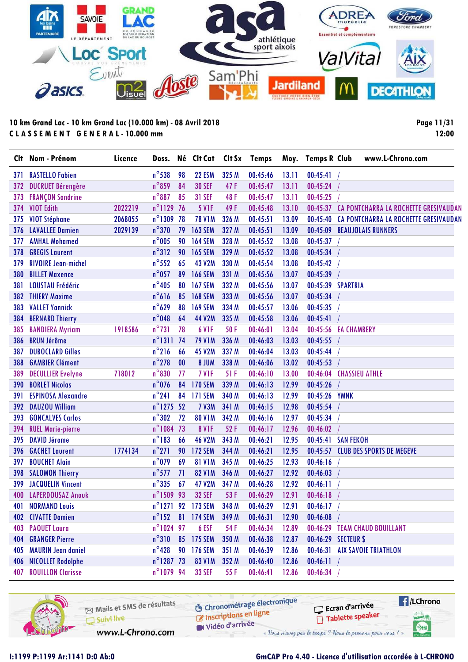

**Page 11/31 12:00**

| Clt. | Nom - Prénom               | Licence | Doss.               |    | Né Clt Cat        | Clt Sx | <b>Temps</b> | Moy.  | <b>Temps R Club</b> | www.L-Chrono.com                               |
|------|----------------------------|---------|---------------------|----|-------------------|--------|--------------|-------|---------------------|------------------------------------------------|
| 371  | <b>RASTELLO Fabien</b>     |         | $n^{\circ}$ 538     | 98 | <b>22 ESM</b>     | 325 M  | 00:45:46     | 13.11 | 00:45:41            |                                                |
| 372  | <b>DUCRUET Bérengère</b>   |         | $n^{\circ}$ 859     | 84 | <b>30 SEF</b>     | 47F    | 00:45:47     | 13.11 | 00:45:24            |                                                |
| 373  | <b>FRANÇON Sandrine</b>    |         | $n^{\circ}887$      | 85 | <b>31 SEF</b>     | 48 F   | 00:45:47     | 13.11 | 00:45:25            |                                                |
| 374  | <b>VIOT Edith</b>          | 2022219 | n°1129 76           |    | <b>5 V1F</b>      | 49 F   | 00:45:48     | 13.10 |                     | 00:45:37 CA PONTCHARRA LA ROCHETTE GRESIVAUDAN |
| 375  | <b>VIOT Stéphane</b>       | 2068055 | $n^{\circ}$ 1309    | 78 | <b>78 V1M</b>     | 326 M  | 00:45:51     | 13.09 |                     | 00:45:40 CA PONTCHARRA LA ROCHETTE GRESIVAUDAN |
| 376  | <b>LAVALLEE Damien</b>     | 2029139 | $n^{\circ}$ 370     | 79 | <b>163 SEM</b>    | 327 M  | 00:45:51     | 13.09 |                     | 00:45:09 BEAUJOLAIS RUNNERS                    |
| 377  | <b>AMHAL Mohamed</b>       |         | $n^{\circ}$ 005     | 90 | <b>164 SEM</b>    | 328 M  | 00:45:52     | 13.08 | 00:45:37            |                                                |
| 378  | <b>GREGIS Laurent</b>      |         | $n^{\circ}312$      | 90 | <b>165 SEM</b>    | 329 M  | 00:45:52     | 13.08 | 00:45:34            |                                                |
| 379  | <b>RIVOIRE Jean-michel</b> |         | $n^{\circ}$ 552     | 65 | <b>43 V2M</b>     | 330 M  | 00:45:54     | 13.08 | 00:45:42            |                                                |
| 380  | <b>BILLET Maxence</b>      |         | $n^{\circ}$ 057     | 89 | <b>166 SEM</b>    | 331 M  | 00:45:56     | 13.07 | 00:45:39            |                                                |
| 381  | <b>LOUSTAU Frédéric</b>    |         | $n^{\circ}405$      | 80 | <b>167 SEM</b>    | 332 M  | 00:45:56     | 13.07 | 00:45:39 SPARTRIA   |                                                |
| 382  | <b>THIERY Maxime</b>       |         | $n^{\circ}616$      | 85 | <b>168 SEM</b>    | 333 M  | 00:45:56     | 13.07 | 00:45:34            |                                                |
| 383  | <b>VALLET Yannick</b>      |         | $n^{\circ}629$      | 88 | <b>169 SEM</b>    | 334 M  | 00:45:57     | 13.06 | 00:45:35            |                                                |
| 384  | <b>BERNARD Thierry</b>     |         | $n^{\circ}$ 048     | 64 | <b>44 V2M</b>     | 335 M  | 00:45:58     | 13.06 | 00:45:41            |                                                |
| 385  | <b>BANDIERA Myriam</b>     | 1918586 | $n^{\circ}731$      | 78 | 6 V <sub>IF</sub> | 50F    | 00:46:01     | 13.04 |                     | 00:45:56 EA CHAMBERY                           |
| 386  | <b>BRUN Jérôme</b>         |         | $n^{\circ}1311$     | 74 | <b>79 V1M</b>     | 336 M  | 00:46:03     | 13.03 | 00:45:55            |                                                |
| 387  | <b>DUBOCLARD Gilles</b>    |         | $n^{\circ}216$      | 66 | <b>45 V2M</b>     | 337 M  | 00:46:04     | 13.03 | 00:45:44            |                                                |
| 388  | <b>GAMBIER Clément</b>     |         | $n^{\circ}$ 278     | 00 | 8 JUM             | 338 M  | 00:46:06     | 13.02 | 00:45:53            |                                                |
| 389  | <b>DECULLIER Evelyne</b>   | 718012  | $n^{\circ}830$      | 77 | 7 V <sub>IF</sub> | 51F    | 00:46:10     | 13.00 |                     | 00:46:04 CHASSIEU ATHLE                        |
| 390  | <b>BORLET Nicolas</b>      |         | $n^{\circ}$ 076     | 84 | <b>170 SEM</b>    | 339 M  | 00:46:13     | 12.99 | 00:45:26            |                                                |
| 391  | <b>ESPINOSA Alexandre</b>  |         | $n^{\circ}241$      | 84 | <b>171 SEM</b>    | 340 M  | 00:46:13     | 12.99 | 00:45:26 YMNK       |                                                |
| 392  | <b>DAUZOU William</b>      |         | $n^{\circ}$ 1275    | 52 | <b>7 V3M</b>      | 341 M  | 00:46:15     | 12.98 | 00:45:54            |                                                |
| 393  | <b>GONCALVES Carlos</b>    |         | $n^{\circ}302$      | 72 | <b>80 V1M</b>     | 342 M  | 00:46:16     | 12.97 | 00:45:34            |                                                |
| 394  | <b>RUEL Marie-pierre</b>   |         | n°1084 73           |    | <b>8 V1F</b>      | 52F    | 00:46:17     | 12.96 | 00:46:02            |                                                |
| 395  | <b>DAVID Jérome</b>        |         | $n^{\circ}183$      | 66 | <b>46 V2M</b>     | 343 M  | 00:46:21     | 12.95 |                     | 00:45:41 SAN FEKOH                             |
| 396  | <b>GACHET Laurent</b>      | 1774134 | $n^{\circ}271$      | 90 | <b>172 SEM</b>    | 344 M  | 00:46:21     | 12.95 |                     | 00:45:57 CLUB DES SPORTS DE MEGEVE             |
| 397  | <b>BOUCHET Alain</b>       |         | $n^{\circ}$ 079     | 69 | <b>81 V1M</b>     | 345 M  | 00:46:25     | 12.93 | 00:46:16            |                                                |
| 398  | <b>SALOMON Thierry</b>     |         | $n^{\circ}$ 577     | 71 | <b>82 V1M</b>     | 346 M  | 00:46:27     | 12.92 | 00:46:03            |                                                |
| 399  | <b>JACQUELIN Vincent</b>   |         | $n^{\circ}335$      | 67 | 47 V2M            | 347 M  | 00:46:28     | 12.92 | 00:46:11            |                                                |
| 400  | <b>LAPERDOUSAZ Anouk</b>   |         | n°1509 93           |    | <b>32 SEF</b>     | 53 F   | 00:46:29     | 12.91 | 00:46:18            |                                                |
|      | 401 NORMAND Louis          |         |                     |    | n°1271 92 173 SEM | 348 M  | 00:46:29     | 12.91 | 00:46:17            |                                                |
|      | <b>402 CIVATTE Damien</b>  |         | $n^{\circ}$ 152     | 81 | 174 SEM           | 349 M  | 00:46:31     | 12.90 | 00:46:08            |                                                |
|      | 403 PAQUET Laura           |         | n°1024 97           |    | 6 ESF             | 54 F   | 00:46:34     | 12.89 |                     | 00:46:29 TEAM CHAUD BOUILLANT                  |
| 404  | <b>GRANGER Pierre</b>      |         | $n^{\circ}310$      | 85 | 175 SEM           | 350 M  | 00:46:38     | 12.87 |                     | 00:46:29 SECTEUR \$                            |
| 405  | <b>MAURIN Jean daniel</b>  |         | $n^{\circ}$ 428     | 90 | 176 SEM           | 351 M  | 00:46:39     | 12.86 |                     | 00:46:31 AIX SAVOIE TRIATHLON                  |
|      | 406 NICOLLET Rodolphe      |         | $n^{\circ}$ 1287 73 |    | <b>83 V1M</b>     | 352 M  | 00:46:40     | 12.86 | 00:46:11            |                                                |
| 407  | <b>ROUILLON Clarisse</b>   |         | n°1079 94           |    | <b>33 SEF</b>     | 55 F   | 00:46:41     | 12.86 | 00:46:34            |                                                |

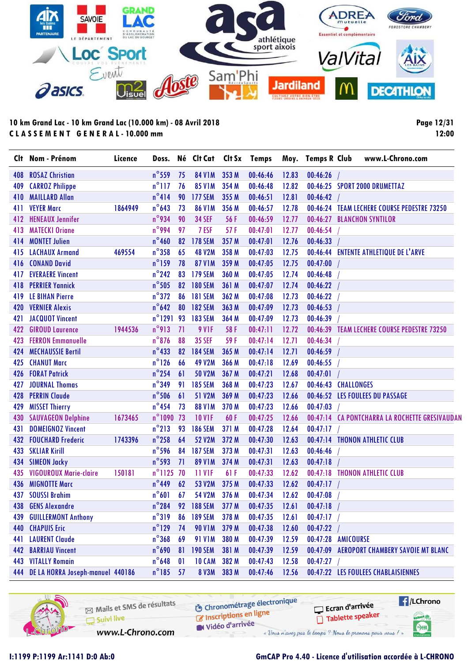

**Page 12/31 12:00**

|     | Clt Nom - Prénom                     | Licence | Doss.            |              | Né Clt Cat Clt Sx Temps |       |          |       | Moy. Temps R Club   | www.L-Chrono.com                               |
|-----|--------------------------------------|---------|------------------|--------------|-------------------------|-------|----------|-------|---------------------|------------------------------------------------|
| 408 | <b>ROSAZ Christian</b>               |         | $n^{\circ}$ 559  | 75           | <b>84 V1M</b>           | 353 M | 00:46:46 | 12.83 | 00:46:26            |                                                |
| 409 | <b>CARROZ Philippe</b>               |         | $n^{\circ}$ 117  | 76           | <b>85 V1M</b>           | 354 M | 00:46:48 | 12.82 |                     | 00:46:25 SPORT 2000 DRUMETTAZ                  |
| 410 | <b>MAILLARD Allan</b>                |         | $n^{\circ}414$   | 90           | <b>177 SEM</b>          | 355 M | 00:46:51 | 12.81 | 00:46:42            |                                                |
| 411 | <b>VEYER Marc</b>                    | 1864949 | $n^{\circ}$ 643  | 73           | <b>86 V1M</b>           | 356 M | 00:46:57 | 12.78 |                     | 00:46:24 TEAM LECHERE COURSE PEDESTRE 73250    |
| 412 | <b>HENEAUX Jennifer</b>              |         | n°934            | 90           | <b>34 SEF</b>           | 56 F  | 00:46:59 | 12.77 |                     | 00:46:27 BLANCHON SYNTILOR                     |
| 413 | <b>MATECKI Oriane</b>                |         | $n^{\circ}$ 994  | 97           | 7 ESF                   | 57F   | 00:47:01 | 12.77 | 00:46:54            |                                                |
| 414 | <b>MONTET Julien</b>                 |         | $n^{\circ}$ 460  |              | 82 178 SEM              | 357 M | 00:47:01 | 12.76 | 00:46:33            |                                                |
| 415 | <b>LACHAUX Armand</b>                | 469554  | $n^{\circ}358$   | 65           | <b>48 V2M</b>           | 358 M | 00:47:03 | 12.75 |                     | 00:46:44 ENTENTE ATHLETIQUE DE L'ARVE          |
| 416 | <b>CONAND David</b>                  |         | $n^{\circ}$ 159  | 78           | <b>87 V1M</b>           | 359 M | 00:47:05 | 12.75 | 00:47:00            |                                                |
| 417 | <b>EVERAERE Vincent</b>              |         | $n^{\circ}$ 242  | 83           | <b>179 SEM</b>          | 360 M | 00:47:05 | 12.74 | 00:46:48            |                                                |
| 418 | <b>PERRIER Yannick</b>               |         | $n^{\circ}$ 505  | 82           | <b>180 SEM</b>          | 361 M | 00:47:07 | 12.74 | 00:46:22            |                                                |
| 419 | <b>LE BIHAN Pierre</b>               |         | $n^{\circ}372$   | 86           | <b>181 SEM</b>          | 362 M | 00:47:08 | 12.73 | 00:46:22            |                                                |
| 420 | <b>VERNIER Alexis</b>                |         | $n^{\circ}$ 642  | 80           | 182 SEM                 | 363 M | 00:47:09 | 12.73 | 00:46:53            |                                                |
| 421 | <b>JACQUOT Vincent</b>               |         | $n^{\circ}$ 1291 | 93           | <b>183 SEM</b>          | 364 M | 00:47:09 | 12.73 | 00:46:39            |                                                |
| 422 | <b>GIROUD Laurence</b>               | 1944536 | $n^{\circ}913$   | 71           | 9 VIF                   | 58F   | 00:47:11 | 12.72 |                     | 00:46:39 TEAM LECHERE COURSE PEDESTRE 73250    |
| 423 | <b>FERRON Emmanuelle</b>             |         | $n^{\circ}$ 876  | 88           | <b>35 SEF</b>           | 59F   | 00:47:14 | 12.71 | 00:46:34            |                                                |
| 424 | <b>MECHAUSSIE Bertil</b>             |         | $n^{\circ}433$   | 82           | <b>184 SEM</b>          | 365 M | 00:47:14 | 12.71 | 00:46:59            |                                                |
| 425 | <b>CHANUT Marc</b>                   |         | $n^{\circ}$ 126  | 66           | <b>49 V2M</b>           | 366 M | 00:47:18 | 12.69 | 00:46:55            |                                                |
| 426 | <b>FORAT Patrick</b>                 |         | $n^{\circ}$ 254  | 61           | <b>50 V2M</b>           | 367 M | 00:47:21 | 12.68 | 00:47:01            |                                                |
| 427 | <b>JOURNAL Thomas</b>                |         | $n^{\circ}$ 349  | 91           | <b>185 SEM</b>          | 368 M | 00:47:23 | 12.67 | 00:46:43 CHALLONGES |                                                |
| 428 | <b>PERRIN Claude</b>                 |         | $n^{\circ}$ 506  | 61           | 51 V2M                  | 369 M | 00:47:23 | 12.66 |                     | 00:46:52 LES FOULEES DU PASSAGE                |
| 429 | <b>MISSET Thierry</b>                |         | $n^{\circ}$ 454  | 73           | <b>88 V1M</b>           | 370 M | 00:47:23 | 12.66 | 00:47:03            |                                                |
| 430 | <b>SAUVAGEON Delphine</b>            | 1673465 | n°1090 73        |              | <b>10 V1F</b>           | 60F   | 00:47:25 | 12.66 |                     | 00:47:14 CA PONTCHARRA LA ROCHETTE GRESIVAUDAN |
| 431 | <b>DOMEIGNOZ Vincent</b>             |         | $n^{\circ}$ 213  | 93           | <b>186 SEM</b>          | 371 M | 00:47:28 | 12.64 | 00:47:17            |                                                |
| 432 | <b>FOUCHARD Frederic</b>             | 1743396 | $n^{\circ}$ 258  | 64           | <b>52 V2M</b>           | 372 M | 00:47:30 | 12.63 |                     | 00:47:14 THONON ATHLETIC CLUB                  |
| 433 | <b>SKLIAR Kirill</b>                 |         | $n^{\circ}$ 596  | 84           | <b>187 SEM</b>          | 373 M | 00:47:31 | 12.63 | 00:46:46            |                                                |
| 434 | <b>SIMEON Jacky</b>                  |         | $n^{\circ}$ 593  | 71           | <b>89 V1M</b>           | 374 M | 00:47:31 | 12.63 | 00:47:18            |                                                |
| 435 | <b>VIGOUROUX Marie-claire</b>        | 150181  | $n^{\circ}$ 1125 | 70           | <b>11 V1F</b>           | 61F   | 00:47:33 | 12.62 |                     | 00:47:18 THONON ATHLETIC CLUB                  |
| 436 | <b>MIGNOTTE Marc</b>                 |         | $n^{\circ}$ 449  | 62           | 53 V2M                  | 375 M | 00:47:33 | 12.62 | $00:47:17$ /        |                                                |
|     | 437 SOUSSI Brahim                    |         | $n^{\circ}601$   | 67           | 54 V2M                  | 376 M | 00:47:34 | 12.62 | 00:47:08            |                                                |
|     | 438 GENS Alexandre                   |         | $n^{\circ}$ 284  |              | 92 188 SEM              | 377 M | 00:47:35 | 12.61 | 00:47:18            |                                                |
| 439 | <b>GUILLERMONT Anthony</b>           |         | $n^{\circ}319$   | 86           | <b>189 SEM</b>          | 378 M | 00:47:35 | 12.61 | 00:47:17            |                                                |
|     | <b>440 CHAPUIS Eric</b>              |         | $n^{\circ}$ 129  | 74           | <b>90 V1M</b>           | 379 M | 00:47:38 | 12.60 | 00:47:22            |                                                |
| 441 | <b>LAURENT Claude</b>                |         | $n^{\circ}$ 368  | 69           | <b>91 V1M</b>           | 380 M | 00:47:39 | 12.59 | 00:47:28 AMICOURSE  |                                                |
|     | <b>442 BARRIAU Vincent</b>           |         | $n^{\circ}$ 690  | 81           | <b>190 SEM</b>          | 381 M | 00:47:39 | 12.59 |                     | 00:47:09 AEROPORT CHAMBERY SAVOIE MT BLANC     |
|     | <b>443 VITALLY Romain</b>            |         | $n^{\circ}$ 648  | $\mathbf{0}$ | 10 CAM                  | 382 M | 00:47:43 | 12.58 | 00:47:27            |                                                |
|     | 444 DE LA HORRA Joseph-manuel 440186 |         | $n^{\circ}185$   | 57           | <b>8 V3M</b>            | 383 M | 00:47:46 | 12.56 |                     | 00:47:22 LES FOULEES CHABLAISIENNES            |

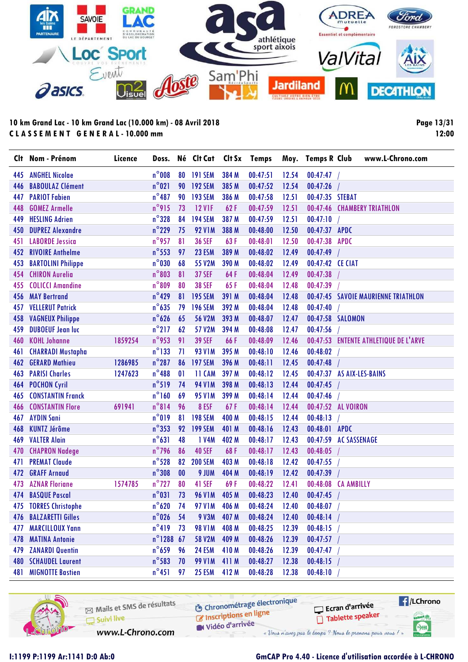

**Page 13/31 12:00**

| Clt | Nom - Prénom                | Licence |                     |              | Doss. Né Clt Cat |       | Clt Sx Temps |       | Moy. Temps R Club         |                     | www.L-Chrono.com                      |
|-----|-----------------------------|---------|---------------------|--------------|------------------|-------|--------------|-------|---------------------------|---------------------|---------------------------------------|
| 445 | <b>ANGHEL Nicolae</b>       |         | $n^{\circ}$ 008     |              | 80 191 SEM       | 384 M | 00:47:51     | 12.54 | 00:47:47                  |                     |                                       |
| 446 | <b>BABOULAZ Clément</b>     |         | $n^{\circ}021$      |              | 90 192 SEM       | 385 M | 00:47:52     | 12.54 | 00:47:26                  |                     |                                       |
| 447 | <b>PARIOT Fabien</b>        |         | $n^{\circ}487$      | 90           | <b>193 SEM</b>   | 386 M | 00:47:58     | 12.51 | 00:47:35 STEBAT           |                     |                                       |
| 448 | <b>GOMEZ Armelle</b>        |         | n°915               | 73           | <b>12 V1F</b>    | 62F   | 00:47:59     | 12.51 | 00:47:46                  |                     | <b>CHAMBERY TRIATHLON</b>             |
| 449 | <b>HESLING Adrien</b>       |         | $n^{\circ}328$      | 84           | <b>194 SEM</b>   | 387 M | 00:47:59     | 12.51 | 00:47:10                  |                     |                                       |
| 450 | <b>DUPREZ Alexandre</b>     |         | $n^{\circ}$ 229     | 75           | <b>92 V1M</b>    | 388 M | 00:48:00     | 12.50 | 00:47:37 APDC             |                     |                                       |
| 451 | <b>LABORDE Jessica</b>      |         | $n^{\circ}$ 957     | 81           | <b>36 SEF</b>    | 63F   | 00:48:01     | 12.50 | 00:47:38                  | <b>APDC</b>         |                                       |
| 452 | <b>RIVOIRE Anthelme</b>     |         | $n^{\circ}$ 553     | 97           | 23 ESM           | 389 M | 00:48:02     | 12.49 | 00:47:49                  |                     |                                       |
| 453 | <b>BARTOLINI Philippe</b>   |         | $n^{\circ}$ 030     | 68           | 55 V2M           | 390 M | 00:48:02     | 12.49 | 00:47:42 CE CIAT          |                     |                                       |
| 454 | <b>CHIRON Aurelia</b>       |         | $n^{\circ}803$      | 81           | <b>37 SEF</b>    | 64F   | 00:48:04     | 12.49 | 00:47:38                  |                     |                                       |
| 455 | <b>COLICCI Amandine</b>     |         | $n^{\circ}809$      | 80           | <b>38 SEF</b>    | 65F   | 00:48:04     | 12.48 | 00:47:39                  |                     |                                       |
| 456 | <b>MAY Bertrand</b>         |         | $n^{\circ}$ 429     | 81           | <b>195 SEM</b>   | 391 M | 00:48:04     | 12.48 |                           |                     | 00:47:45 SAVOIE MAURIENNE TRIATHLON   |
| 457 | <b>VELLERUT Patrick</b>     |         | $n^{\circ}$ 635     | 79           | <b>196 SEM</b>   | 392 M | 00:48:04     | 12.48 | 00:47:40                  |                     |                                       |
| 458 | <b>VAGNEUX Philippe</b>     |         | $n^{\circ}626$      | 65           | <b>56 V2M</b>    | 393 M | 00:48:07     | 12.47 | 00:47:58 SALOMON          |                     |                                       |
| 459 | <b>DUBOEUF Jean luc</b>     |         | $n^{\circ}$ 217     | 62           | 57 V2M           | 394 M | 00:48:08     | 12.47 | 00:47:56                  |                     |                                       |
| 460 | <b>KOHL Johanne</b>         | 1859254 | $n^{\circ}$ 953     | 91           | <b>39 SEF</b>    | 66F   | 00:48:09     | 12.46 |                           |                     | 00:47:53 ENTENTE ATHLETIQUE DE L'ARVE |
| 461 | <b>CHARRADI Mustapha</b>    |         | $n^{\circ}$ 133     | 71           | <b>93 V1M</b>    | 395 M | 00:48:10     | 12.46 | 00:48:02                  |                     |                                       |
| 462 | <b>GERARD Mathieu</b>       | 1286985 | $n^{\circ}287$      | 86           | <b>197 SEM</b>   | 396 M | 00:48:11     | 12.45 | 00:47:48                  |                     |                                       |
| 463 | <b>PARISI Charles</b>       | 1247623 | $n^{\circ}$ 488     | $\mathbf{0}$ | 11 CAM           | 397 M | 00:48:12     | 12.45 | 00:47:37 AS AIX-LES-BAINS |                     |                                       |
| 464 | <b>POCHON Cyril</b>         |         | $n^{\circ}519$      | 74           | <b>94 V1M</b>    | 398 M | 00:48:13     | 12.44 | 00:47:45                  |                     |                                       |
| 465 | <b>CONSTANTIN Franck</b>    |         | $n^{\circ}$ 160     | 69           | <b>95 V1M</b>    | 399 M | 00:48:14     | 12.44 | 00:47:46                  |                     |                                       |
| 466 | <b>CONSTANTIN Flore</b>     | 691941  | $n^{\circ}814$      | 96           | 8 ESF            | 67F   | 00:48:14     | 12.44 | 00:47:52 AL VOIRON        |                     |                                       |
| 467 | <b>AYDIN Sani</b>           |         | $n^{\circ}019$      | 81           | <b>198 SEM</b>   | 400 M | 00:48:15     | 12.44 | 00:48:13                  |                     |                                       |
| 468 | <b>KUNTZ Jérôme</b>         |         | $n^{\circ}353$      |              | 92 199 SEM       | 401 M | 00:48:16     | 12.43 | 00:48:01 APDC             |                     |                                       |
| 469 | <b>VALTER Alain</b>         |         | $n^{\circ}631$      | 48           | 1 V4M            | 402 M | 00:48:17     | 12.43 | 00:47:59                  | <b>AC SASSENAGE</b> |                                       |
| 470 | <b>CHAPRON Nadege</b>       |         | $n^{\circ}$ 796     | 86           | <b>40 SEF</b>    | 68F   | 00:48:17     | 12.43 | 00:48:05                  |                     |                                       |
| 471 | <b>PREMAT Claude</b>        |         | $n^{\circ}$ 528     | 82           | <b>200 SEM</b>   | 403 M | 00:48:18     | 12.42 | 00:47:55                  |                     |                                       |
| 472 | <b>GRAFF Arnaud</b>         |         | $n^{\circ}308$      | 00           | 9 JUM            | 404 M | 00:48:19     | 12.42 | 00:47:39                  |                     |                                       |
| 473 | <b>AZNAR Floriane</b>       | 1574785 | $n^{\circ}$ 727     | 80           | 41 SEF           | 69F   | 00:48:22     | 12.41 | 00:48:08                  | <b>CA AMBILLY</b>   |                                       |
| 474 | <b>BASQUE Pascal</b>        |         | $n^{\circ}031$      | 73           | <b>96 V1M</b>    | 405 M | 00:48:23     | 12.40 | 00:47:45                  |                     |                                       |
|     | 475 TORRES Christophe       |         | $n^{\circ}620$      | 74           | 97 V1M 406 M     |       | 00:48:24     | 12.40 | $00:48:07$ /              |                     |                                       |
| 476 | <b>BALZARETTI Gilles</b>    |         | $n^{\circ}$ 026     | 54           | <b>9 V3M</b>     | 407 M | 00:48:24     | 12.40 | 00:48:14                  |                     |                                       |
| 477 | <b>MARCILLOUX Yann</b>      |         | $n^{\circ}419$      | 73           | <b>98 V1M</b>    | 408 M | 00:48:25     | 12.39 | 00:48:15                  |                     |                                       |
| 478 | <b>MATINA Antonie</b>       |         | $n^{\circ}$ 1288 67 |              | 58 V2M           | 409 M | 00:48:26     | 12.39 | 00:47:57                  |                     |                                       |
| 479 | <b>ZANARDI Quentin</b>      |         | $n^{\circ}$ 659     | 96           | <b>24 ESM</b>    | 410 M | 00:48:26     | 12.39 | 00:47:47                  |                     |                                       |
|     | <b>480 SCHAUDEL Laurent</b> |         | $n^{\circ}$ 583     | 70           | <b>99 V1M</b>    | 411 M | 00:48:27     | 12.38 | 00:48:15                  |                     |                                       |
| 481 | <b>MIGNOTTE Bastien</b>     |         | $n^{\circ}451$      | 97           | <b>25 ESM</b>    | 412 M | 00:48:28     | 12.38 | 00:48:10                  |                     |                                       |

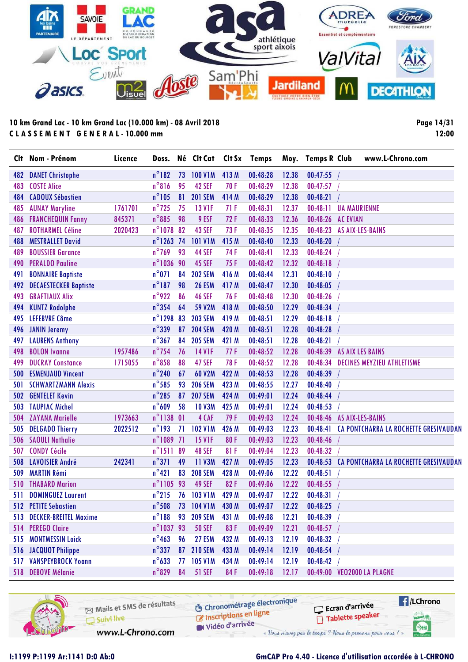

**Page 14/31 12:00**

| Clt | Nom - Prénom                 | Licence | Doss.            |    | Né Clt Cat     |       | Clt Sx Temps |       | Moy. Temps R Club | www.L-Chrono.com                               |
|-----|------------------------------|---------|------------------|----|----------------|-------|--------------|-------|-------------------|------------------------------------------------|
| 482 | <b>DANET Christophe</b>      |         | $n^{\circ}182$   | 73 | <b>100 V1M</b> | 413 M | 00:48:28     | 12.38 | 00:47:55          |                                                |
| 483 | <b>COSTE Alice</b>           |         | $n^{\circ}816$   | 95 | 42 SEF         | 70F   | 00:48:29     | 12.38 | 00:47:57          |                                                |
| 484 | <b>CADOUX Sébastien</b>      |         | $n^{\circ}105$   | 81 | <b>201 SEM</b> | 414 M | 00:48:29     | 12.38 | 00:48:21          |                                                |
| 485 | <b>AUNAY Maryline</b>        | 1761701 | $n^{\circ}$ 725  | 75 | <b>13 V1F</b>  | 71F   | 00:48:31     | 12.37 | 00:48:11          | <b>UA MAURIENNE</b>                            |
| 486 | <b>FRANCHEQUIN Fanny</b>     | 845371  | $n^{\circ}885$   | 98 | 9 ESF          | 72F   | 00:48:33     | 12.36 | 00:48:26 AC EVIAN |                                                |
| 487 | <b>ROTHARMEL Céline</b>      | 2020423 | $n^{\circ}$ 1078 | 82 | <b>43 SEF</b>  | 73F   | 00:48:35     | 12.35 |                   | 00:48:23 AS AIX-LES-BAINS                      |
| 488 | <b>MESTRALLET David</b>      |         | n°1263 74        |    | <b>101 V1M</b> | 415 M | 00:48:40     | 12.33 | 00:48:20          |                                                |
| 489 | <b>BOUSSIER Garance</b>      |         | $n^{\circ}$ 769  | 93 | <b>44 SEF</b>  | 74F   | 00:48:41     | 12.33 | 00:48:24          |                                                |
| 490 | <b>PERALDO Pauline</b>       |         | n°1036 90        |    | <b>45 SEF</b>  | 75F   | 00:48:42     | 12.32 | 00:48:18          |                                                |
| 491 | <b>BONNAIRE Baptiste</b>     |         | $n^{\circ}071$   | 84 | <b>202 SEM</b> | 416 M | 00:48:44     | 12.31 | 00:48:10          |                                                |
| 492 | <b>DECAESTECKER Baptiste</b> |         | $n^{\circ}187$   | 98 | <b>26 ESM</b>  | 417 M | 00:48:47     | 12.30 | 00:48:05          |                                                |
| 493 | <b>GRAFTIAUX Alix</b>        |         | $n^{\circ}$ 922  | 86 | <b>46 SEF</b>  | 76F   | 00:48:48     | 12.30 | 00:48:26          |                                                |
| 494 | <b>KUNTZ Rodolphe</b>        |         | $n^{\circ}$ 354  | 64 | <b>59 V2M</b>  | 418 M | 00:48:50     | 12.29 | 00:48:34          |                                                |
| 495 | <b>LEFEBVRE Côme</b>         |         | $n^{\circ}$ 1298 | 83 | <b>203 SEM</b> | 419 M | 00:48:51     | 12.29 | 00:48:18          |                                                |
|     | 496 JANIN Jeremy             |         | $n^{\circ}$ 339  | 87 | <b>204 SEM</b> | 420 M | 00:48:51     | 12.28 | 00:48:28          |                                                |
| 497 | <b>LAURENS Anthony</b>       |         | $n^{\circ}367$   | 84 | <b>205 SEM</b> | 421 M | 00:48:51     | 12.28 | 00:48:21          |                                                |
| 498 | <b>BOLON</b> Ivanne          | 1957486 | $n^{\circ}$ 754  | 76 | <b>14 V1F</b>  | 77 F  | 00:48:52     | 12.28 |                   | 00:48:39 AS AIX LES BAINS                      |
| 499 | <b>DUCRAY Constance</b>      | 1715055 | $n^{\circ}$ 858  | 88 | <b>47 SEF</b>  | 78F   | 00:48:52     | 12.28 |                   | 00:48:34 DECINES MEYZIEU ATHLETISME            |
| 500 | <b>ESMENJAUD Vincent</b>     |         | $n^{\circ}$ 240  | 67 | 60 V2M         | 422 M | 00:48:53     | 12.28 | 00:48:39          |                                                |
| 501 | <b>SCHWARTZMANN Alexis</b>   |         | $n^{\circ}$ 585  | 93 | <b>206 SEM</b> | 423 M | 00:48:55     | 12.27 | 00:48:40          |                                                |
| 502 | <b>GENTELET Kevin</b>        |         | $n^{\circ}$ 285  | 87 | <b>207 SEM</b> | 424 M | 00:49:01     | 12.24 | 00:48:44          |                                                |
| 503 | <b>TAUPIAC Michel</b>        |         | $n^{\circ}609$   | 58 | <b>10 V3M</b>  | 425 M | 00:49:01     | 12.24 | 00:48:53          |                                                |
| 504 | <b>ZAYANA Marielle</b>       | 1973663 | $n^{\circ}$ 1138 | 0  | 4 CAF          | 79F   | 00:49:03     | 12.24 |                   | 00:48:46 AS AIX-LES-BAINS                      |
| 505 | <b>DELGADO Thierry</b>       | 2022512 | $n^{\circ}$ 193  | 71 | <b>102 V1M</b> | 426 M | 00:49:03     | 12.23 | 00:48:41          | CA PONTCHARRA LA ROCHETTE GRESIVAUDAN          |
| 506 | <b>SAOULI Nathalie</b>       |         | n°1089 71        |    | <b>15 V1F</b>  | 80F   | 00:49:03     | 12.23 | 00:48:46          |                                                |
| 507 | <b>CONDY Cécile</b>          |         | $n^{\circ}1511$  | 89 | <b>48 SEF</b>  | 81F   | 00:49:04     | 12.23 | 00:48:32          |                                                |
| 508 | <b>LAVOISIER André</b>       | 242341  | $n^{\circ}371$   | 49 | <b>11 V3M</b>  | 427 M | 00:49:05     | 12.23 |                   | 00:48:53 CA PONTCHARRA LA ROCHETTE GRESIVAUDAN |
| 509 | <b>MARTIN Rémi</b>           |         | $n^{\circ}421$   | 83 | <b>208 SEM</b> | 428 M | 00:49:06     | 12.22 | 00:48:51          |                                                |
| 510 | <b>THABARD Marion</b>        |         | n°1105 93        |    | 49 SEF         | 82F   | 00:49:06     | 12.22 | 00:48:55          |                                                |
| 511 | <b>DOMINGUEZ Laurent</b>     |         | $n^{\circ}$ 215  | 76 | 103 V1M        | 429 M | 00:49:07     | 12.22 | 00:48:31          |                                                |
|     | 512 PETITE Sebastien         |         | $n^{\circ}$ 508  | 73 | 104 V1M        | 430 M | 00:49:07     | 12.22 | 00:48:25          |                                                |
| 513 | <b>DECKER-BREITEL Maxime</b> |         | $n^{\circ}188$   | 93 | <b>209 SEM</b> | 431 M | 00:49:08     | 12.21 | 00:48:39          |                                                |
|     | 514 PEREGO Claire            |         | n°103793         |    | <b>50 SEF</b>  | 83F   | 00:49:09     | 12.21 | 00:48:57          |                                                |
| 515 | <b>MONTMESSIN Loick</b>      |         | $n^{\circ}$ 463  | 96 | 27 ESM         | 432 M | 00:49:13     | 12.19 | 00:48:32          |                                                |
|     | 516 JACQUOT Philippe         |         | $n^{\circ}$ 337  | 87 | <b>210 SEM</b> | 433 M | 00:49:14     | 12.19 | 00:48:54          |                                                |
| 517 | <b>VANSPEYBROCK Younn</b>    |         | $n^{\circ}$ 633  | 77 | <b>105 V1M</b> | 434 M | 00:49:14     | 12.19 | 00:48:42          |                                                |
|     | 518 DEBOVE Mélanie           |         | $n^{\circ}$ 829  | 84 | <b>51 SEF</b>  | 84F   | 00:49:18     | 12.17 |                   | 00:49:00 VEO2000 LA PLAGNE                     |

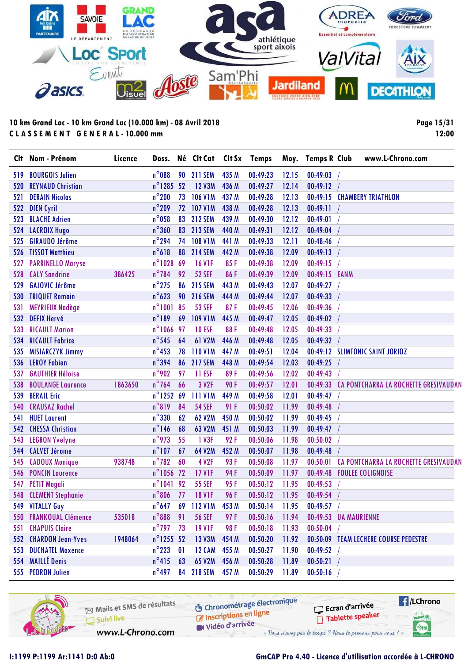

**Page 15/31 12:00**

|     | Clt Nom - Prénom            | Licence | Doss.               |              | Né Clt Cat     | Clt Sx | <b>Temps</b> |       | Moy. Temps R Club | www.L-Chrono.com                               |
|-----|-----------------------------|---------|---------------------|--------------|----------------|--------|--------------|-------|-------------------|------------------------------------------------|
| 519 | <b>BOURGOIS Julien</b>      |         | $n^{\circ}088$      | 90           | <b>211 SEM</b> | 435 M  | 00:49:23     | 12.15 | 00:49:03          |                                                |
| 520 | <b>REYNAUD Christian</b>    |         | n°1285 52           |              | <b>12 V3M</b>  | 436 M  | 00:49:27     | 12.14 | 00:49:12          |                                                |
| 521 | <b>DERAIN Nicolas</b>       |         | $n^{\circ}$ 200     | 73           | <b>106 V1M</b> | 437 M  | 00:49:28     | 12.13 |                   | 00:49:15 CHAMBERY TRIATHLON                    |
| 522 | <b>DIEN Cyril</b>           |         | $n^{\circ}$ 209     | 72           | <b>107 V1M</b> | 438 M  | 00:49:28     | 12.13 | 00:49:11          |                                                |
| 523 | <b>BLACHE Adrien</b>        |         | $n^{\circ}$ 058     | 83           | <b>212 SEM</b> | 439 M  | 00:49:30     | 12.12 | 00:49:01          |                                                |
| 524 | <b>LACROIX Hugo</b>         |         | $n^{\circ}360$      | 83           | <b>213 SEM</b> | 440 M  | 00:49:31     | 12.12 | 00:49:04          |                                                |
| 525 | <b>GIRAUDO Jérôme</b>       |         | $n^{\circ}$ 294     | 74           | <b>108 V1M</b> | 441 M  | 00:49:33     | 12.11 | 00:48:46          |                                                |
| 526 | <b>TISSOT Matthieu</b>      |         | $n^{\circ}618$      | 88           | <b>214 SEM</b> | 442 M  | 00:49:38     | 12.09 | 00:49:13          |                                                |
| 527 | <b>PARRINELLO Maryse</b>    |         | $n^{\circ}$ 1028    | 69           | <b>16 V1F</b>  | 85F    | 00:49:38     | 12.09 | 00:49:15          |                                                |
| 528 | <b>CALY Sandrine</b>        | 386425  | $n^{\circ}$ 784     | 92           | <b>52 SEF</b>  | 86F    | 00:49:39     | 12.09 | 00:49:15 EANM     |                                                |
| 529 | <b>GAJOVIC Jérôme</b>       |         | $n^{\circ}$ 275     | 86           | <b>215 SEM</b> | 443 M  | 00:49:43     | 12.07 | 00:49:27          |                                                |
| 530 | <b>TRIQUET Romain</b>       |         | $n^{\circ}623$      | 90           | <b>216 SEM</b> | 444 M  | 00:49:44     | 12.07 | 00:49:33          |                                                |
| 531 | <b>MEYRIEUX Nadège</b>      |         | $n^{\circ}1001$     | 85           | <b>53 SEF</b>  | 87F    | 00:49:45     | 12.06 | 00:49:36          |                                                |
| 532 | <b>DEFIX Hervé</b>          |         | $n^{\circ}189$      | 69           | <b>109 V1M</b> | 445 M  | 00:49:47     | 12.05 | 00:49:02          |                                                |
| 533 | <b>RICAULT Marion</b>       |         | $n^{\circ}1066$     | 97           | <b>10 ESF</b>  | 88F    | 00:49:48     | 12.05 | 00:49:33          |                                                |
| 534 | <b>RICAULT Fabrice</b>      |         | $n^{\circ}$ 545     | 64           | 61 V2M         | 446 M  | 00:49:48     | 12.05 | 00:49:32          |                                                |
| 535 | <b>MISIARCZYK Jimmy</b>     |         | $n^{\circ}$ 453     | 78           | <b>110 V1M</b> | 447 M  | 00:49:51     | 12.04 |                   | 00:49:12 SLIMTONIC SAINT JORIOZ                |
| 536 | <b>LEROY Fabien</b>         |         | $n^{\circ}$ 394     | 86           | <b>217 SEM</b> | 448 M  | 00:49:54     | 12.03 | 00:49:25          |                                                |
| 537 | <b>GAUTHIER Héloise</b>     |         | $n^{\circ}$ 902     | 97           | 11 ESF         | 89F    | 00:49:56     | 12.02 | 00:49:43          |                                                |
| 538 | <b>BOULANGE Laurence</b>    | 1863650 | $n^{\circ}$ 764     | 66           | 3 V2F          | 90F    | 00:49:57     | 12.01 |                   | 00:49:33 CA PONTCHARRA LA ROCHETTE GRESIVAUDAN |
| 539 | <b>BERAIL Eric</b>          |         | $n^{\circ}$ 1252    | 69           | <b>111 V1M</b> | 449 M  | 00:49:58     | 12.01 | 00:49:47          |                                                |
| 540 | <b>CRAUSAZ Rachel</b>       |         | $n^{\circ}819$      | 84           | <b>54 SEF</b>  | 91 F   | 00:50:02     | 11.99 | 00:49:48          |                                                |
| 541 | <b>HUET Laurent</b>         |         | $n^{\circ}$ 330     | 62           | 62 V2M         | 450 M  | 00:50:02     | 11.99 | 00:49:45          |                                                |
| 542 | <b>CHESSA Christian</b>     |         | $n^{\circ}$ 146     | 68           | 63 V2M         | 451 M  | 00:50:03     | 11.99 | 00:49:47          |                                                |
| 543 | <b>LEGRON Yvelyne</b>       |         | $n^{\circ}$ 973     | 55           | 1 V3F          | 92F    | 00:50:06     | 11.98 | 00:50:02          |                                                |
| 544 | <b>CALVET Jérome</b>        |         | $n^{\circ}$ 107     | 67           | 64 V2M         | 452 M  | 00:50:07     | 11.98 | 00:49:48          |                                                |
| 545 | <b>CADOUX Monique</b>       | 938748  | $n^{\circ}$ 782     | 60           | 4 V2F          | 93F    | 00:50:08     | 11.97 | 00:50:01          | CA PONTCHARRA LA ROCHETTE GRESIVAUDAN          |
| 546 | <b>PONCIN Laurence</b>      |         | n°1056 72           |              | <b>17 V1F</b>  | 94F    | 00:50:09     | 11.97 |                   | 00:49:48 FOULEE COLIGNOISE                     |
| 547 | <b>PETIT Magali</b>         |         | $n^{\circ}1041$     | 92           | <b>55 SEF</b>  | 95F    | 00:50:12     | 11.95 | 00:49:53          |                                                |
| 548 | <b>CLEMENT Stephanie</b>    |         | $n^{\circ}806$      | 77           | <b>18 V1F</b>  | 96F    | 00:50:12     | 11.95 | 00:49:54          |                                                |
|     | 549 VITALLY Guy             |         | $n^{\circ}$ 647     | 69           | <b>112 V1M</b> | 453 M  | 00:50:14     | 11.95 | 00:49:57          |                                                |
|     | 550 FRANKOUAL Clémence      | 535018  | $n^{\circ}$ 888     | 91           | <b>56 SEF</b>  | 97F    | 00:50:16     | 11.94 |                   | 00:49:53 UA MAURIENNE                          |
|     | <b>551 CHAPUIS Claire</b>   |         | $n^{\circ}$ 797     | 73           | <b>19 V1F</b>  | 98F    | 00:50:18     | 11.93 | 00:50:04          |                                                |
|     | 552 CHARDON Jean-Yves       | 1948064 | $n^{\circ}$ 1255 52 |              | 13 V3M         | 454 M  | 00:50:20     | 11.92 |                   | 00:50:09 TEAM LECHERE COURSE PEDESTRE          |
|     | <b>553 DUCHATEL Maxence</b> |         | $n^{\circ}$ 223     | $\mathbf{0}$ | <b>12 CAM</b>  | 455 M  | 00:50:27     | 11.90 | 00:49:52          |                                                |
|     | 554 MAILLÉ Denis            |         | $n^{\circ}415$      | 63           | 65 V2M         | 456 M  | 00:50:28     | 11.89 | 00:50:21          |                                                |
|     | 555 PEDRON Julien           |         | $n^{\circ}$ 497     |              | 84 218 SEM     | 457 M  | 00:50:29     | 11.89 | 00:50:16          |                                                |

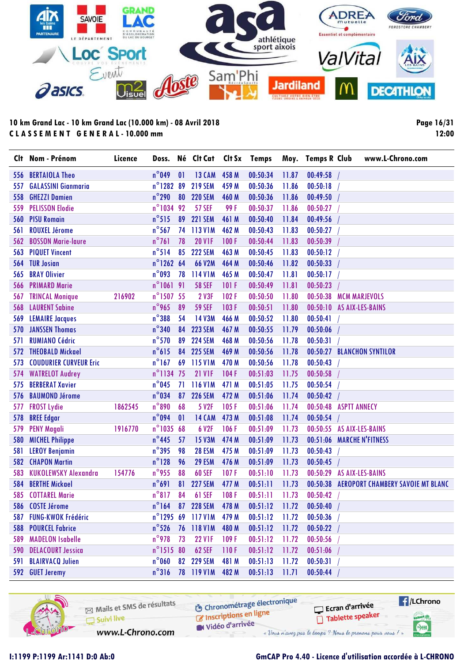

**Page 16/31 12:00**

|     | Clt Nom - Prénom              | Licence | Doss.               |    | Né Clt Cat Clt Sx Temps |       |          |       | Moy. Temps R Club         |                     | www.L-Chrono.com                         |
|-----|-------------------------------|---------|---------------------|----|-------------------------|-------|----------|-------|---------------------------|---------------------|------------------------------------------|
| 556 | <b>BERTAIOLA Theo</b>         |         | $n^{\circ}$ 049     | 01 | <b>13 CAM</b>           | 458 M | 00:50:34 | 11.87 | 00:49:58                  |                     |                                          |
| 557 | <b>GALASSINI Gianmaria</b>    |         | $n^{\circ}$ 1282 89 |    | <b>219 SEM</b>          | 459 M | 00:50:36 | 11.86 | 00:50:18                  |                     |                                          |
| 558 | <b>GHEZZI Damien</b>          |         | $n^{\circ}$ 290     | 80 | <b>220 SEM</b>          | 460 M | 00:50:36 | 11.86 | 00:49:50                  |                     |                                          |
| 559 | <b>PELISSON Elodie</b>        |         | n°1034 92           |    | <b>57 SEF</b>           | 99F   | 00:50:37 | 11.86 | 00:50:27                  |                     |                                          |
| 560 | <b>PISU Romain</b>            |         | $n^{\circ}515$      | 89 | <b>221 SEM</b>          | 461 M | 00:50:40 | 11.84 | 00:49:56                  |                     |                                          |
| 561 | <b>ROUXEL Jérome</b>          |         | $n^{\circ}$ 567     | 74 | 113 V1M                 | 462 M | 00:50:43 | 11.83 | 00:50:27                  |                     |                                          |
| 562 | <b>BOSSON Marie-laure</b>     |         | $n^{\circ}761$      | 78 | <b>20 V1F</b>           | 100F  | 00:50:44 | 11.83 | 00:50:39                  |                     |                                          |
| 563 | <b>PIQUET Vincent</b>         |         | $n^{\circ}$ 514     | 85 | <b>222 SEM</b>          | 463 M | 00:50:45 | 11.83 | 00:50:12                  |                     |                                          |
| 564 | <b>TUR Josian</b>             |         | $n^{\circ}$ 1262 64 |    | 66 V2M                  | 464 M | 00:50:46 | 11.82 | 00:50:33                  |                     |                                          |
| 565 | <b>BRAY Olivier</b>           |         | $n^{\circ}$ 093     | 78 | 114 V1M                 | 465 M | 00:50:47 | 11.81 | 00:50:17                  |                     |                                          |
| 566 | <b>PRIMARD Marie</b>          |         | $n^{\circ}106191$   |    | <b>58 SEF</b>           | 101 F | 00:50:49 | 11.81 | 00:50:23                  |                     |                                          |
| 567 | <b>TRINCAL Monique</b>        | 216902  | $n^{\circ}$ 1507 55 |    | 2 V3F                   | 102F  | 00:50:50 | 11.80 | 00:50:38                  |                     | <b>MCM MARJEVOLS</b>                     |
| 568 | <b>LAURENT Sabine</b>         |         | $n^{\circ}$ 965     | 89 | <b>59 SEF</b>           | 103F  | 00:50:51 | 11.80 | 00:50:10 AS AIX-LES-BAINS |                     |                                          |
| 569 | <b>LEMAIRE Jacques</b>        |         | $n^{\circ}$ 388     | 54 | 14 V3M                  | 466 M | 00:50:52 | 11.80 | 00:50:41                  |                     |                                          |
| 570 | <b>JANSSEN Thomas</b>         |         | $n^{\circ}340$      | 84 | <b>223 SEM</b>          | 467 M | 00:50:55 | 11.79 | 00:50:06                  |                     |                                          |
| 571 | <b>RUMIANO Cédric</b>         |         | $n^{\circ}$ 570     | 89 | <b>224 SEM</b>          | 468 M | 00:50:56 | 11.78 | 00:50:31                  |                     |                                          |
| 572 | <b>THEOBALD Mickael</b>       |         | $n^{\circ}615$      | 84 | <b>225 SEM</b>          | 469 M | 00:50:56 | 11.78 | 00:50:27                  |                     | <b>BLANCHON SYNTILOR</b>                 |
| 573 | <b>COUDURIER CURVEUR Eric</b> |         | $n^{\circ}$ 167     | 69 | 115 V1M                 | 470 M | 00:50:56 | 11.78 | 00:50:43                  |                     |                                          |
| 574 | <b>WATRELOT Audrey</b>        |         | n°1134 75           |    | <b>21 V1F</b>           | 104F  | 00:51:03 | 11.75 | 00:50:58                  |                     |                                          |
| 575 | <b>BERBERAT Xavier</b>        |         | $n^{\circ}$ 045     | 71 | <b>116 V1M</b>          | 471 M | 00:51:05 | 11.75 | 00:50:54                  |                     |                                          |
| 576 | <b>BAUMOND Jérome</b>         |         | $n^{\circ}$ 034     | 87 | <b>226 SEM</b>          | 472 M | 00:51:06 | 11.74 | 00:50:42                  |                     |                                          |
| 577 | <b>FROST Lydie</b>            | 1862545 | $n^{\circ}$ 890     | 68 | 5 V <sub>2F</sub>       | 105F  | 00:51:06 | 11.74 | 00:50:48                  | <b>ASPTT ANNECY</b> |                                          |
| 578 | <b>BREE Edgar</b>             |         | $n^{\circ}$ 094     | 01 | <b>14 CAM</b>           | 473 M | 00:51:08 | 11.74 | 00:50:54                  |                     |                                          |
| 579 | <b>PENY Magali</b>            | 1916770 | n°1035 68           |    | 6 V2F                   | 106F  | 00:51:09 | 11.73 | 00:50:55 AS AIX-LES-BAINS |                     |                                          |
| 580 | <b>MICHEL Philippe</b>        |         | $n^{\circ}$ 445     | 57 | <b>15 V3M</b>           | 474 M | 00:51:09 | 11.73 |                           |                     | 00:51:06 MARCHE N'FITNESS                |
| 581 | <b>LEROY Benjamin</b>         |         | $n^{\circ}$ 395     | 98 | <b>28 ESM</b>           | 475 M | 00:51:09 | 11.73 | 00:50:43                  |                     |                                          |
| 582 | <b>CHAPON Martin</b>          |         | $n^{\circ}$ 128     | 96 | <b>29 ESM</b>           | 476 M | 00:51:09 | 11.73 | 00:50:45                  |                     |                                          |
| 583 | <b>KUKOLEWSKY Alexandra</b>   | 154776  | $n^{\circ}$ 955     | 88 | <b>60 SEF</b>           | 107F  | 00:51:10 | 11.73 | 00:50:29                  |                     | <b>AS AIX-LES-BAINS</b>                  |
| 584 | <b>BERTHE Mickael</b>         |         | $n^{\circ}691$      | 81 | <b>227 SEM</b>          | 477 M | 00:51:11 | 11.73 | 00:50:38                  |                     | <b>AEROPORT CHAMBERY SAVOIE MT BLANC</b> |
|     | 585 COTTAREL Marie            |         | $n^{\circ}817$      | 84 | <b>61 SEF</b>           | 108F  | 00:51:11 | 11.73 | 00:50:42                  |                     |                                          |
|     | 586 COSTE Jérome              |         | $n^{\circ}164$      |    | 87 228 SEM              | 478 M | 00:51:12 | 11.72 | 00:50:40                  |                     |                                          |
| 587 | <b>FUNG-KWOK Frédéric</b>     |         |                     |    | n°1295 69 117 V1M       | 479 M | 00:51:12 | 11.72 | 00:50:36                  |                     |                                          |
| 588 | <b>POURCEL Fabrice</b>        |         | $n^{\circ}$ 526     |    | 76 118 V1M              | 480 M | 00:51:12 | 11.72 | 00:50:22                  |                     |                                          |
| 589 | <b>MADELON Isabelle</b>       |         | $n^{\circ}$ 978     | 73 | <b>22 V1F</b>           | 109F  | 00:51:12 | 11.72 | 00:50:56                  |                     |                                          |
| 590 | <b>DELACOURT Jessica</b>      |         | $n^{\circ}$ 1515 80 |    | <b>62 SEF</b>           | 110F  | 00:51:12 | 11.72 | 00:51:06                  |                     |                                          |
| 591 | <b>BLAIRVACQ Julien</b>       |         | $n^{\circ}$ 060     | 82 | <b>229 SEM</b>          | 481 M | 00:51:13 | 11.72 | 00:50:31                  |                     |                                          |
|     | 592 GUET Jeremy               |         | $n^{\circ}316$      |    | 78 119 V1M              | 482 M | 00:51:13 | 11.71 | 00:50:44                  |                     |                                          |

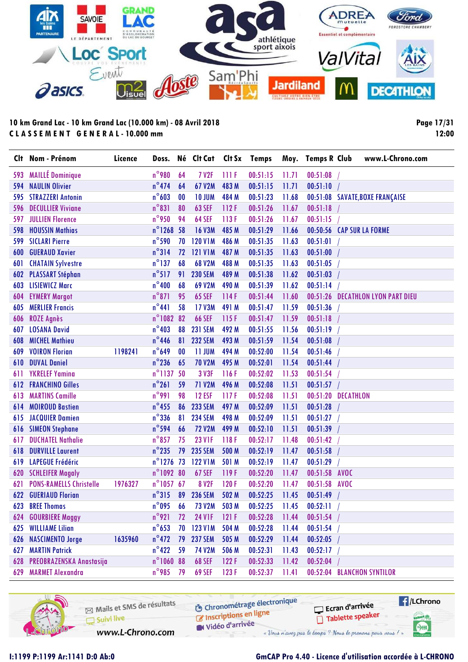

**Page 17/31 12:00**

|     | Clt Nom - Prénom               | Licence | Doss.               |    | Né Clt Cat Clt Sx Temps |       |          |       | Moy. Temps R Club |                  | www.L-Chrono.com                |
|-----|--------------------------------|---------|---------------------|----|-------------------------|-------|----------|-------|-------------------|------------------|---------------------------------|
| 593 | <b>MAILLÉ Dominique</b>        |         | $n^{\circ}$ 980     | 64 | <b>7 V2F</b>            | 111F  | 00:51:15 | 11.71 | 00:51:08          |                  |                                 |
| 594 | <b>NAULIN Olivier</b>          |         | $n^{\circ}474$      | 64 | 67 V2M                  | 483 M | 00:51:15 | 11.71 | 00:51:10          |                  |                                 |
| 595 | <b>STRAZZERI Antonin</b>       |         | $n^{\circ}603$      | 00 | <b>10 JUM</b>           | 484 M | 00:51:23 | 11.68 | 00:51:08          |                  | <b>SAVATE, BOXE FRANÇAISE</b>   |
| 596 | <b>DECULLIER Viviane</b>       |         | $n^{\circ}831$      | 80 | <b>63 SEF</b>           | 112F  | 00:51:26 | 11.67 | 00:51:18          |                  |                                 |
| 597 | <b>JULLIEN Florence</b>        |         | $n^{\circ}$ 950     | 94 | 64 SEF                  | 113F  | 00:51:26 | 11.67 | 00:51:15          |                  |                                 |
| 598 | <b>HOUSSIN Mathias</b>         |         | n°1268 58           |    | <b>16 V3M</b>           | 485 M | 00:51:29 | 11.66 | 00:50:56          |                  | <b>CAP SUR LA FORME</b>         |
| 599 | <b>SICLARI Pierre</b>          |         | $n^{\circ}$ 590     | 70 | <b>120 V1M</b>          | 486 M | 00:51:35 | 11.63 | 00:51:01          |                  |                                 |
| 600 | <b>GUERAUD Xavier</b>          |         | $n^{\circ}314$      | 72 | <b>121 V1M</b>          | 487 M | 00:51:35 | 11.63 | 00:51:00          |                  |                                 |
| 601 | <b>CHATAIN Sylvestre</b>       |         | $n^{\circ}$ 137     | 68 | 68 V2M                  | 488 M | 00:51:35 | 11.63 | 00:51:05          |                  |                                 |
| 602 | <b>PLASSART Stéphan</b>        |         | $n^{\circ}517$      | 91 | <b>230 SEM</b>          | 489 M | 00:51:38 | 11.62 | 00:51:03          |                  |                                 |
| 603 | <b>LISIEWICZ Marc</b>          |         | $n^{\circ}400$      | 68 | 69 V2M                  | 490 M | 00:51:39 | 11.62 | 00:51:14          |                  |                                 |
| 604 | <b>EYMERY Margot</b>           |         | $n^{\circ}871$      | 95 | <b>65 SEF</b>           | 114F  | 00:51:44 | 11.60 | 00:51:26          |                  | <b>DECATHLON LYON PART DIEU</b> |
| 605 | <b>MERLIER Francis</b>         |         | $n^{\circ}441$      | 58 | 17 V3M                  | 491 M | 00:51:47 | 11.59 | 00:51:36          |                  |                                 |
| 606 | <b>ROZE Agnès</b>              |         | $n^{\circ}$ 1082    | 82 | <b>66 SEF</b>           | 115F  | 00:51:47 | 11.59 | 00:51:18          |                  |                                 |
| 607 | <b>LOSANA David</b>            |         | $n^{\circ}403$      | 88 | <b>231 SEM</b>          | 492 M | 00:51:55 | 11.56 | 00:51:19          |                  |                                 |
| 608 | <b>MICHEL Mathieu</b>          |         | $n^{\circ}$ 446     | 81 | <b>232 SEM</b>          | 493 M | 00:51:59 | 11.54 | 00:51:08          |                  |                                 |
| 609 | <b>VOIRON Florian</b>          | 1198241 | $n^{\circ}649$      | 00 | <b>11 JUM</b>           | 494 M | 00:52:00 | 11.54 | 00:51:46          |                  |                                 |
| 610 | <b>DUVAL Daniel</b>            |         | $n^{\circ}$ 236     | 65 | <b>70 V2M</b>           | 495 M | 00:52:01 | 11.54 | 00:51:44          |                  |                                 |
| 611 | <b>YKRELEF Yamina</b>          |         | n°1137 50           |    | 3 V3F                   | 116F  | 00:52:02 | 11.53 | 00:51:54          |                  |                                 |
| 612 | <b>FRANCHINO Gilles</b>        |         | $n^{\circ}261$      | 59 | <b>71 V2M</b>           | 496 M | 00:52:08 | 11.51 | 00:51:57          |                  |                                 |
| 613 | <b>MARTINS Camille</b>         |         | $n^{\circ}991$      | 98 | <b>12 ESF</b>           | 117F  | 00:52:08 | 11.51 | 00:51:20          | <b>DECATHLON</b> |                                 |
| 614 | <b>MOIROUD Bastien</b>         |         | $n^{\circ}$ 455     | 86 | <b>233 SEM</b>          | 497 M | 00:52:09 | 11.51 | 00:51:28          |                  |                                 |
| 615 | <b>JACQUIER Damien</b>         |         | $n^{\circ}$ 336     | 81 | <b>234 SEM</b>          | 498 M | 00:52:09 | 11.51 | 00:51:27          |                  |                                 |
| 616 | <b>SIMEON Stephane</b>         |         | $n^{\circ}$ 594     | 66 | <b>72 V2M</b>           | 499 M | 00:52:10 | 11.51 | 00:51:39          |                  |                                 |
| 617 | <b>DUCHATEL Nathalie</b>       |         | $n^{\circ}$ 857     | 75 | <b>23 V1F</b>           | 118F  | 00:52:17 | 11.48 | 00:51:42          |                  |                                 |
| 618 | <b>DURVILLE Laurent</b>        |         | $n^{\circ}$ 235     | 79 | <b>235 SEM</b>          | 500 M | 00:52:19 | 11.47 | 00:51:58          |                  |                                 |
| 619 | <b>LAPEGUE Frédéric</b>        |         | $n^{\circ}$ 1276 73 |    | <b>122 V1M</b>          | 501 M | 00:52:19 | 11.47 | 00:51:29          |                  |                                 |
| 620 | <b>SCHLEIFER Magaly</b>        |         | n°1092 80           |    | <b>67 SEF</b>           | 119F  | 00:52:20 | 11.47 | 00:51:58          | <b>AVOC</b>      |                                 |
| 621 | <b>PONS-RAMELLS Christelle</b> | 1976327 | $n^{\circ}105767$   |    | <b>8 V2F</b>            | 120F  | 00:52:20 | 11.47 | 00:51:58          | <b>AVOC</b>      |                                 |
|     | <b>622 GUERIAUD Florian</b>    |         | $n^{\circ}315$      | 89 | <b>236 SEM</b>          | 502 M | 00:52:25 | 11.45 | 00:51:49          |                  |                                 |
| 623 | <b>BREE Thomas</b>             |         | $n^{\circ}$ 095     | 66 | <b>73 V2M</b>           | 503 M | 00:52:25 | 11.45 | 00:52:11          |                  |                                 |
|     | 624 GOURBIERE Maggy            |         | $n^{\circ}$ 921     | 72 | <b>24 V1F</b>           | 121F  | 00:52:28 | 11.44 | 00:51:54          |                  |                                 |
|     | <b>625 WILLIAME Lilian</b>     |         | $n^{\circ}$ 653     | 70 | <b>123 V1M</b>          | 504 M | 00:52:28 | 11.44 | 00:51:54          |                  |                                 |
| 626 | <b>NASCIMENTO Jorge</b>        | 1635960 | $n^{\circ}472$      | 79 | <b>237 SEM</b>          | 505 M | 00:52:29 | 11.44 | 00:52:05          |                  |                                 |
| 627 | <b>MARTIN Patrick</b>          |         | $n^{\circ}422$      | 59 | 74 V2M                  | 506 M | 00:52:31 | 11.43 | 00:52:17          |                  |                                 |
|     | 628 PREOBRAZENSKA Anastasija   |         | n°1060 88           |    | <b>68 SEF</b>           | 122F  | 00:52:33 | 11.42 | 00:52:04          |                  |                                 |
| 629 | <b>MARMET Alexandra</b>        |         | $n^{\circ}$ 985     | 79 | <b>69 SEF</b>           | 123F  | 00:52:37 | 11.41 |                   |                  | 00:52:04 BLANCHON SYNTILOR      |

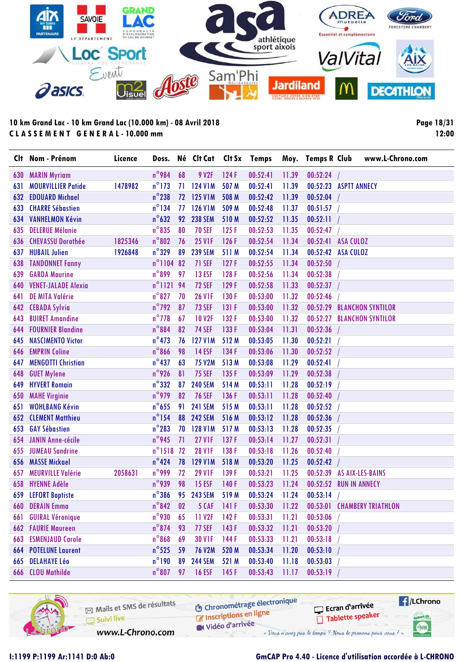

**Page 18/31 12:00**

|     | Clt Nom - Prénom            | Licence | Doss.            |    | Né Clt Cat Clt Sx Temps |       |          |       | Moy. Temps R Club                   | www.L-Chrono.com         |
|-----|-----------------------------|---------|------------------|----|-------------------------|-------|----------|-------|-------------------------------------|--------------------------|
| 630 | <b>MARIN Myriam</b>         |         | $n^{\circ}$ 984  | 68 | 9 V2F                   | 124F  | 00:52:41 | 11.39 | 00:52:24                            |                          |
| 631 | <b>MOURVILLIER Patide</b>   | 1478982 | $n^{\circ}$ 173  | 71 | <b>124 V1M</b>          | 507 M | 00:52:41 | 11.39 | 00:52:23 ASPTT ANNECY               |                          |
| 632 | <b>EDOUARD Michael</b>      |         | $n^{\circ}$ 238  | 72 | <b>125 V1M</b>          | 508 M | 00:52:42 | 11.39 | 00:52:04                            |                          |
| 633 | <b>CHARRE Sébastien</b>     |         | $n^{\circ}$ 134  | 77 | <b>126 V1M</b>          | 509 M | 00:52:48 | 11.37 | 00:51:57                            |                          |
| 634 | <b>VANHELMON Kévin</b>      |         | $n^{\circ}632$   | 92 | <b>238 SEM</b>          | 510M  | 00:52:52 | 11.35 | 00:52:11                            |                          |
| 635 | <b>DELERUE Mélanie</b>      |         | $n^{\circ}$ 835  | 80 | <b>70 SEF</b>           | 125F  | 00:52:53 | 11.35 | 00:52:47                            |                          |
| 636 | <b>CHEVASSU Dorothée</b>    | 1825346 | $n^{\circ}802$   | 76 | <b>25 V1F</b>           | 126F  | 00:52:54 | 11.34 | 00:52:41<br><b>ASA CULOZ</b>        |                          |
| 637 | <b>HUBAIL Julien</b>        | 1926848 | $n^{\circ}$ 329  | 89 | <b>239 SEM</b>          | 511 M | 00:52:54 | 11.34 | 00:52:42<br><b>ASA CULOZ</b>        |                          |
| 638 | <b>TANDONNET Fanny</b>      |         | $n^{\circ}$ 1104 | 82 | <b>71 SEF</b>           | 127F  | 00:52:55 | 11.34 | 00:52:50                            |                          |
| 639 | <b>GARDA Maurine</b>        |         | $n^{\circ}$ 899  | 97 | <b>13 ESF</b>           | 128F  | 00:52:56 | 11.34 | 00:52:38                            |                          |
| 640 | <b>VENET-JALADE Alexia</b>  |         | $n^{\circ}1121$  | 94 | <b>72 SEF</b>           | 129F  | 00:52:58 | 11.33 | 00:52:37                            |                          |
| 641 | <b>DE MITA Valérie</b>      |         | $n^{\circ}827$   | 70 | <b>26 V1F</b>           | 130F  | 00:53:00 | 11.32 | 00:52:46                            |                          |
| 642 | <b>CEBADA Sylvia</b>        |         | $n^{\circ}$ 792  | 87 | <b>73 SEF</b>           | 131F  | 00:53:00 | 11.32 | 00:52:29                            | <b>BLANCHON SYNTILOR</b> |
| 643 | <b>BUIRET Amandine</b>      |         | $n^{\circ}$ 778  | 67 | <b>10 V2F</b>           | 132F  | 00:53:00 | 11.32 | 00:52:27                            | <b>BLANCHON SYNTILOR</b> |
| 644 | <b>FOURNIER Blandine</b>    |         | $n^{\circ}884$   | 82 | <b>74 SEF</b>           | 133F  | 00:53:04 | 11.31 | 00:52:36                            |                          |
| 645 | <b>NASCIMENTO Victor</b>    |         | $n^{\circ}473$   | 76 | <b>127 V1M</b>          | 512 M | 00:53:05 | 11.30 | 00:52:21                            |                          |
| 646 | <b>EMPRIN Coline</b>        |         | $n^{\circ}$ 866  | 98 | <b>14 ESF</b>           | 134 F | 00:53:06 | 11.30 | 00:52:52                            |                          |
| 647 | <b>MENGOTTI Christian</b>   |         | $n^{\circ}437$   | 63 | <b>75 V2M</b>           | 513 M | 00:53:08 | 11.29 | 00:52:41                            |                          |
| 648 | <b>GUET Mylene</b>          |         | n°926            | 81 | <b>75 SEF</b>           | 135F  | 00:53:09 | 11.29 | 00:52:38                            |                          |
| 649 | <b>HYVERT Romain</b>        |         | $n^{\circ}332$   | 87 | <b>240 SEM</b>          | 514 M | 00:53:11 | 11.28 | 00:52:19                            |                          |
| 650 | <b>MAHE Virginie</b>        |         | $n^{\circ}$ 979  | 82 | <b>76 SEF</b>           | 136 F | 00:53:11 | 11.28 | 00:52:40                            |                          |
| 651 | <b>WOHLBANG Kévin</b>       |         | $n^{\circ}$ 655  | 91 | <b>241 SEM</b>          | 515 M | 00:53:11 | 11.28 | 00:52:52                            |                          |
| 652 | <b>CLEMENT Matthieu</b>     |         | $n^{\circ}$ 154  | 88 | <b>242 SEM</b>          | 516 M | 00:53:12 | 11.28 | 00:52:36                            |                          |
| 653 | <b>GAY Sébastien</b>        |         | $n^{\circ}$ 283  | 70 | <b>128 V1M</b>          | 517 M | 00:53:13 | 11.28 | 00:52:35                            |                          |
| 654 | JANIN Anne-cécile           |         | $n^{\circ}$ 945  | 71 | <b>27 V1F</b>           | 137F  | 00:53:14 | 11.27 | 00:52:31                            |                          |
| 655 | <b>JUMEAU Sandrine</b>      |         | $n^{\circ}$ 1518 | 72 | <b>28 V1F</b>           | 138 F | 00:53:18 | 11.26 | 00:52:40                            |                          |
| 656 | <b>MASSE Mickael</b>        |         | $n^{\circ}$ 424  | 78 | <b>129 V1M</b>          | 518 M | 00:53:20 | 11.25 | 00:52:42                            |                          |
| 657 | <b>MEURVILLE Valérie</b>    | 2058631 | $n^{\circ}$ 999  | 72 | <b>29 V1F</b>           | 139F  | 00:53:21 | 11.25 | 00:52:39<br><b>AS AIX-LES-BAINS</b> |                          |
| 658 | <b>HYENNE Adèle</b>         |         | $n^{\circ}$ 939  | 98 | <b>15 ESF</b>           | 140F  | 00:53:23 | 11.24 | 00:52:52<br><b>RUN IN ANNECY</b>    |                          |
|     | 659 LEFORT Baptiste         |         | $n^{\circ}$ 386  |    | 95 243 SEM              | 519 M | 00:53:24 | 11.24 | 00:53:14                            |                          |
| 660 | <b>DERAIN Emma</b>          |         | $n^{\circ}842$   | 02 | <b>5 CAF</b>            | 141F  | 00:53:30 | 11.22 | 00:53:01 CHAMBERY TRIATHLON         |                          |
| 661 | <b>GUIRAL Véronique</b>     |         | $n^{\circ}$ 930  | 65 | 11 V <sub>2F</sub>      | 142F  | 00:53:31 | 11.21 | 00:53:06                            |                          |
|     | <b>662 FAURIE Maureen</b>   |         | $n^{\circ}$ 874  | 93 | <b>77 SEF</b>           | 143 F | 00:53:32 | 11.21 | 00:53:20                            |                          |
| 663 | <b>ESMENJAUD Carole</b>     |         | $n^{\circ}868$   | 69 | <b>30 V1F</b>           | 144 F | 00:53:33 | 11.21 | 00:53:18                            |                          |
|     | <b>664 POTELUNE Laurent</b> |         | $n^{\circ}$ 525  | 59 | 76 V2M                  | 520 M | 00:53:34 | 11.20 | 00:53:10                            |                          |
|     | 665 DELAHAYE Léo            |         | $n^{\circ}$ 190  | 89 | <b>244 SEM</b>          | 521 M | 00:53:40 | 11.18 | 00:53:03                            |                          |
| 666 | <b>CLOU Mathilde</b>        |         | $n^{\circ}807$   | 97 | <b>16 ESF</b>           | 145 F | 00:53:43 | 11.17 | 00:53:19                            |                          |

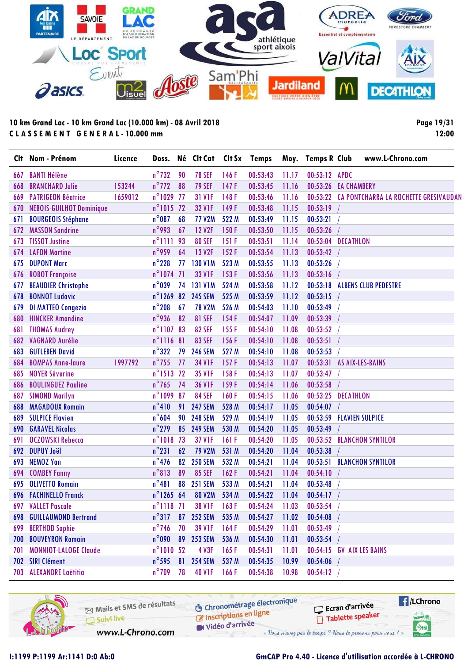

**Page 19/31 12:00**

|     | Clt Nom - Prénom                | Licence | Doss.               |      | Né Clt Cat     |       | Clt Sx Temps |       | Moy. Temps R Club         | www.L-Chrono.com                               |
|-----|---------------------------------|---------|---------------------|------|----------------|-------|--------------|-------|---------------------------|------------------------------------------------|
| 667 | <b>BANTI Hélène</b>             |         | $n^{\circ}$ 732     | 90   | <b>78 SEF</b>  | 146F  | 00:53:43     | 11.17 | 00:53:12 APDC             |                                                |
| 668 | <b>BRANCHARD Julie</b>          | 153244  | $n^{\circ}$ 772     | 88   | <b>79 SEF</b>  | 147F  | 00:53:45     | 11.16 | 00:53:26 EA CHAMBERY      |                                                |
| 669 | <b>PATRIGEON Béatrice</b>       | 1659012 | $n^{\circ}$ 1029    | - 77 | <b>31 V1F</b>  | 148F  | 00:53:46     | 11.16 |                           | 00:53:22 CA PONTCHARRA LA ROCHETTE GRESIVAUDAN |
| 670 | <b>NEBOIS-GUILHOT Dominique</b> |         | $n^{\circ}$ 1015 72 |      | <b>32 V1F</b>  | 149F  | 00:53:48     | 11.15 | 00:53:19                  |                                                |
| 671 | <b>BOURGEOIS Stéphane</b>       |         | $n^{\circ}087$      | 68   | <b>77 V2M</b>  | 522 M | 00:53:49     | 11.15 | 00:53:21                  |                                                |
| 672 | <b>MASSON Sandrine</b>          |         | n°993               | 67   | <b>12 V2F</b>  | 150F  | 00:53:50     | 11.15 | 00:53:26                  |                                                |
| 673 | <b>TISSOT Justine</b>           |         | $n^{\circ}$ 1111    | 93   | <b>80 SEF</b>  | 151F  | 00:53:51     | 11.14 | 00:53:04 DECATHLON        |                                                |
| 674 | <b>LAFON Martine</b>            |         | $n^{\circ}$ 959     | 64   | <b>13 V2F</b>  | 152F  | 00:53:54     | 11.13 | 00:53:42                  |                                                |
| 675 | <b>DUPONT Marc</b>              |         | $n^{\circ}$ 228     | 77   | <b>130 V1M</b> | 523 M | 00:53:55     | 11.13 | 00:53:26                  |                                                |
| 676 | <b>ROBOT Françoise</b>          |         | $n^{\circ}1074$ 71  |      | <b>33 V1F</b>  | 153F  | 00:53:56     | 11.13 | 00:53:16                  |                                                |
| 677 | <b>BEAUDIER Christophe</b>      |         | $n^{\circ}$ 039     | 74   | <b>131 V1M</b> | 524 M | 00:53:58     | 11.12 |                           | 00:53:18 ALBENS CLUB PEDESTRE                  |
| 678 | <b>BONNOT Ludovic</b>           |         | $n^{\circ}$ 1269    | 82   | <b>245 SEM</b> | 525 M | 00:53:59     | 11.12 | 00:53:15                  |                                                |
| 679 | <b>DI MATTEO Congezio</b>       |         | $n^{\circ}$ 208     | 67   | <b>78 V2M</b>  | 526 M | 00:54:03     | 11.10 | 00:53:49                  |                                                |
| 680 | <b>HINCKER Amandine</b>         |         | $n^{\circ}$ 936     | 82   | <b>81 SEF</b>  | 154F  | 00:54:07     | 11.09 | 00:53:39                  |                                                |
| 681 | <b>THOMAS Audrey</b>            |         | n°110783            |      | <b>82 SEF</b>  | 155F  | 00:54:10     | 11.08 | 00:53:52                  |                                                |
| 682 | <b>VAGNARD Aurélie</b>          |         | $n^{\circ}$ 1116 81 |      | <b>83 SEF</b>  | 156F  | 00:54:10     | 11.08 | 00:53:51                  |                                                |
| 683 | <b>GUTLEBEN David</b>           |         | $n^{\circ}322$      | 79   | <b>246 SEM</b> | 527 M | 00:54:10     | 11.08 | 00:53:53                  |                                                |
| 684 | <b>BOMPAS Anne-laure</b>        | 1997792 | $n^{\circ}$ 755     | 77   | <b>34 V1F</b>  | 157F  | 00:54:13     | 11.07 | 00:53:31 AS AIX-LES-BAINS |                                                |
| 685 | <b>NOYER Séverine</b>           |         | n°1513 72           |      | <b>35 V1F</b>  | 158F  | 00:54:13     | 11.07 | 00:53:47                  |                                                |
| 686 | <b>BOULINGUEZ Pauline</b>       |         | $n^{\circ}$ 765     | 74   | <b>36 V1F</b>  | 159F  | 00:54:14     | 11.06 | 00:53:58                  |                                                |
| 687 | <b>SIMOND Marilyn</b>           |         | $n^{\circ}1099$     | 87   | <b>84 SEF</b>  | 160F  | 00:54:15     | 11.06 | 00:53:25 DECATHLON        |                                                |
| 688 | <b>MAGADOUX Romain</b>          |         | $n^{\circ}410$      | 91   | <b>247 SEM</b> | 528 M | 00:54:17     | 11.05 | 00:54:07                  |                                                |
| 689 | <b>SULPICE Flavien</b>          |         | $n^{\circ}604$      | 90   | <b>248 SEM</b> | 529 M | 00:54:19     | 11.05 | 00:53:59 FLAVIEN SULPICE  |                                                |
| 690 | <b>GARAVEL Nicolas</b>          |         | $n^{\circ}$ 279     | 85   | <b>249 SEM</b> | 530 M | 00:54:20     | 11.05 | 00:53:49                  |                                                |
| 691 | <b>OCZOWSKI Rebecca</b>         |         | $n^{\circ}1018$     | 73   | <b>37 V1F</b>  | 161F  | 00:54:20     | 11.05 |                           | 00:53:52 BLANCHON SYNTILOR                     |
| 692 | <b>DUPUY Joël</b>               |         | $n^{\circ}231$      | 62   | <b>79 V2M</b>  | 531 M | 00:54:20     | 11.04 | 00:53:38                  |                                                |
| 693 | <b>NEMOZ Yan</b>                |         | $n^{\circ}$ 476     | 82   | <b>250 SEM</b> | 532 M | 00:54:21     | 11.04 |                           | 00:53:51 BLANCHON SYNTILOR                     |
| 694 | <b>COMBEY Fanny</b>             |         | $n^{\circ}813$      | 89   | <b>85 SEF</b>  | 162F  | 00:54:21     | 11.04 | 00:54:10                  |                                                |
| 695 | <b>OLIVETTO Romain</b>          |         | $n^{\circ}481$      | 88   | <b>251 SEM</b> | 533 M | 00:54:21     | 11.04 | 00:53:48                  |                                                |
|     | <b>696 FACHINELLO Franck</b>    |         | $n^{\circ}$ 1265 64 |      | <b>80 V2M</b>  | 534 M | 00:54:22     | 11.04 | 00:54:17                  |                                                |
|     | 697 VALLET Pascale              |         | $n^{\circ}$ 1118 71 |      | <b>38 V1F</b>  | 163F  | 00:54:24     | 11.03 | 00:53:54                  |                                                |
|     | <b>698 GUILLAUMOND Bertrand</b> |         | $n^{\circ}317$      | 87   | <b>252 SEM</b> | 535 M | 00:54:27     | 11.02 | 00:54:08                  |                                                |
|     | 699 BERTHOD Sophie              |         | $n^{\circ}$ 746     | 70   | <b>39 V1F</b>  | 164F  | 00:54:29     | 11.01 | 00:53:49                  |                                                |
|     | <b>700 BOUVEYRON Romain</b>     |         | $n^{\circ}$ 090     | 89   | <b>253 SEM</b> | 536 M | 00:54:30     | 11.01 | 00:53:54                  |                                                |
| 701 | <b>MONNIOT-LALOGE Claude</b>    |         | $n^{\circ}1010$ 52  |      | 4 V3F          | 165F  | 00:54:31     | 11.01 | 00:54:15 GV AIX LES BAINS |                                                |
|     | 702 SIRI Clément                |         | $n^{\circ}$ 595     | 81   | <b>254 SEM</b> | 537 M | 00:54:35     | 10.99 | 00:54:06                  |                                                |
|     | 703 ALEXANDRE Laëtitia          |         | $n^{\circ}$ 709     | 78   | <b>40 V1F</b>  | 166F  | 00:54:38     | 10.98 | 00:54:12                  |                                                |
|     |                                 |         |                     |      |                |       |              |       |                           |                                                |

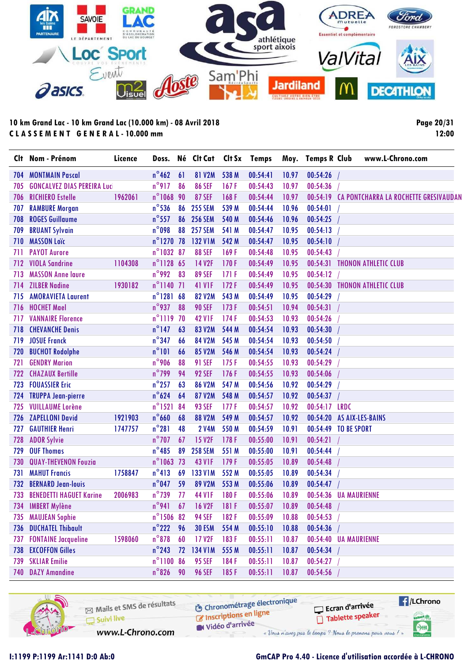

**Page 20/31 12:00**

|     | Clt Nom - Prénom                   | Licence |                     |    | Doss. Né Clt Cat | Clt Sx | Temps    |       | Moy. Temps R Club         | www.L-Chrono.com                               |
|-----|------------------------------------|---------|---------------------|----|------------------|--------|----------|-------|---------------------------|------------------------------------------------|
| 704 | <b>MONTMAIN Pascal</b>             |         | $n^{\circ}$ 462     | 61 | <b>81 V2M</b>    | 538 M  | 00:54:41 | 10.97 | 00:54:26                  |                                                |
| 705 | <b>GONCALVEZ DIAS PEREIRA Luci</b> |         | $n^{\circ}917$      | 86 | <b>86 SEF</b>    | 167F   | 00:54:43 | 10.97 | 00:54:36                  |                                                |
| 706 | <b>RICHIERO Estelle</b>            | 1962061 | $n^{\circ}$ 1068    | 90 | <b>87 SEF</b>    | 168F   | 00:54:44 | 10.97 |                           | 00:54:19 CA PONTCHARRA LA ROCHETTE GRESIVAUDAN |
| 707 | <b>RAMBURE Morgan</b>              |         | $n^{\circ}$ 536     | 86 | <b>255 SEM</b>   | 539 M  | 00:54:44 | 10.96 | 00:54:01                  |                                                |
| 708 | <b>ROGES Guillaume</b>             |         | $n^{\circ}$ 557     | 86 | <b>256 SEM</b>   | 540 M  | 00:54:46 | 10.96 | 00:54:25                  |                                                |
| 709 | <b>BRUANT Sylvain</b>              |         | $n^{\circ}$ 098     | 88 | <b>257 SEM</b>   | 541 M  | 00:54:47 | 10.95 | 00:54:13                  |                                                |
| 710 | <b>MASSON Loïc</b>                 |         | $n^{\circ}$ 1270 78 |    | 132 V1M          | 542 M  | 00:54:47 | 10.95 | 00:54:10                  |                                                |
| 711 | <b>PAYOT Aurore</b>                |         | n°1032 87           |    | <b>88 SEF</b>    | 169F   | 00:54:48 | 10.95 | 00:54:43                  |                                                |
| 712 | <b>VIOLA Sandrine</b>              | 1104308 | $n^{\circ}$ 1128    | 65 | 14 V2F           | 170F   | 00:54:49 | 10.95 | 00:54:31                  | <b>THONON ATHLETIC CLUB</b>                    |
| 713 | <b>MASSON Anne laure</b>           |         | $n^{\circ}$ 992     | 83 | <b>89 SEF</b>    | 171F   | 00:54:49 | 10.95 | 00:54:12                  |                                                |
| 714 | <b>ZILBER Nadine</b>               | 1930182 | $n^{\circ}$ 1140    | 71 | <b>41 V1F</b>    | 172F   | 00:54:49 | 10.95 |                           | 00:54:30 THONON ATHLETIC CLUB                  |
| 715 | <b>AMORAVIETA Laurent</b>          |         | $n^{\circ}1281$     | 68 | <b>82 V2M</b>    | 543 M  | 00:54:49 | 10.95 | 00:54:29                  |                                                |
| 716 | <b>HOCHET Mael</b>                 |         | $n^{\circ}$ 937     | 88 | <b>90 SEF</b>    | 173F   | 00:54:51 | 10.94 | 00:54:31                  |                                                |
| 717 | <b>VANNAIRE Florence</b>           |         | $n^{\circ}$ 1119    | 70 | <b>42 V1F</b>    | 174F   | 00:54:53 | 10.93 | 00:54:26                  |                                                |
| 718 | <b>CHEVANCHE Denis</b>             |         | $n^{\circ}$ 147     | 63 | <b>83 V2M</b>    | 544 M  | 00:54:54 | 10.93 | 00:54:30                  |                                                |
| 719 | <b>JOSUE Franck</b>                |         | $n^{\circ}$ 347     | 66 | 84 V2M           | 545 M  | 00:54:54 | 10.93 | 00:54:50                  |                                                |
| 720 | <b>BUCHOT Rodolphe</b>             |         | $n^{\circ}101$      | 66 | 85 V2M           | 546 M  | 00:54:54 | 10.93 | 00:54:24                  |                                                |
| 721 | <b>GENDRY Marion</b>               |         | $n^{\circ}$ 906     | 88 | <b>91 SEF</b>    | 175F   | 00:54:55 | 10.93 | 00:54:29                  |                                                |
| 722 | <b>CHAZAUX Bertille</b>            |         | $n^{\circ}$ 799     | 94 | <b>92 SEF</b>    | 176F   | 00:54:55 | 10.93 | 00:54:06                  |                                                |
| 723 | <b>FOUASSIER Eric</b>              |         | $n^{\circ}$ 257     | 63 | <b>86 V2M</b>    | 547 M  | 00:54:56 | 10.92 | 00:54:29                  |                                                |
| 724 | <b>TRUPPA Jean-pierre</b>          |         | $n^{\circ}624$      | 64 | 87 V2M           | 548 M  | 00:54:57 | 10.92 | 00:54:37                  |                                                |
| 725 | <b>VUILLAUME Lorène</b>            |         | $n^{\circ}$ 1521    | 84 | <b>93 SEF</b>    | 177F   | 00:54:57 | 10.92 | 00:54:17 LRDC             |                                                |
| 726 | <b>ZAPELLONI David</b>             | 1921903 | $n^{\circ}$ 660     | 68 | <b>88 V2M</b>    | 549 M  | 00:54:57 | 10.92 | 00:54:20 AS AIX-LES-BAINS |                                                |
| 727 | <b>GAUTHIER Henri</b>              | 1747757 | $n^{\circ}281$      | 48 | <b>2 V4M</b>     | 550 M  | 00:54:59 | 10.91 | 00:54:49 TO BE SPORT      |                                                |
| 728 | <b>ADOR Sylvie</b>                 |         | $n^{\circ}$ 707     | 67 | <b>15 V2F</b>    | 178F   | 00:55:00 | 10.91 | 00:54:21                  |                                                |
| 729 | <b>OUF Thomas</b>                  |         | $n^{\circ}485$      | 89 | <b>258 SEM</b>   | 551 M  | 00:55:00 | 10.91 | 00:54:44                  |                                                |
| 730 | <b>QUAY-THEVENON Fouzia</b>        |         | $n^{\circ}$ 1063    | 73 | <b>43 V1F</b>    | 179F   | 00:55:05 | 10.89 | 00:54:48                  |                                                |
| 731 | <b>MAHUT Francis</b>               | 1758847 | $n^{\circ}413$      | 69 | <b>133 V1M</b>   | 552 M  | 00:55:05 | 10.89 | 00:54:34                  |                                                |
| 732 | <b>BERNARD Jean-louis</b>          |         | $n^{\circ}$ 047     | 59 | <b>89 V2M</b>    | 553 M  | 00:55:06 | 10.89 | 00:54:47                  |                                                |
| 733 | <b>BENEDETTI HAGUET Karine</b>     | 2006983 | $n^{\circ}$ 739     | 77 | <b>44 V1F</b>    | 180F   | 00:55:06 | 10.89 | 00:54:36 UA MAURIENNE     |                                                |
|     | 734 IMBERT Mylène                  |         | $n^{\circ}$ 941 67  |    | <b>16 V2F</b>    | 181 F  | 00:55:07 | 10.89 | 00:54:48                  |                                                |
| 735 | <b>MAUJEAN Sophie</b>              |         | n°1506 82           |    | <b>94 SEF</b>    | 182F   | 00:55:09 | 10.88 | 00:54:53                  |                                                |
| 736 | <b>DUCHATEL Thibault</b>           |         | $n^{\circ}$ 222     | 96 | <b>30 ESM</b>    | 554 M  | 00:55:10 | 10.88 | 00:54:36                  |                                                |
| 737 | <b>FONTAINE Jacqueline</b>         | 1598060 | $n^{\circ}$ 878     | 60 | 17 V2F           | 183F   | 00:55:11 | 10.87 | 00:54:40 UA MAURIENNE     |                                                |
| 738 | <b>EXCOFFON Gilles</b>             |         | $n^{\circ}$ 243     | 72 | 134 V1M          | 555 M  | 00:55:11 | 10.87 | 00:54:34                  |                                                |
| 739 | <b>SKLIAR Emilie</b>               |         | n°1100 86           |    | <b>95 SEF</b>    | 184F   | 00:55:11 | 10.87 | 00:54:27                  |                                                |
| 740 | <b>DAZY Amandine</b>               |         | $n^{\circ}$ 826     | 90 | <b>96 SEF</b>    | 185F   | 00:55:11 | 10.87 | 00:54:56                  |                                                |

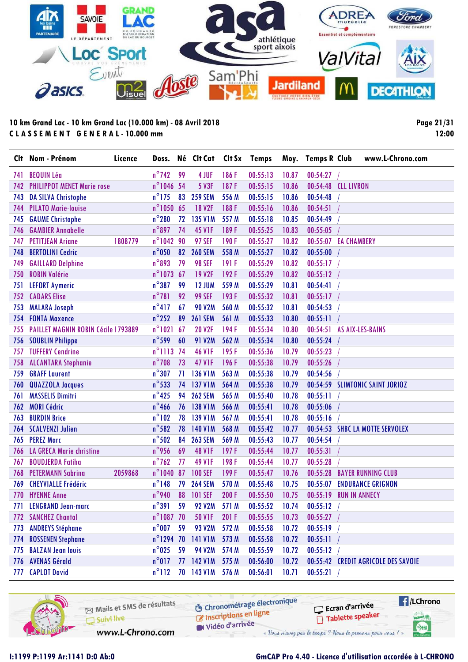

**Page 21/31 12:00**

| CI† | Nom - Prénom                               | Licence | Doss.               |    | Né Clt Cat     | Clt Sx | <b>Temps</b> |       | Moy. Temps R Club    |                      | www.L-Chrono.com                    |
|-----|--------------------------------------------|---------|---------------------|----|----------------|--------|--------------|-------|----------------------|----------------------|-------------------------------------|
| 741 | <b>BEQUIN Léa</b>                          |         | $n^{\circ}$ 742     | 99 | 4 JUF          | 186F   | 00:55:13     | 10.87 | 00:54:27             |                      |                                     |
| 742 | <b>PHILIPPOT MENET Marie rose</b>          |         | n°1046 54           |    | 5 V3F          | 187F   | 00:55:15     | 10.86 | 00:54:48             | <b>CLL LIVRON</b>    |                                     |
| 743 | <b>DA SILVA Christophe</b>                 |         | $n^{\circ}$ 175     | 83 | <b>259 SEM</b> | 556 M  | 00:55:15     | 10.86 | 00:54:48             |                      |                                     |
| 744 | <b>PILATO Marie-louise</b>                 |         | n°1050 65           |    | <b>18 V2F</b>  | 188F   | 00:55:16     | 10.86 | 00:54:51             |                      |                                     |
| 745 | <b>GAUME Christophe</b>                    |         | $n^{\circ}280$      | 72 | <b>135 V1M</b> | 557 M  | 00:55:18     | 10.85 | 00:54:49             |                      |                                     |
| 746 | <b>GAMBIER Annabelle</b>                   |         | $n^{\circ}897$      | 74 | <b>45 V1F</b>  | 189F   | 00:55:25     | 10.83 | 00:55:05             |                      |                                     |
| 747 | <b>PETITJEAN Ariane</b>                    | 1808779 | n°1042 90           |    | <b>97 SEF</b>  | 190F   | 00:55:27     | 10.82 | 00:55:07 EA CHAMBERY |                      |                                     |
| 748 | <b>BERTOLINI Cedric</b>                    |         | $n^{\circ}$ 050     | 82 | <b>260 SEM</b> | 558 M  | 00:55:27     | 10.82 | 00:55:00             |                      |                                     |
| 749 | <b>GAILLARD Delphine</b>                   |         | $n^{\circ}$ 893     | 79 | <b>98 SEF</b>  | 191 F  | 00:55:29     | 10.82 | 00:55:17             |                      |                                     |
| 750 | <b>ROBIN Valérie</b>                       |         | $n^{\circ}$ 1073 67 |    | <b>19 V2F</b>  | 192F   | 00:55:29     | 10.82 | 00:55:12             |                      |                                     |
| 751 | <b>LEFORT Aymeric</b>                      |         | $n^{\circ}387$      | 99 | <b>12 JUM</b>  | 559 M  | 00:55:29     | 10.81 | 00:54:41             |                      |                                     |
| 752 | <b>CADARS Elise</b>                        |         | $n^{\circ}781$      | 92 | <b>99 SEF</b>  | 193F   | 00:55:32     | 10.81 | 00:55:17             |                      |                                     |
| 753 | <b>MALARA Joseph</b>                       |         | $n^{\circ}417$      | 67 | <b>90 V2M</b>  | 560 M  | 00:55:32     | 10.81 | 00:54:53             |                      |                                     |
| 754 | <b>FONTA Maxence</b>                       |         | $n^{\circ}$ 252     | 89 | <b>261 SEM</b> | 561 M  | 00:55:33     | 10.80 | 00:55:11             |                      |                                     |
| 755 | <b>PAILLET MAGNIN ROBIN Cécile 1793889</b> |         | $n^{\circ}1021$     | 67 | <b>20 V2F</b>  | 194F   | 00:55:34     | 10.80 | 00:54:51             |                      | AS AIX-LES-BAINS                    |
| 756 | <b>SOUBLIN Philippe</b>                    |         | $n^{\circ}$ 599     | 60 | <b>91 V2M</b>  | 562 M  | 00:55:34     | 10.80 | 00:55:24             |                      |                                     |
| 757 | <b>TUFFERY Cendrine</b>                    |         | n°1113 74           |    | <b>46 V1F</b>  | 195F   | 00:55:36     | 10.79 | 00:55:23             |                      |                                     |
| 758 | <b>ALCANTARA Stephanie</b>                 |         | $n^{\circ}$ 708     | 73 | <b>47 V1F</b>  | 196F   | 00:55:38     | 10.79 | 00:55:26             |                      |                                     |
| 759 | <b>GRAFF Laurent</b>                       |         | $n^{\circ}307$      | 71 | <b>136 V1M</b> | 563 M  | 00:55:38     | 10.79 | 00:54:56             |                      |                                     |
| 760 | <b>QUAZZOLA Jacques</b>                    |         | $n^{\circ}$ 533     | 74 | <b>137 V1M</b> | 564 M  | 00:55:38     | 10.79 |                      |                      | 00:54:59 SLIMTONIC SAINT JORIOZ     |
| 761 | <b>MASSELIS Dimitri</b>                    |         | $n^{\circ}$ 425     | 94 | <b>262 SEM</b> | 565 M  | 00:55:40     | 10.78 | 00:55:11             |                      |                                     |
| 762 | <b>MORI Cédric</b>                         |         | $n^{\circ}$ 466     | 76 | <b>138 V1M</b> | 566 M  | 00:55:41     | 10.78 | 00:55:06             |                      |                                     |
| 763 | <b>BURDIN Brice</b>                        |         | $n^{\circ}102$      | 78 | <b>139 V1M</b> | 567 M  | 00:55:41     | 10.78 | 00:55:16             |                      |                                     |
| 764 | <b>SCALVENZI Julien</b>                    |         | $n^{\circ}$ 582     | 78 | <b>140 V1M</b> | 568 M  | 00:55:42     | 10.77 |                      |                      | 00:54:53 SHBC LA MOTTE SERVOLEX     |
| 765 | <b>PEREZ Marc</b>                          |         | $n^{\circ}$ 502     | 84 | <b>263 SEM</b> | 569 M  | 00:55:43     | 10.77 | 00:54:54             |                      |                                     |
| 766 | <b>LA GRECA Marie christine</b>            |         | $n^{\circ}$ 956     | 69 | <b>48 V1F</b>  | 197F   | 00:55:44     | 10.77 | 00:55:31             |                      |                                     |
| 767 | <b>BOUDJERDA Fatiha</b>                    |         | $n^{\circ}$ 762     | 77 | <b>49 V1F</b>  | 198F   | 00:55:44     | 10.77 | 00:55:28             |                      |                                     |
| 768 | <b>PETERMANN Sabrina</b>                   | 2059868 | $n^{\circ}$ 1040    | 87 | <b>100 SEF</b> | 199F   | 00:55:47     | 10.76 | 00:55:28             |                      | <b>BAYER RUNNING CLUB</b>           |
| 769 | <b>CHEYVIALLE Frédéric</b>                 |         | $n^{\circ}$ 148     | 79 | <b>264 SEM</b> | 570 M  | 00:55:48     | 10.75 | 00:55:07             |                      | <b>ENDURANCE GRIGNON</b>            |
|     | 770 HYENNE Anne                            |         | $n^{\circ}$ 940     | 88 | <b>101 SEF</b> | 200F   | 00:55:50     | 10.75 | 00:55:19             | <b>RUN IN ANNECY</b> |                                     |
| 771 | <b>LENGRAND Jean-marc</b>                  |         | $n^{\circ}391$      | 59 | <b>92 V2M</b>  | 571 M  | 00:55:52     | 10.74 | 00:55:12             |                      |                                     |
|     | 772 SANCHEZ Chantal                        |         | $n^{\circ}$ 1087 70 |    | <b>50 V1F</b>  | 201 F  | 00:55:55     | 10.73 | 00:55:27             |                      |                                     |
| 773 | <b>ANDREYS Stéphane</b>                    |         | $n^{\circ}$ 007     | 59 | <b>93 V2M</b>  | 572 M  | 00:55:58     | 10.72 | 00:55:19             |                      |                                     |
| 774 | <b>ROSSENEN Stephane</b>                   |         | $n^{\circ}$ 1294 70 |    | <b>141 V1M</b> | 573 M  | 00:55:58     | 10.72 | 00:55:11             |                      |                                     |
| 775 | <b>BALZAN Jean louis</b>                   |         | $n^{\circ}$ 025     | 59 | <b>94 V2M</b>  | 574 M  | 00:55:59     | 10.72 | 00:55:12             |                      |                                     |
| 776 | <b>AVENAS Gérald</b>                       |         | $n^{\circ}017$      |    | 77 142 V1M     | 575 M  | 00:56:00     | 10.72 |                      |                      | 00:55:42 CREDIT AGRICOLE DES SAVOIE |
| 777 | <b>CAPLOT David</b>                        |         | $n^{\circ}112$      |    | 70 143 V1M     | 576 M  | 00:56:01     | 10.71 | 00:55:21             |                      |                                     |

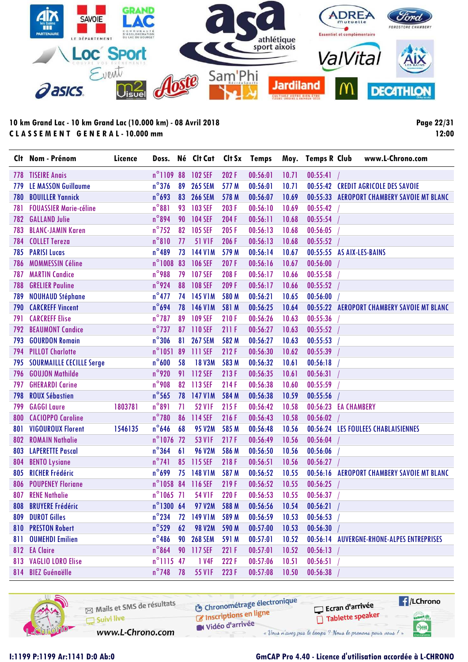

**Page 22/31 12:00**

|     | Clt Nom - Prénom                | Licence |                     |    | Doss. Né Clt Cat |       | Clt Sx Temps |       | Moy. Temps R Club    | www.L-Chrono.com                           |
|-----|---------------------------------|---------|---------------------|----|------------------|-------|--------------|-------|----------------------|--------------------------------------------|
|     | <b>778 TISEIRE Anais</b>        |         | $n^{\circ}110988$   |    | 102 SEF          | 202F  | 00:56:01     | 10.71 | 00:55:41             |                                            |
| 779 | <b>LE MASSON Guillaume</b>      |         | $n^{\circ}$ 376     | 89 | <b>265 SEM</b>   | 577 M | 00:56:01     | 10.71 |                      | 00:55:42 CREDIT AGRICOLE DES SAVOIE        |
| 780 | <b>BOUILLER Yannick</b>         |         | $n^{\circ}693$      | 83 | <b>266 SEM</b>   | 578 M | 00:56:07     | 10.69 |                      | 00:55:33 AEROPORT CHAMBERY SAVOIE MT BLANC |
| 781 | <b>FOUASSIER Marie-céline</b>   |         | $n^{\circ}881$      | 93 | <b>103 SEF</b>   | 203F  | 00:56:10     | 10.69 | 00:55:42             |                                            |
| 782 | <b>GALLAND Julie</b>            |         | $n^{\circ}$ 894     | 90 | <b>104 SEF</b>   | 204 F | 00:56:11     | 10.68 | 00:55:54             |                                            |
| 783 | <b>BLANC-JAMIN Karen</b>        |         | $n^{\circ}$ 752     | 82 | <b>105 SEF</b>   | 205F  | 00:56:13     | 10.68 | 00:56:05             |                                            |
| 784 | <b>COLLET Tereza</b>            |         | $n^{\circ}810$      | 77 | <b>51 V1F</b>    | 206 F | 00:56:13     | 10.68 | 00:55:52             |                                            |
| 785 | <b>PARISI Lucas</b>             |         | $n^{\circ}$ 489     | 73 | 144 V1M          | 579 M | 00:56:14     | 10.67 |                      | 00:55:55 AS AIX-LES-BAINS                  |
| 786 | <b>MOMMESSIN Céline</b>         |         | $n^{\circ}$ 1008    | 83 | 106 SEF          | 207F  | 00:56:16     | 10.67 | 00:56:00             |                                            |
| 787 | <b>MARTIN Candice</b>           |         | n°988               | 79 | <b>107 SEF</b>   | 208F  | 00:56:17     | 10.66 | 00:55:58             |                                            |
| 788 | <b>GRELIER Pauline</b>          |         | $n^{\circ}$ 924     | 88 | <b>108 SEF</b>   | 209 F | 00:56:17     | 10.66 | 00:55:52             |                                            |
| 789 | <b>NOUHAUD Stéphane</b>         |         | $n^{\circ}477$      |    | 74 145 V1M       | 580 M | 00:56:21     | 10.65 | 00:56:00             |                                            |
| 790 | <b>CARCREFF Vincent</b>         |         | $n^{\circ}694$      |    | 78 146 V1M       | 581 M | 00:56:25     | 10.64 |                      | 00:55:22 AEROPORT CHAMBERY SAVOIE MT BLANC |
| 791 | <b>CARCREFF Elise</b>           |         | $n^{\circ}$ 787     | 89 | <b>109 SEF</b>   | 210F  | 00:56:26     | 10.63 | 00:55:36             |                                            |
| 792 | <b>BEAUMONT Candice</b>         |         | $n^{\circ}$ 737     |    | 87 110 SEF       | 211F  | 00:56:27     | 10.63 | 00:55:52             |                                            |
| 793 | <b>GOURDON Romain</b>           |         | $n^{\circ}306$      | 81 | <b>267 SEM</b>   | 582 M | 00:56:27     | 10.63 | 00:55:53             |                                            |
| 794 | <b>PILLOT Charlotte</b>         |         | $n^{\circ}1051$     | 89 | 111 SEF          | 212F  | 00:56:30     | 10.62 | 00:55:39             |                                            |
| 795 | <b>SOURMAILLE CECILLE Serge</b> |         | $n^{\circ}$ 600     | 58 | <b>18 V3M</b>    | 583 M | 00:56:32     | 10.61 | 00:56:18             |                                            |
| 796 | <b>GOUJON Mathilde</b>          |         | $n^{\circ}$ 920     |    | 91 112 SEF       | 213F  | 00:56:35     | 10.61 | 00:56:31             |                                            |
| 797 | <b>GHERARDI Carine</b>          |         | $n^{\circ}$ 908     | 82 | 113 SEF          | 214F  | 00:56:38     | 10.60 | 00:55:59             |                                            |
| 798 | <b>ROUX Sébastien</b>           |         | $n^{\circ}$ 565     | 78 | 147 V1M          | 584 M | 00:56:38     | 10.59 | 00:55:56             |                                            |
| 799 | <b>GAGGI Laure</b>              | 1803781 | $n^{\circ}891$      | 71 | <b>52 V1F</b>    | 215F  | 00:56:42     | 10.58 | 00:56:23 EA CHAMBERY |                                            |
| 800 | <b>CACIOPPO Caroline</b>        |         | $n^{\circ}$ 780     | 86 | 114 SEF          | 216F  | 00:56:43     | 10.58 | 00:56:02             |                                            |
| 801 | <b>VIGOUROUX Florent</b>        | 1546135 | $n^{\circ}$ 646     | 68 | <b>95 V2M</b>    | 585 M | 00:56:48     | 10.56 |                      | 00:56:24 LES FOULEES CHABLAISIENNES        |
| 802 | <b>ROMAIN Nathalie</b>          |         | $n^{\circ}$ 1076 72 |    | 53 V1F           | 217F  | 00:56:49     | 10.56 | 00:56:04             |                                            |
| 803 | <b>LAPERETTE Pascal</b>         |         | $n^{\circ}364$      | 61 | <b>96 V2M</b>    | 586 M | 00:56:50     | 10.56 | 00:56:06             |                                            |
| 804 | <b>BENTO Lysiane</b>            |         | $n^{\circ}$ 741     | 85 | 115 SEF          | 218F  | 00:56:51     | 10.56 | 00:56:27             |                                            |
| 805 | <b>RICHER Frédéric</b>          |         | $n^{\circ}$ 699     | 75 | 148 V1M          | 587 M | 00:56:52     | 10.55 | 00:56:16             | <b>AEROPORT CHAMBERY SAVOIE MT BLANC</b>   |
| 806 | <b>POUPENEY Floriane</b>        |         | n°1058 84           |    | 116 SEF          | 219F  | 00:56:52     | 10.55 | 00:56:25             |                                            |
|     | 807 RENE Nathalie               |         | $n^{\circ}1065$ 71  |    | <b>54 V1F</b>    | 220 F | 00:56:53     | 10.55 | 00:56:37             |                                            |
|     | 808 BRUYERE Frédéric            |         | $n^{\circ}$ 1300 64 |    | 97 V2M           | 588 M | 00:56:56     | 10.54 | 00:56:21             |                                            |
|     | 809 DUROT Gilles                |         | $n^{\circ}$ 234     | 72 | 149 V1M          | 589 M | 00:56:59     | 10.53 | 00:56:53             |                                            |
|     | 810 PRESTON Robert              |         | $n^{\circ}$ 529     | 62 | <b>98 V2M</b>    | 590 M | 00:57:00     | 10.53 | 00:56:30             |                                            |
|     | 811 OUMEHDI Emilien             |         | $n^{\circ}$ 486     |    | 90 268 SEM       | 591 M | 00:57:01     | 10.52 |                      | 00:56:14 AUVERGNE-RHONE-ALPES ENTREPRISES  |
|     | 812 EA Claire                   |         | $n^{\circ}864$      |    | 90 117 SEF       | 221 F | 00:57:01     | 10.52 | 00:56:13             |                                            |
|     | 813 VAGLIO LORO Elise           |         | n°1115 47           |    | 1 V4F            | 222 F | 00:57:06     | 10.51 | 00:56:51             |                                            |
|     | 814 BIEZ Guénaëlle              |         | $n^{\circ}$ 748     | 78 | 55 V1F           | 223F  | 00:57:08     | 10.50 | 00:56:38             |                                            |

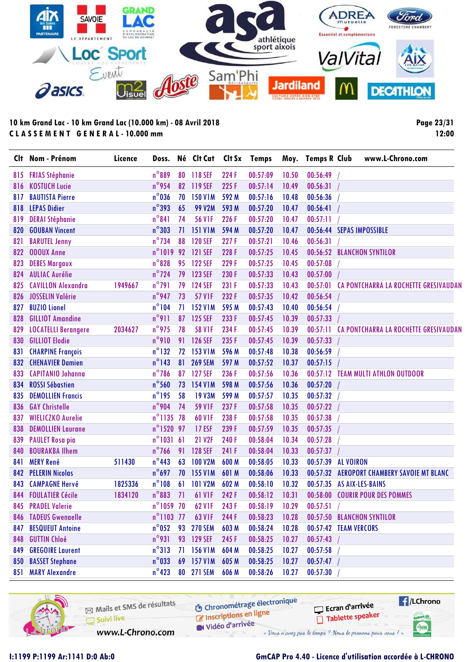

**Page 23/31 12:00**

| CI† | Nom - Prénom                | Licence | Doss.              |    | Né Clt Cat         | Clt Sx | <b>Temps</b> |       | Moy. Temps R Club | www.L-Chrono.com                                      |
|-----|-----------------------------|---------|--------------------|----|--------------------|--------|--------------|-------|-------------------|-------------------------------------------------------|
| 815 | <b>FRIAS Stéphanie</b>      |         | $n^{\circ}889$     | 80 | 118 SEF            | 224 F  | 00:57:09     | 10.50 | 00:56:49          |                                                       |
| 816 | <b>KOSTUCH Lucie</b>        |         | $n^{\circ}$ 954    |    | 82 119 SEF         | 225F   | 00:57:14     | 10.49 | 00:56:31          |                                                       |
| 817 | <b>BAUTISTA Pierre</b>      |         | $n^{\circ}$ 036    | 70 | <b>150 V1M</b>     | 592 M  | 00:57:16     | 10.48 | 00:56:36          |                                                       |
| 818 | <b>LEPAS Didier</b>         |         | $n^{\circ}$ 393    | 65 | <b>99 V2M</b>      | 593 M  | 00:57:20     | 10.47 | 00:56:41          |                                                       |
| 819 | <b>DERAI Stéphanie</b>      |         | $n^{\circ}841$     | 74 | <b>56 V1F</b>      | 226 F  | 00:57:20     | 10.47 | 00:57:11          |                                                       |
| 820 | <b>GOUBAN Vincent</b>       |         | $n^{\circ}303$     | 71 | <b>151 V1M</b>     | 594 M  | 00:57:20     | 10.47 |                   | 00:56:44 SEPAS IMPOSSIBLE                             |
| 821 | <b>BARUTEL Jenny</b>        |         | $n^{\circ}$ 734    | 88 | <b>120 SEF</b>     | 227F   | 00:57:21     | 10.46 | 00:56:31          |                                                       |
| 822 | <b>ODOUX Anne</b>           |         | $n^{\circ}1019$    | 92 | 121 SEF            | 228 F  | 00:57:25     | 10.45 |                   | 00:56:52 BLANCHON SYNTILOR                            |
| 823 | <b>DEBES Margaux</b>        |         | $n^{\circ}$ 828    | 95 | <b>122 SEF</b>     | 229F   | 00:57:25     | 10.45 | 00:57:08          |                                                       |
| 824 | <b>AULIAC Aurélie</b>       |         | $n^{\circ}$ 724    | 79 | 123 SEF            | 230 F  | 00:57:33     | 10.43 | 00:57:00          |                                                       |
| 825 | <b>CAVILLON Alexandra</b>   | 1949667 | $n^{\circ}$ 791    | 79 | <b>124 SEF</b>     | 231 F  | 00:57:33     | 10.43 |                   | 00:57:01 CA PONTCHARRA LA ROCHETTE GRESIVAUDAN        |
| 826 | JOSSELIN Valérie            |         | $n^{\circ}$ 947    | 73 | <b>57 V1F</b>      | 232 F  | 00:57:35     | 10.42 | 00:56:54          |                                                       |
| 827 | <b>BUZIO Lionel</b>         |         | $n^{\circ}104$     | 71 | <b>152 V1M</b>     | 595 M  | 00:57:43     | 10.40 | 00:56:54          |                                                       |
| 828 | <b>GILLIOT Amandine</b>     |         | $n^{\circ}911$     | 87 | 125 SEF            | 233 F  | 00:57:45     | 10.39 | 00:57:33          |                                                       |
| 829 | <b>LOCATELLI Berangere</b>  | 2034627 | $n^{\circ}$ 975    | 78 | <b>58 V1F</b>      | 234 F  | 00:57:45     | 10.39 |                   | <b>00:57:11 CA PONTCHARRA LA ROCHETTE GRESIVAUDAN</b> |
| 830 | <b>GILLIOT Elodie</b>       |         | $n^{\circ}$ 910    | 91 | <b>126 SEF</b>     | 235F   | 00:57:45     | 10.39 | 00:57:33          |                                                       |
| 831 | <b>CHARPINE François</b>    |         | $n^{\circ}$ 132    | 72 | <b>153 V1M</b>     | 596 M  | 00:57:48     | 10.38 | 00:56:59          |                                                       |
| 832 | <b>CHENAVIER Damien</b>     |         | $n^{\circ}$ 143    | 81 | <b>269 SEM</b>     | 597 M  | 00:57:52     | 10.37 | 00:57:15          |                                                       |
| 833 | <b>CAPITANIO Johanna</b>    |         | $n^{\circ}$ 786    |    | 87 127 SEF         | 236 F  | 00:57:56     | 10.36 |                   | 00:57:12 TEAM MULTI ATHLON OUTDOOR                    |
| 834 | <b>ROSSI Sébastien</b>      |         | $n^{\circ}$ 560    | 73 | 154 V1M            | 598 M  | 00:57:56     | 10.36 | 00:57:20          |                                                       |
| 835 | <b>DEMOLLIEN Francis</b>    |         | $n^{\circ}$ 195    | 58 | <b>19 V3M</b>      | 599 M  | 00:57:57     | 10.35 | 00:57:32          |                                                       |
| 836 | <b>GAY Christelle</b>       |         | $n^{\circ}$ 904    | 74 | <b>59 V1F</b>      | 237F   | 00:57:58     | 10.35 | 00:57:22          |                                                       |
| 837 | <b>WIELICZKO Aurelie</b>    |         | $n^{\circ}$ 1135   | 78 | <b>60 V1F</b>      | 238 F  | 00:57:58     | 10.35 | 00:57:38          |                                                       |
| 838 | <b>DEMOLLIEN Laurane</b>    |         | n°1520 97          |    | <b>17 ESF</b>      | 239 F  | 00:57:59     | 10.35 | 00:57:35          |                                                       |
| 839 | <b>PAULET Rosa pia</b>      |         | $n^{\circ}1031$    | 61 | <b>21 V2F</b>      | 240 F  | 00:58:04     | 10.34 | 00:57:28          |                                                       |
| 840 | <b>BOURAKBA Ilhem</b>       |         | $n^{\circ}$ 766    | 91 | <b>128 SEF</b>     | 241 F  | 00:58:04     | 10.33 | 00:57:37          |                                                       |
| 841 | <b>MERY René</b>            | 511430  | $n^{\circ}$ 443    | 63 | <b>100 V2M</b>     | 600 M  | 00:58:05     | 10.33 | 00:57:39          | <b>AL VOIRON</b>                                      |
| 842 | <b>PELERIN Nicolas</b>      |         | $n^{\circ}$ 697    |    | 70 155 V1M         | 601 M  | 00:58:06     | 10.33 |                   | 00:57:32 AEROPORT CHAMBERY SAVOIE MT BLANC            |
| 843 | <b>CAMPAGNE Hervé</b>       | 1825336 | $n^{\circ}108$     | 61 | <b>101 V2M</b>     | 602 M  | 00:58:10     | 10.32 |                   | 00:57:35 AS AIX-LES-BAINS                             |
| 844 | <b>FOULATIER Cécile</b>     | 1834120 | $n^{\circ}883$     | 71 | <b>61 V1F</b>      | 242F   | 00:58:12     | 10.31 |                   | 00:58:00 COURIR POUR DES POMMES                       |
|     | 845 PRADEL Valerie          |         | $n^{\circ}1059$ 70 |    | 62 V <sub>IF</sub> | 243 F  | 00:58:19     | 10.29 | 00:57:51          |                                                       |
|     | <b>846 TADEUS Gwenaelle</b> |         | n°1103 77          |    | 63 V1F             | 244 F  | 00:58:23     | 10.28 |                   | 00:57:50 BLANCHON SYNTILOR                            |
| 847 | <b>BESQUEUT Antoine</b>     |         | $n^{\circ}$ 052    | 93 | <b>270 SEM</b>     | 603 M  | 00:58:24     | 10.28 |                   | 00:57:42 TEAM VERCORS                                 |
| 848 | <b>GUTTIN Chloé</b>         |         | $n^{\circ}$ 931    |    | 93 129 SEF         | 245F   | 00:58:25     | 10.27 | 00:57:43          |                                                       |
| 849 | <b>GREGOIRE Laurent</b>     |         | $n^{\circ}313$     | 71 | <b>156 V1M</b>     | 604 M  | 00:58:25     | 10.27 | 00:57:58          |                                                       |
| 850 | <b>BASSET Stephane</b>      |         | $n^{\circ}$ 033    | 69 | <b>157 V1M</b>     | 605 M  | 00:58:25     | 10.27 | 00:57:47          |                                                       |
| 851 | <b>MARY Alexandre</b>       |         | $n^{\circ}$ 423    |    | 80 271 SEM         | 606 M  | 00:58:26     | 10.27 | 00:57:30          |                                                       |

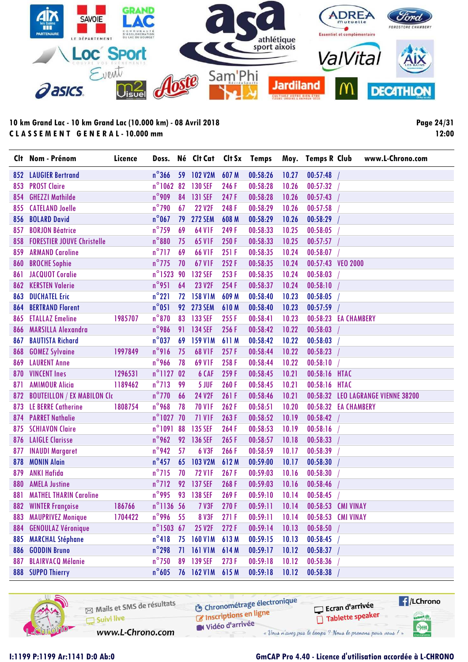

**Page 24/31 12:00**

|     | Clt Nom - Prénom                   | Licence | Doss.               |    | Né Clt Cat     |       | Clt Sx Temps |       | Moy. Temps R Club    |             | www.L-Chrono.com                   |
|-----|------------------------------------|---------|---------------------|----|----------------|-------|--------------|-------|----------------------|-------------|------------------------------------|
|     | <b>852 LAUGIER Bertrand</b>        |         | $n^{\circ}366$      |    | 59 102 V2M     | 607 M | 00:58:26     | 10.27 | 00:57:48             |             |                                    |
| 853 | <b>PROST Claire</b>                |         | $n^{\circ}$ 1062    | 82 | <b>130 SEF</b> | 246 F | 00:58:28     | 10.26 | 00:57:32             |             |                                    |
| 854 | <b>GHEZZI Mathilde</b>             |         | $n^{\circ}$ 909     | 84 | 131 SEF        | 247F  | 00:58:28     | 10.26 | 00:57:43             |             |                                    |
| 855 | <b>CATELAND Joelle</b>             |         | $n^{\circ}$ 790     | 67 | <b>22 V2F</b>  | 248F  | 00:58:29     | 10.26 | 00:57:58             |             |                                    |
| 856 | <b>BOLARD David</b>                |         | $n^{\circ}$ 067     | 79 | <b>272 SEM</b> | 608 M | 00:58:29     | 10.26 | 00:58:29             |             |                                    |
| 857 | <b>BORJON Béatrice</b>             |         | $n^{\circ}$ 759     | 69 | <b>64 V1F</b>  | 249F  | 00:58:33     | 10.25 | 00:58:05             |             |                                    |
| 858 | <b>FORESTIER JOUVE Christelle</b>  |         | $n^{\circ}880$      | 75 | 65 V1F         | 250 F | 00:58:33     | 10.25 | 00:57:57             |             |                                    |
| 859 | <b>ARMAND Caroline</b>             |         | $n^{\circ}$ 717     | 69 | <b>66 V1F</b>  | 251F  | 00:58:35     | 10.24 | 00:58:07             |             |                                    |
| 860 | <b>BROCHE Sophie</b>               |         | $n^{\circ}$ 775     | 70 | 67 V1F         | 252F  | 00:58:35     | 10.24 | 00:57:43 VEO 2000    |             |                                    |
| 861 | <b>JACQUOT Coralie</b>             |         | $n^{\circ}$ 1523    | 90 | <b>132 SEF</b> | 253F  | 00:58:35     | 10.24 | 00:58:03             |             |                                    |
| 862 | <b>KERSTEN Valerie</b>             |         | $n^{\circ}$ 951     | 64 | <b>23 V2F</b>  | 254 F | 00:58:37     | 10.24 | 00:58:10             |             |                                    |
| 863 | <b>DUCHATEL Eric</b>               |         | $n^{\circ}221$      | 72 | <b>158 V1M</b> | 609 M | 00:58:40     | 10.23 | 00:58:05             |             |                                    |
| 864 | <b>BERTRAND Florent</b>            |         | $n^{\circ}051$      | 92 | <b>273 SEM</b> | 610M  | 00:58:40     | 10.23 | 00:57:59             |             |                                    |
| 865 | <b>ETALLAZ Emeline</b>             | 1985707 | $n^{\circ}$ 870     | 83 | 133 SEF        | 255F  | 00:58:41     | 10.23 | 00:58:23 EA CHAMBERY |             |                                    |
| 866 | <b>MARSILLA Alexandra</b>          |         | $n^{\circ}$ 986     | 91 | 134 SEF        | 256F  | 00:58:42     | 10.22 | 00:58:03             |             |                                    |
| 867 | <b>BAUTISTA Richard</b>            |         | $n^{\circ}$ 037     | 69 | <b>159 V1M</b> | 611 M | 00:58:42     | 10.22 | 00:58:03             |             |                                    |
| 868 | <b>GOMEZ Sylvaine</b>              | 1997849 | n°916               | 75 | <b>68 V1F</b>  | 257F  | 00:58:44     | 10.22 | 00:58:23             |             |                                    |
| 869 | <b>LAURENT Anne</b>                |         | n°966               | 78 | <b>69 V1F</b>  | 258F  | 00:58:44     | 10.22 | 00:58:10             |             |                                    |
| 870 | <b>VINCENT Ines</b>                | 1296531 | $n^{\circ}$ 1127 02 |    | 6 CAF          | 259F  | 00:58:45     | 10.21 | 00:58:16 HTAC        |             |                                    |
| 871 | <b>AMIMOUR Alicia</b>              | 1189462 | $n^{\circ}$ 713     | 99 | 5 JUF          | 260F  | 00:58:45     | 10.21 | 00:58:16             | <b>HTAC</b> |                                    |
| 872 | <b>BOUTEILLON / EX MABILON CIC</b> |         | $n^{\circ}$ 770     | 66 | 24 V2F         | 261 F | 00:58:46     | 10.21 |                      |             | 00:58:32 LEO LAGRANGE VIENNE 38200 |
| 873 | <b>LE BERRE Catherine</b>          | 1808754 | $n^{\circ}$ 968     | 78 | <b>70 V1F</b>  | 262F  | 00:58:51     | 10.20 | 00:58:32 EA CHAMBERY |             |                                    |
| 874 | <b>PARRET Nathalie</b>             |         | $n^{\circ}$ 1027 70 |    | <b>71 V1F</b>  | 263F  | 00:58:52     | 10.19 | 00:58:42             |             |                                    |
| 875 | <b>SCHIAVON Claire</b>             |         | n°1091 88           |    | <b>135 SEF</b> | 264F  | 00:58:53     | 10.19 | 00:58:16             |             |                                    |
| 876 | <b>LAIGLE Clarisse</b>             |         | n°962               | 92 | <b>136 SEF</b> | 265F  | 00:58:57     | 10.18 | 00:58:33             |             |                                    |
| 877 | <b>INAUDI Margaret</b>             |         | n°942               | 57 | 6 V3F          | 266F  | 00:58:59     | 10.17 | 00:58:39             |             |                                    |
| 878 | <b>MONIN Alain</b>                 |         | $n^{\circ}$ 457     | 65 | <b>103 V2M</b> | 612M  | 00:59:00     | 10.17 | 00:58:30             |             |                                    |
| 879 | <b>ANKI Hafida</b>                 |         | $n^{\circ}$ 715     | 70 | <b>72 V1F</b>  | 267F  | 00:59:03     | 10.16 | 00:58:30             |             |                                    |
| 880 | <b>AMELA Justine</b>               |         | $n^{\circ}$ 712     | 92 | 137 SEF        | 268F  | 00:59:03     | 10.16 | 00:58:46             |             |                                    |
| 881 | <b>MATHEL THARIN Caroline</b>      |         | $n^{\circ}$ 995     | 93 | 138 SEF        | 269F  | 00:59:10     | 10.14 | 00:58:45             |             |                                    |
|     | 882 WINTER Françoise               | 186766  | $n^{\circ}$ 1136 56 |    | <b>7 V3F</b>   | 270F  | 00:59:11     | 10.14 | 00:58:53 CMI VINAY   |             |                                    |
| 883 | <b>MAUPRIVEZ Monique</b>           | 1704422 | $n^{\circ}$ 996     | 55 | <b>8 V3F</b>   | 271F  | 00:59:11     | 10.14 | 00:58:53 CMI VINAY   |             |                                    |
| 884 | <b>GENOULAZ Véronique</b>          |         | $n^{\circ}$ 1503 67 |    | 25 V2F         | 272F  | 00:59:14     | 10.13 | 00:58:50             |             |                                    |
| 885 | <b>MARCHAL Stéphane</b>            |         | $n^{\circ}418$      | 75 | <b>160 V1M</b> | 613M  | 00:59:15     | 10.13 | 00:58:45             |             |                                    |
| 886 | <b>GODDIN Bruno</b>                |         | $n^{\circ}$ 298     | 71 | <b>161 V1M</b> | 614 M | 00:59:17     | 10.12 | 00:58:37             |             |                                    |
| 887 | <b>BLAIRVACQ Mélanie</b>           |         | $n^{\circ}$ 750     | 89 | <b>139 SEF</b> | 273F  | 00:59:18     | 10.12 | 00:58:36             |             |                                    |
|     | 888 SUPPO Thierry                  |         | $n^{\circ}$ 605     |    | 76 162 V1M     | 615 M | 00:59:18     | 10.12 | 00:58:38             |             |                                    |

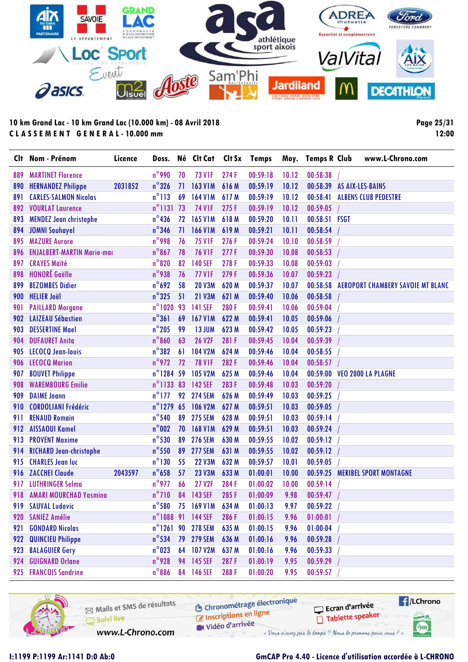

**Page 25/31 12:00**

| Clt | Nom - Prénom                      | Licence | Doss.               |    | Né Clt Cat Clt Sx |       | Temps    |       | Moy. Temps R Club | www.L-Chrono.com                         |
|-----|-----------------------------------|---------|---------------------|----|-------------------|-------|----------|-------|-------------------|------------------------------------------|
| 889 | <b>MARTINET Florence</b>          |         | $n^{\circ}$ 990     | 70 | <b>73 V1F</b>     | 274F  | 00:59:18 | 10.12 | 00:58:38          |                                          |
| 890 | <b>HERNANDEZ Philippe</b>         | 2031852 | $n^{\circ}$ 326     | 71 | <b>163 V1M</b>    | 616M  | 00:59:19 | 10.12 | 00:58:39          | AS AIX-LES-BAINS                         |
| 891 | <b>CARLES-SALMON Nicolas</b>      |         | $n^{\circ}113$      | 69 | <b>164 V1M</b>    | 617M  | 00:59:19 | 10.12 | 00:58:41          | <b>ALBENS CLUB PEDESTRE</b>              |
| 892 | <b>VOURLAT Laurence</b>           |         | $n^{\circ}1131$     | 73 | <b>74 V1F</b>     | 275F  | 00:59:19 | 10.12 | 00:59:05          |                                          |
| 893 | <b>MENDEZ Jean christophe</b>     |         | $n^{\circ}$ 436     | 72 | <b>165 V1M</b>    | 618 M | 00:59:20 | 10.11 | 00:58:51 FSGT     |                                          |
| 894 | <b>JOMNI Souhayel</b>             |         | $n^{\circ}$ 346     | 71 | <b>166 V1M</b>    | 619 M | 00:59:21 | 10.11 | 00:58:54          |                                          |
| 895 | <b>MAZURE Aurore</b>              |         | n°998               | 76 | <b>75 VIF</b>     | 276F  | 00:59:24 | 10.10 | 00:58:59          |                                          |
| 896 | <b>ENJALBERT-MARTIN Marie-mac</b> |         | $n^{\circ}$ 867     | 78 | <b>76 V1F</b>     | 277F  | 00:59:30 | 10.08 | 00:58:53          |                                          |
| 897 | <b>CRAYES Maité</b>               |         | $n^{\circ}820$      | 82 | <b>140 SEF</b>    | 278F  | 00:59:33 | 10.08 | 00:59:03          |                                          |
| 898 | <b>HONORÉ Gaëlle</b>              |         | n°938               | 76 | <b>77 V1F</b>     | 279F  | 00:59:36 | 10.07 | 00:59:23          |                                          |
| 899 | <b>BEZOMBES Didier</b>            |         | $n^{\circ}$ 692     | 58 | <b>20 V3M</b>     | 620 M | 00:59:37 | 10.07 | 00:58:58          | <b>AEROPORT CHAMBERY SAVOIE MT BLANC</b> |
| 900 | <b>HELIER Joël</b>                |         | $n^{\circ}325$      | 51 | <b>21 V3M</b>     | 621 M | 00:59:40 | 10.06 | 00:58:58          |                                          |
| 901 | <b>PAILLARD Morgane</b>           |         | $n^{\circ}$ 1020    | 93 | <b>141 SEF</b>    | 280F  | 00:59:41 | 10.06 | 00:59:04          |                                          |
| 902 | <b>LAIZEAU Sébastien</b>          |         | $n^{\circ}361$      | 69 | <b>167 V1M</b>    | 622 M | 00:59:41 | 10.05 | 00:59:06          |                                          |
| 903 | <b>DESSERTINE Mael</b>            |         | $n^{\circ}$ 205     | 99 | <b>13 JUM</b>     | 623 M | 00:59:42 | 10.05 | 00:59:23          |                                          |
| 904 | <b>DUFAURET Anita</b>             |         | $n^{\circ}$ 860     | 63 | <b>26 V2F</b>     | 281 F | 00:59:45 | 10.04 | 00:59:39          |                                          |
| 905 | LECOCQ Jean-louis                 |         | $n^{\circ}382$      | 61 | <b>104 V2M</b>    | 624 M | 00:59:46 | 10.04 | 00:58:55          |                                          |
| 906 | <b>LECOCQ Marion</b>              |         | $n^{\circ}$ 972     | 72 | <b>78 V1F</b>     | 282F  | 00:59:46 | 10.04 | 00:58:57          |                                          |
| 907 | <b>BOUVET Philippe</b>            |         | n°1284 59           |    | <b>105 V2M</b>    | 625 M | 00:59:46 | 10.04 |                   | 00:59:00 VEO 2000 LA PLAGNE              |
| 908 | <b>WAREMBOURG Emilie</b>          |         | $n^{\circ}$ 1133 83 |    | 142 SEF           | 283F  | 00:59:48 | 10.03 | 00:59:20          |                                          |
| 909 | <b>DAIME Joann</b>                |         | $n^{\circ}$ 177     | 92 | <b>274 SEM</b>    | 626 M | 00:59:49 | 10.03 | 00:59:25          |                                          |
| 910 | <b>CORDOLIANI Frédéric</b>        |         | $n^{\circ}$ 1279    | 65 | <b>106 V2M</b>    | 627 M | 00:59:51 | 10.03 | 00:59:05          |                                          |
| 911 | <b>RENAUD Romain</b>              |         | $n^{\circ}$ 540     | 89 | <b>275 SEM</b>    | 628 M | 00:59:51 | 10.03 | 00:59:14          |                                          |
| 912 | <b>AISSAOUI Kamel</b>             |         | $n^{\circ}002$      |    | 70 168 V1M        | 629 M | 00:59:51 | 10.03 | 00:59:24          |                                          |
| 913 | <b>PROVENT Maxime</b>             |         | $n^{\circ}$ 530     | 89 | <b>276 SEM</b>    | 630 M | 00:59:55 | 10.02 | 00:59:12          |                                          |
| 914 | <b>RICHARD Jean-christophe</b>    |         | $n^{\circ}$ 550     | 89 | <b>277 SEM</b>    | 631 M | 00:59:55 | 10.02 | 00:59:12          |                                          |
| 915 | <b>CHARLES Jean luc</b>           |         | $n^{\circ}$ 130     | 55 | <b>22 V3M</b>     | 632 M | 00:59:57 | 10.01 | 00:59:05          |                                          |
| 916 | <b>ZACCHEI Claude</b>             | 2043597 | $n^{\circ}$ 658     | 57 | <b>23 V3M</b>     | 633 M | 01:00:01 | 10.00 | 00:59:25          | <b>MERIBEL SPORT MONTAGNE</b>            |
| 917 | <b>LUTHRINGER Selma</b>           |         | $n^{\circ}$ 977     | 66 | 27 V2F            | 284F  | 01:00:02 | 10.00 | 00:59:14          |                                          |
| 918 | <b>AMARI MOURCHAD Yasmina</b>     |         | $n^{\circ}$ 710     | 84 | 143 SEF           | 285F  | 01:00:09 | 9.98  | 00:59:47          |                                          |
|     | 919 SAUVAL Ludovic                |         | $n^{\circ}$ 580     |    | 75 169 V1M        | 634 M | 01:00:13 | 9.97  | 00:59:22          |                                          |
| 920 | <b>SANIEZ Amélie</b>              |         |                     |    | n°1088 91 144 SEF | 286F  | 01:00:15 | 9.96  | 01:00:01          |                                          |
| 921 | <b>GONDARD Nicolas</b>            |         |                     |    | n°1261 90 278 SEM | 635 M | 01:00:15 | 9.96  | 01:00:04          |                                          |
| 922 | <b>QUINCIEU Philippe</b>          |         | $n^{\circ}$ 534     |    | 79 279 SEM        | 636 M | 01:00:16 | 9.96  | 00:59:28          |                                          |
| 923 | <b>BALAGUIER Gery</b>             |         | $n^{\circ}$ 023     |    | 64 107 V2M        | 637 M | 01:00:16 | 9.96  | 00:59:33          |                                          |
| 924 | <b>GUIGNARD Orlane</b>            |         | $n^{\circ}$ 928     |    | 94 145 SEF        | 287F  | 01:00:19 | 9.95  | 00:59:29          |                                          |
|     | 925 FRANCOIS Sandrine             |         | $n^{\circ}886$      |    | 84 146 SEF        | 288F  | 01:00:20 | 9.95  | 00:59:57          |                                          |

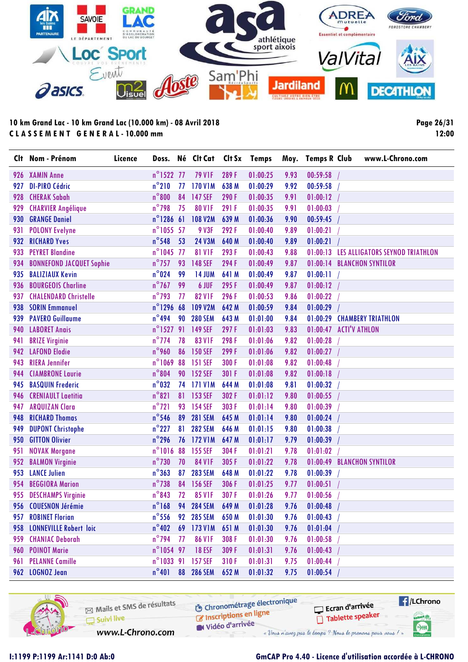

**Page 26/31 12:00**

|     | Clt Nom - Prénom                | Licence |                     |    | Doss. Né Clt Cat                | Clt Sx | <b>Temps</b> | Moy. | <b>Temps R Club</b> |                      | www.L-Chrono.com                |
|-----|---------------------------------|---------|---------------------|----|---------------------------------|--------|--------------|------|---------------------|----------------------|---------------------------------|
|     | 926 XAMIN Anne                  |         | n°1522 77           |    | <b>79 V1F</b>                   | 289F   | 01:00:25     | 9.93 | 00:59:58            |                      |                                 |
| 927 | <b>DI-PIRO Cédric</b>           |         | $n^{\circ}210$      | 77 | <b>170 V1M</b>                  | 638 M  | 01:00:29     | 9.92 | 00:59:58            |                      |                                 |
| 928 | <b>CHERAK Sabah</b>             |         | $n^{\circ}800$      | 84 | <b>147 SEF</b>                  | 290F   | 01:00:35     | 9.91 | 01:00:12            |                      |                                 |
| 929 | <b>CHARVIER Angélique</b>       |         | $n^{\circ}$ 798     | 75 | <b>80 V1F</b>                   | 291 F  | 01:00:35     | 9.91 | 01:00:03            |                      |                                 |
| 930 | <b>GRANGE Daniel</b>            |         | $n^{\circ}$ 1286 61 |    | <b>108 V2M</b>                  | 639 M  | 01:00:36     | 9.90 | 00:59:45            |                      |                                 |
| 931 | <b>POLONY Evelyne</b>           |         | n°1055 57           |    | <b>9 V3F</b>                    | 292F   | 01:00:40     | 9.89 | 01:00:21            |                      |                                 |
| 932 | <b>RICHARD Yves</b>             |         | $n^{\circ}$ 548     | 53 | <b>24 V3M</b>                   | 640 M  | 01:00:40     | 9.89 | 01:00:21            |                      |                                 |
| 933 | <b>PEYRET Blandine</b>          |         | n°1045 77           |    | <b>81 V1F</b>                   | 293F   | 01:00:43     | 9.88 | 01:00:13            |                      | LES ALLIGATORS SEYNOD TRIATHLON |
| 934 | <b>BONNEFOND JACQUET Sophie</b> |         | $n^{\circ}$ 757     | 93 | <b>148 SEF</b>                  | 294 F  | 01:00:49     | 9.87 | 01:00:14            |                      | <b>BLANCHON SYNTILOR</b>        |
| 935 | <b>BALIZIAUX Kevin</b>          |         | $n^{\circ}$ 024     | 99 | <b>14 JUM</b>                   | 641 M  | 01:00:49     | 9.87 | 01:00:11            |                      |                                 |
| 936 | <b>BOURGEOIS Charline</b>       |         | $n^{\circ}$ 767     | 99 | 6 JUF                           | 295F   | 01:00:49     | 9.87 | 01:00:12            |                      |                                 |
| 937 | <b>CHALENDARD Christelle</b>    |         | $n^{\circ}$ 793     | 77 | <b>82 V1F</b>                   | 296F   | 01:00:53     | 9.86 | 01:00:22            |                      |                                 |
| 938 | <b>SORIN Emmanuel</b>           |         | $n^{\circ}$ 1296    | 68 | <b>109 V2M</b>                  | 642 M  | 01:00:59     | 9.84 | 01:00:29            |                      |                                 |
| 939 | <b>PAVERO Guillaume</b>         |         | $n^{\circ}$ 494     | 90 | <b>280 SEM</b>                  | 643 M  | 01:01:00     | 9.84 | 01:00:29            |                      | <b>CHAMBERY TRIATHLON</b>       |
| 940 | <b>LABORET Anais</b>            |         | $n^{\circ}$ 1527    | 91 | 149 SEF                         | 297F   | 01:01:03     | 9.83 | 01:00:47            | <b>ACTI'V ATHLON</b> |                                 |
| 941 | <b>BRIZE Virginie</b>           |         | $n^{\circ}$ 774     | 78 | <b>83 V1F</b>                   | 298F   | 01:01:06     | 9.82 | 01:00:28            |                      |                                 |
| 942 | <b>LAFOND Elodie</b>            |         | $n^{\circ}$ 960     | 86 | <b>150 SEF</b>                  | 299 F  | 01:01:06     | 9.82 | 01:00:27            |                      |                                 |
| 943 | <b>RIERA Jennifer</b>           |         | $n^{\circ}$ 1069    | 88 | 151 SEF                         | 300 F  | 01:01:08     | 9.82 | 01:00:48            |                      |                                 |
| 944 | <b>CIAMBRONE Laurie</b>         |         | $n^{\circ}804$      | 90 | <b>152 SEF</b>                  | 301 F  | 01:01:08     | 9.82 | 01:00:18            |                      |                                 |
| 945 | <b>BASQUIN Frederic</b>         |         | $n^{\circ}$ 032     |    | 74 171 V1M                      | 644 M  | 01:01:08     | 9.81 | 01:00:32            |                      |                                 |
| 946 | <b>CRENIAULT Laetitia</b>       |         | $n^{\circ}821$      | 81 | 153 SEF                         | 302 F  | 01:01:12     | 9.80 | 01:00:55            |                      |                                 |
| 947 | <b>ARQUIZAN Clara</b>           |         | $n^{\circ}$ 721     | 93 | <b>154 SEF</b>                  | 303 F  | 01:01:14     | 9.80 | 01:00:39            |                      |                                 |
| 948 | <b>RICHARD Thomas</b>           |         | $n^{\circ}$ 546     | 89 | <b>281 SEM</b>                  | 645 M  | 01:01:14     | 9.80 | 01:00:24            |                      |                                 |
| 949 | <b>DUPONT Christophe</b>        |         | $n^{\circ}$ 227     | 81 | <b>282 SEM</b>                  | 646 M  | 01:01:15     | 9.80 | 01:00:38            |                      |                                 |
| 950 | <b>GITTON Olivier</b>           |         | $n^{\circ}$ 296     | 76 | 172 V1M                         | 647 M  | 01:01:17     | 9.79 | 01:00:39            |                      |                                 |
| 951 | <b>NOVAK Morgane</b>            |         | $n^{\circ}1016$     | 88 | <b>155 SEF</b>                  | 304F   | 01:01:21     | 9.78 | 01:01:02            |                      |                                 |
| 952 | <b>BALMON Virginie</b>          |         | $n^{\circ}$ 730     | 70 | <b>84 V1F</b>                   | 305 F  | 01:01:22     | 9.78 | 01:00:49            |                      | <b>BLANCHON SYNTILOR</b>        |
| 953 | <b>LANCE Julien</b>             |         | $n^{\circ}363$      | 87 | <b>283 SEM</b>                  | 648 M  | 01:01:22     | 9.78 | 01:00:39            |                      |                                 |
| 954 | <b>BEGGIORA Marion</b>          |         | $n^{\circ}$ 738     | 84 | 156 SEF                         | 306 F  | 01:01:25     | 9.77 | 01:00:51            |                      |                                 |
|     | 955 DESCHAMPS Virginie          |         | $n^{\circ}$ 843     | 72 | <b>85 V1F</b>                   | 307F   | 01:01:26     | 9.77 | 01:00:56            |                      |                                 |
|     | 956 COUESNON Jérémie            |         |                     |    | n°168 94 284 SEM 649 M 01:01:28 |        |              |      | $9.76$ 01:00:48 /   |                      |                                 |
| 957 | <b>ROBINET Florian</b>          |         | $n^{\circ}$ 556     | 92 | <b>285 SEM</b>                  | 650 M  | 01:01:30     | 9.76 | 01:00:43            |                      |                                 |
|     | 958 LONNEVILLE Robert loic      |         | $n^{\circ}402$      |    | 69 173 V1M                      | 651 M  | 01:01:30     | 9.76 | 01:01:04            |                      |                                 |
| 959 | <b>CHANIAC Deborah</b>          |         | $n^{\circ}$ 794     | 77 | <b>86 V1F</b>                   | 308 F  | 01:01:30     | 9.76 | 01:00:58            |                      |                                 |
| 960 | <b>POINOT Marie</b>             |         | n°1054 97           |    | <b>18 ESF</b>                   | 309 F  | 01:01:31     | 9.76 | 01:00:43            |                      |                                 |
| 961 | <b>PELANNE Camille</b>          |         | $n^{\circ}$ 1033 91 |    | <b>157 SEF</b>                  | 310F   | 01:01:31     | 9.75 | 01:00:44            |                      |                                 |
|     | 962 LOGNOZ Jean                 |         | $n^{\circ}401$      | 88 | <b>286 SEM</b>                  | 652 M  | 01:01:32     | 9.75 | 01:00:54            |                      |                                 |

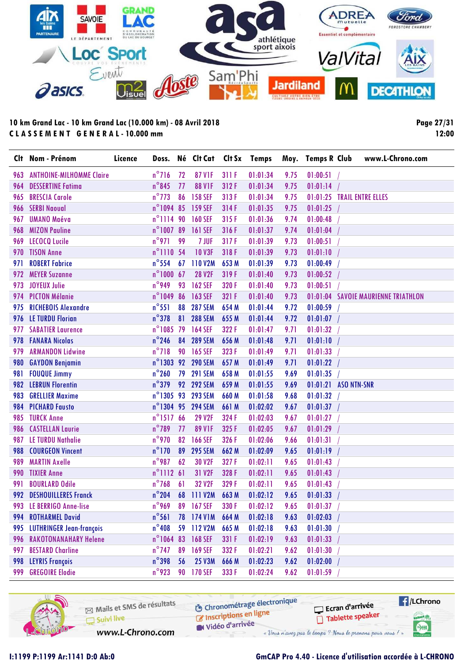

**Page 27/31 12:00**

| Clt | Nom - Prénom                    | Licence | Doss.               |    | Né Clt Cat        | Clt Sx | <b>Temps</b> | Moy. | <b>Temps R Club</b> |                    | www.L-Chrono.com                    |
|-----|---------------------------------|---------|---------------------|----|-------------------|--------|--------------|------|---------------------|--------------------|-------------------------------------|
| 963 | <b>ANTHOINE-MILHOMME Claire</b> |         | $n^{\circ}$ 716     | 72 | <b>87 V1F</b>     | 311 F  | 01:01:34     | 9.75 | 01:00:51            |                    |                                     |
| 964 | <b>DESSERTINE Fatima</b>        |         | $n^{\circ}$ 845     | 77 | <b>88 V1F</b>     | 312F   | 01:01:34     | 9.75 | 01:01:14            |                    |                                     |
| 965 | <b>BRESCIA Carole</b>           |         | $n^{\circ}$ 773     | 86 | <b>158 SEF</b>    | 313F   | 01:01:34     | 9.75 |                     |                    | 01:01:25 TRAIL ENTRE ELLES          |
| 966 | <b>SERBI Naoval</b>             |         | n°1094 85           |    | 159 SEF           | 314F   | 01:01:35     | 9.75 | 01:01:25            |                    |                                     |
| 967 | <b>UMANO Maéva</b>              |         | n°1114 90           |    | <b>160 SEF</b>    | 315F   | 01:01:36     | 9.74 | 01:00:48            |                    |                                     |
| 968 | <b>MIZON Pauline</b>            |         | n°100789            |    | 161 SEF           | 316F   | 01:01:37     | 9.74 | 01:01:04            |                    |                                     |
| 969 | <b>LECOCQ Lucile</b>            |         | $n^{\circ}$ 971     | 99 | 7 JUF             | 317F   | 01:01:39     | 9.73 | 01:00:51            |                    |                                     |
| 970 | <b>TISON Anne</b>               |         | n°1110 54           |    | <b>10 V3F</b>     | 318F   | 01:01:39     | 9.73 | 01:01:10            |                    |                                     |
| 971 | <b>ROBERT Fabrice</b>           |         | $n^{\circ}$ 554     | 67 | 110 V2M           | 653 M  | 01:01:39     | 9.73 | 01:00:49            |                    |                                     |
| 972 | <b>MEYER Suzanne</b>            |         | $n^{\circ}$ 1000 67 |    | <b>28 V2F</b>     | 319F   | 01:01:40     | 9.73 | 01:00:52            |                    |                                     |
| 973 | <b>JOYEUX Julie</b>             |         | $n^{\circ}$ 949     | 93 | <b>162 SEF</b>    | 320 F  | 01:01:40     | 9.73 | 01:00:51            |                    |                                     |
| 974 | <b>PICTON Mélanie</b>           |         | $n^{\circ}104986$   |    | 163 SEF           | 321 F  | 01:01:40     | 9.73 |                     |                    | 01:01:04 SAVOIE MAURIENNE TRIATHLON |
| 975 | <b>RICHEBOIS Alexandre</b>      |         | $n^{\circ}$ 551     | 88 | <b>287 SEM</b>    | 654 M  | 01:01:44     | 9.72 | 01:00:59            |                    |                                     |
| 976 | <b>LE TURDU Florian</b>         |         | $n^{\circ}$ 378     | 81 | <b>288 SEM</b>    | 655 M  | 01:01:44     | 9.72 | 01:01:07            |                    |                                     |
| 977 | <b>SABATIER Laurence</b>        |         | n°1085 79           |    | <b>164 SEF</b>    | 322 F  | 01:01:47     | 9.71 | 01:01:32            |                    |                                     |
| 978 | <b>FANARA Nicolas</b>           |         | $n^{\circ}$ 246     | 84 | <b>289 SEM</b>    | 656 M  | 01:01:48     | 9.71 | 01:01:10            |                    |                                     |
| 979 | <b>ARMANDON Lidwine</b>         |         | $n^{\circ}718$      | 90 | <b>165 SEF</b>    | 323F   | 01:01:49     | 9.71 | 01:01:33            |                    |                                     |
| 980 | <b>GAYDON Benjamin</b>          |         |                     |    | n°1303 92 290 SEM | 657 M  | 01:01:49     | 9.71 | 01:01:22            |                    |                                     |
| 981 | <b>FOUQUE Jimmy</b>             |         | $n^{\circ}$ 260     | 79 | <b>291 SEM</b>    | 658 M  | 01:01:55     | 9.69 | 01:01:35            |                    |                                     |
| 982 | <b>LEBRUN Florentin</b>         |         | $n^{\circ}$ 379     | 92 | <b>292 SEM</b>    | 659 M  | 01:01:55     | 9.69 | 01:01:21            | <b>ASO NTN-SNR</b> |                                     |
| 983 | <b>GRELLIER Maxime</b>          |         | $n^{\circ}$ 1305 93 |    | <b>293 SEM</b>    | 660 M  | 01:01:58     | 9.68 | 01:01:32            |                    |                                     |
| 984 | <b>PICHARD Fausto</b>           |         |                     |    | n°1304 95 294 SEM | 661 M  | 01:02:02     | 9.67 | 01:01:37            |                    |                                     |
| 985 | <b>TURCK Anne</b>               |         | n°1517 66           |    | <b>29 V2F</b>     | 324 F  | 01:02:03     | 9.67 | 01:01:27            |                    |                                     |
| 986 | <b>CASTELLAN Laurie</b>         |         | $n^{\circ}$ 789     | 77 | <b>89 V1F</b>     | 325F   | 01:02:05     | 9.67 | 01:01:29            |                    |                                     |
| 987 | <b>LE TURDU Nathalie</b>        |         | $n^{\circ}$ 970     | 82 | <b>166 SEF</b>    | 326 F  | 01:02:06     | 9.66 | 01:01:31            |                    |                                     |
| 988 | <b>COURGEON Vincent</b>         |         | $n^{\circ}$ 170     | 89 | <b>295 SEM</b>    | 662 M  | 01:02:09     | 9.65 | 01:01:19            |                    |                                     |
| 989 | <b>MARTIN Axelle</b>            |         | $n^{\circ}$ 987     | 62 | 30 V2F            | 327F   | 01:02:11     | 9.65 | 01:01:43            |                    |                                     |
| 990 | <b>TIXIER Anne</b>              |         | $n^{\circ}$ 1112 61 |    | 31 V2F            | 328 F  | 01:02:11     | 9.65 | 01:01:43            |                    |                                     |
| 991 | <b>BOURLARD Odile</b>           |         | $n^{\circ}$ 768     | 6  | 32 V2F            | 329F   | 01:02:11     | 9.65 | 01:01:43            |                    |                                     |
| 992 | <b>DESHOUILLERES Franck</b>     |         | $n^{\circ}$ 204     | 68 | 111 V2M           | 663 M  | 01:02:12     | 9.65 | 01:01:33            |                    |                                     |
| 993 | LE BERRIGO Anne-lise            |         | $n^{\circ}$ 969     | 89 | <b>167 SEF</b>    | 330 F  | 01:02:12     | 9.65 | 01:01:37            |                    |                                     |
| 994 | <b>ROTHARMEL David</b>          |         | $n^{\circ}$ 561     |    | 78 174 V1M        | 664 M  | 01:02:18     | 9.63 | 01:02:03            |                    |                                     |
| 995 | <b>LUTHRINGER Jean-françois</b> |         | $n^{\circ}$ 408     |    | 59 112 V2M        | 665 M  | 01:02:18     | 9.63 | 01:01:30            |                    |                                     |
| 996 | <b>RAKOTONANAHARY Helene</b>    |         | $n^{\circ}1064$ 83  |    | 168 SEF           | 331 F  | 01:02:19     | 9.63 | 01:01:33            |                    |                                     |
| 997 | <b>BESTARD Charline</b>         |         | $n^{\circ}$ 747     | 89 | <b>169 SEF</b>    | 332 F  | 01:02:21     | 9.62 | 01:01:30            |                    |                                     |
| 998 | <b>LEYRIS François</b>          |         | $n^{\circ}$ 398     | 56 | <b>25 V3M</b>     | 666 M  | 01:02:23     | 9.62 | 01:02:00            |                    |                                     |
| 999 | <b>GREGOIRE Elodie</b>          |         | $n^{\circ}$ 923     |    | 90 170 SEF        | 333 F  | 01:02:24     | 9.62 | 01:01:59            |                    |                                     |

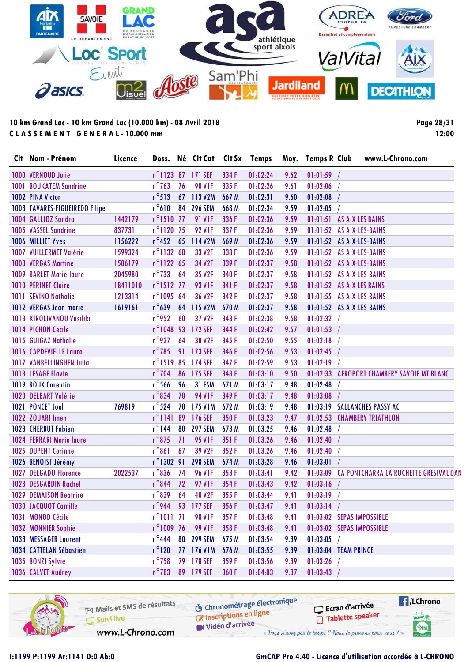

**Page 28/31 12:00**

|      | Clt Nom - Prénom                | Licence  |                     |    | Doss. Né Clt Cat  |       | Clt Sx Temps |      | Moy. Temps R Club         | www.L-Chrono.com                               |
|------|---------------------------------|----------|---------------------|----|-------------------|-------|--------------|------|---------------------------|------------------------------------------------|
|      | 1000 VERNOUD Julie              |          |                     |    | n°1123 87 171 SEF | 334 F | 01:02:24     | 9.62 | 01:01:59                  |                                                |
| 1001 | <b>BOUKATEM Sandrine</b>        |          | $n^{\circ}$ 763     | 76 | <b>90 V1F</b>     | 335 F | 01:02:26     | 9.61 | 01:02:06                  |                                                |
|      | <b>1002 PINA Victor</b>         |          | $n^{\circ}513$      | 67 | 113 V2M           | 667 M | 01:02:31     | 9.60 | 01:02:08                  |                                                |
|      | 1003 TAVARES-FIGUEIREDO Filipe  |          | $n^{\circ}610$      | 84 | <b>296 SEM</b>    | 668 M | 01:02:34     | 9.59 | 01:02:05                  |                                                |
|      | 1004 GALLIOZ Sandra             | 1442179  | n°1510 77           |    | <b>91 V1F</b>     | 336 F | 01:02:36     | 9.59 | 01:01:51 AS AIX LES BAINS |                                                |
|      | 1005 VASSEL Sandrine            | 837731   | n°1120 75           |    | <b>92 V1F</b>     | 337F  | 01:02:36     | 9.59 | 01:01:52 AS AIX-LES-BAINS |                                                |
|      | 1006 MILLIET Yves               | 1156222  | $n^{\circ}$ 452     | 65 | 114 V2M           | 669 M | 01:02:36     | 9.59 | 01:01:52 AS AIX-LES-BAINS |                                                |
| 1007 | <b>VUILLERMET Valérie</b>       | 1599324  | n°1132 68           |    | 33 V2F            | 338 F | 01:02:36     | 9.59 | 01:01:52 AS AIX-LES-BAINS |                                                |
|      | <b>1008 VERGAS Martine</b>      | 1506179  | $n^{\circ}$ 1122 65 |    | 34 V2F            | 339 F | 01:02:37     | 9.58 | 01:01:52 AS AIX-LES-BAINS |                                                |
|      | 1009 BARLET Marie-laure         | 2045980  | $n^{\circ}$ 733     | 64 | 35 V2F            | 340 F | 01:02:37     | 9.58 | 01:01:52 AS AIX-LES-BAINS |                                                |
|      | <b>1010 PERINET Claire</b>      | 18411010 | $n^{\circ}$ 1512 77 |    | <b>93 V1F</b>     | 341 F | 01:02:37     | 9.58 | 01:01:52 AS AIX LES BAINS |                                                |
|      | 1011 SEVINO Nathalie            | 1213314  | n°1095 64           |    | 36 V2F            | 342F  | 01:02:37     | 9.58 | 01:01:55 AS AIX-LES-BAINS |                                                |
|      | 1012 VERGAS Jean-marie          | 1619161  | $n^{\circ}639$      | 64 | 115 V2M           | 670 M | 01:02:37     | 9.58 | 01:01:52 AS AIX-LES-BAINS |                                                |
|      | 1013 KIROLIVANOU Vasiliki       |          | $n^{\circ}$ 952     | 60 | 37 V2F            | 343 F | 01:02:38     | 9.58 | 01:02:32                  |                                                |
|      | 1014 PICHON Cecile              |          | n°104893            |    | <b>172 SEF</b>    | 344 F | 01:02:42     | 9.57 | 01:01:53                  |                                                |
|      | 1015 GUIGAZ Nathalie            |          | $n^{\circ}$ 927     | 64 | 38 V2F            | 345 F | 01:02:50     | 9.55 | 01:02:18                  |                                                |
|      | 1016 CAPDEVIELLE Laura          |          | $n^{\circ}$ 785     | 91 | 173 SEF           | 346 F | 01:02:56     | 9.53 | 01:02:45                  |                                                |
|      | <b>1017 VANBELLINGHEN Julia</b> |          | $n^{\circ}$ 1519    | 85 | 174 SEF           | 347F  | 01:02:59     | 9.53 | 01:02:19                  |                                                |
|      | 1018 LESAGE Flavie              |          | $n^{\circ}$ 704     | 86 | 175 SEF           | 348 F | 01:03:10     | 9.50 |                           | 01:02:33 AEROPORT CHAMBERY SAVOIE MT BLANC     |
|      | 1019 ROUX Corentin              |          | $n^{\circ}$ 566     | 96 | 31 ESM            | 671 M | 01:03:17     | 9.48 | 01:02:48                  |                                                |
|      | 1020 DELBART Valérie            |          | $n^{\circ}$ 834     | 70 | <b>94 V1F</b>     | 349 F | 01:03:17     | 9.48 | 01:03:08                  |                                                |
|      | 1021 PONCET Joel                | 769819   | $n^{\circ}$ 524     | 70 | <b>175 V1M</b>    | 672 M | 01:03:19     | 9.48 |                           | 01:03:19 SALLANCHES PASSY AC                   |
|      | 1022 ZOUARI Imen                |          | $n^{\circ}$ 1141    | 89 | 176 SEF           | 350 F | 01:03:23     | 9.47 |                           | 01:02:53 CHAMBERY TRIATHLON                    |
|      | <b>1023 CHERBUT Fabien</b>      |          | $n^{\circ}$ 144     | 80 | <b>297 SEM</b>    | 673 M | 01:03:25     | 9.46 | 01:02:48                  |                                                |
|      | <b>1024 FERRARI Marie laure</b> |          | $n^{\circ}$ 875     | 71 | <b>95 V1F</b>     | 351 F | 01:03:26     | 9.46 | 01:02:40                  |                                                |
|      | 1025 DUPENT Corinne             |          | $n^{\circ}861$      | 67 | 39 V2F            | 352F  | 01:03:26     | 9.46 | 01:02:40                  |                                                |
|      | 1026 BENOIST Jérémy             |          | $n^{\circ}$ 1302 91 |    | <b>298 SEM</b>    | 674 M | 01:03:28     | 9.46 | 01:03:01                  |                                                |
|      | 1027 DELGADO Florence           | 2022537  | $n^{\circ}$ 836     | 74 | <b>96 V1F</b>     | 353F  | 01:03:41     | 9.42 |                           | 01:03:09 CA PONTCHARRA LA ROCHETTE GRESIVAUDAN |
|      | 1028 DESGARDIN Rachel           |          | $n^{\circ}$ 844     | 72 | <b>97 V1F</b>     | 354 F | 01:03:43     | 9.42 | 01:03:16                  |                                                |
|      | <b>1029 DEMAISON Beatrice</b>   |          | $n^{\circ}839$      | 64 | <b>40 V2F</b>     | 355F  | 01:03:44     | 9.41 | 01:03:19                  |                                                |
|      | 1030 JACQUOT Camille            |          |                     |    | n°944 93 177 SEF  | 356 F | 01:03:47     | 9.41 | 01:03:14                  |                                                |
|      | 1031 MONOD Cécile               |          | $n^{\circ}1011$ 71  |    | <b>98 V1F</b>     | 357F  | 01:03:48     | 9.41 | 01:03:02 SEPAS IMPOSSIBLE |                                                |
|      | 1032 MONNIER Sophie             |          | n°1009 76           |    | <b>99 V1F</b>     | 358 F | 01:03:48     | 9.41 | 01:03:02 SEPAS IMPOSSIBLE |                                                |
|      | 1033 MESSAGER Laurent           |          | $n^{\circ}$ 444     | 80 | <b>299 SEM</b>    | 675 M | 01:03:54     | 9.39 | 01:03:05                  |                                                |
|      | 1034 CATTELAN Sébastien         |          | $n^{\circ}120$      |    | 77 176 V1M        | 676 M | 01:03:55     | 9.39 | 01:03:04 TEAM PRINCE      |                                                |
|      | 1035 BONZI Sylvie               |          | $n^{\circ}$ 758     |    | 79 178 SEF        | 359F  | 01:03:56     | 9.39 | 01:03:26                  |                                                |
|      | 1036 CALVET Audrey              |          | $n^{\circ}$ 783     |    | 89 179 SEF        | 360 F | 01:04:03     | 9.37 | 01:03:43                  |                                                |

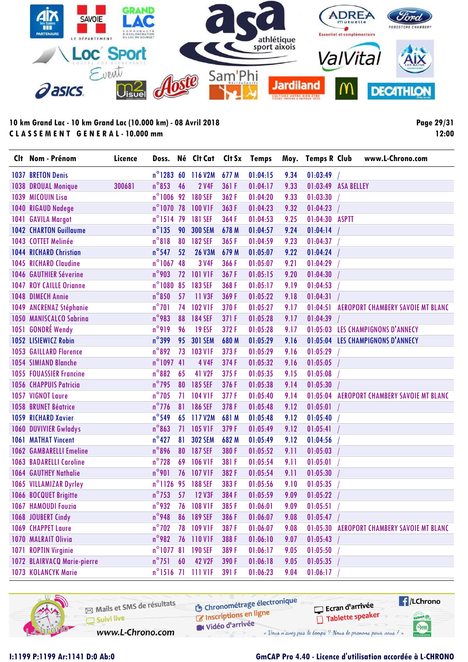

**Page 29/31 12:00**

| Clt Nom - Prénom               | Licence | Doss.               |    | Né Clt Cat Clt Sx Temps |       |          |      | Moy. Temps R Club   | www.L-Chrono.com                           |
|--------------------------------|---------|---------------------|----|-------------------------|-------|----------|------|---------------------|--------------------------------------------|
| 1037 BRETON Denis              |         |                     |    | n°1283 60 116 V2M       | 677 M | 01:04:15 | 9.34 | 01:03:49            |                                            |
| 1038 DROUAL Monique            | 300681  | $n^{\circ}853$      | 46 | <b>2 V4F</b>            | 361 F | 01:04:17 | 9.33 | 01:03:49 ASA BELLEY |                                            |
| 1039 MICOUIN Lisa              |         | $n^{\circ}1006$     | 92 | <b>180 SEF</b>          | 362F  | 01:04:20 | 9.33 | 01:03:30            |                                            |
| 1040 RIGAUD Nadege             |         | $n^{\circ}$ 1070 78 |    | <b>100 V1F</b>          | 363F  | 01:04:23 | 9.32 | 01:04:23            |                                            |
| 1041 GAVILA Margot             |         | $n^{\circ}$ 1514    | 79 | <b>181 SEF</b>          | 364F  | 01:04:53 | 9.25 | 01:04:30 ASPTT      |                                            |
| <b>1042 CHARTON Guillaume</b>  |         | $n^{\circ}$ 135     | 90 | <b>300 SEM</b>          | 678 M | 01:04:57 | 9.24 | 01:04:14            |                                            |
| 1043 COTTET Melinée            |         | $n^{\circ}818$      | 80 | <b>182 SEF</b>          | 365F  | 01:04:59 | 9.23 | 01:04:37            |                                            |
| <b>1044 RICHARD Christian</b>  |         | $n^{\circ}$ 547     | 52 | <b>26 V3M</b>           | 679 M | 01:05:07 | 9.22 | 01:04:24            |                                            |
| <b>1045 RICHARD Claudine</b>   |         | $n^{\circ}1067$     | 48 | 3 V4F                   | 366F  | 01:05:07 | 9.21 | 01:04:29            |                                            |
| 1046 GAUTHIER Séverine         |         | $n^{\circ}$ 903     | 72 | <b>101 V1F</b>          | 367F  | 01:05:15 | 9.20 | 01:04:30            |                                            |
| <b>1047 ROY CAILLE Orignne</b> |         | $n^{\circ}1080$     | 85 | <b>183 SEF</b>          | 368F  | 01:05:17 | 9.19 | 01:04:53            |                                            |
| <b>1048 DIMECH Annie</b>       |         | $n^{\circ}850$      | 57 | 11 V3F                  | 369F  | 01:05:22 | 9.18 | 01:04:31            |                                            |
| 1049 ANCRENAZ Stéphanie        |         | $n^{\circ}701$      | 74 | <b>102 V1F</b>          | 370F  | 01:05:27 | 9.17 | 01:04:51            | AEROPORT CHAMBERY SAVOIE MT BLANC          |
| 1050 MANISCALCO Sabrina        |         | $n^{\circ}$ 983     | 88 | <b>184 SEF</b>          | 371 F | 01:05:28 | 9.17 | 01:04:39            |                                            |
| 1051 GONDRÉ Wendy              |         | $n^{\circ}919$      | 96 | <b>19 ESF</b>           | 372F  | 01:05:28 | 9.17 |                     | 01:05:03 LES CHAMPIGNONS D'ANNECY          |
| 1052 LISIEWICZ Robin           |         | $n^{\circ}$ 399     | 95 | <b>301 SEM</b>          | 680 M | 01:05:29 | 9.16 |                     | 01:05:04 LES CHAMPIGNONS D'ANNECY          |
| <b>1053 GAILLARD Florence</b>  |         | $n^{\circ}892$      | 73 | <b>103 V1F</b>          | 373F  | 01:05:29 | 9.16 | 01:05:29            |                                            |
| <b>1054 SIMIAND Blanche</b>    |         | $n^{\circ}1097$ 41  |    | <b>4 V4F</b>            | 374F  | 01:05:32 | 9.16 | 01:05:05            |                                            |
| <b>1055 FOUASSIER Francine</b> |         | $n^{\circ}882$      | 65 | 41 V2F                  | 375F  | 01:05:35 | 9.15 | 01:05:08            |                                            |
| <b>1056 CHAPPUIS Patricia</b>  |         | $n^{\circ}$ 795     | 80 | <b>185 SEF</b>          | 376F  | 01:05:38 | 9.14 | 01:05:30            |                                            |
| 1057 VIGNOT Laure              |         | $n^{\circ}$ 705     | 71 | <b>104 V1F</b>          | 377F  | 01:05:40 | 9.14 | 01:05:04            | <b>AEROPORT CHAMBERY SAVOIE MT BLANC</b>   |
| <b>1058 BRUNET Béatrice</b>    |         | $n^{\circ}$ 776     | 81 | <b>186 SEF</b>          | 378F  | 01:05:48 | 9.12 | 01:05:01            |                                            |
| 1059 RICHARD Xavier            |         | $n^{\circ}$ 549     | 65 | 117 V2M                 | 681 M | 01:05:48 | 9.12 | 01:05:40            |                                            |
| 1060 DUVIVIER Gwladys          |         | $n^{\circ}863$      | 71 | <b>105 V1F</b>          | 379F  | 01:05:49 | 9.12 | 01:05:41            |                                            |
| <b>1061 MATHAT Vincent</b>     |         | $n^{\circ}427$      | 81 | <b>302 SEM</b>          | 682 M | 01:05:49 | 9.12 | 01:04:56            |                                            |
| <b>1062 GAMBARELLI Emeline</b> |         | $n^{\circ}$ 896     | 80 | <b>187 SEF</b>          | 380 F | 01:05:52 | 9.11 | 01:05:03            |                                            |
| <b>1063 BADARELLI Caroline</b> |         | $n^{\circ}$ 728     | 69 | <b>106 V1F</b>          | 381 F | 01:05:54 | 9.11 | 01:05:01            |                                            |
| <b>1064 GAUTHEY Nathalie</b>   |         | $n^{\circ}$ 901     | 76 | <b>107 V1F</b>          | 382F  | 01:05:54 | 9.11 | 01:05:30            |                                            |
| 1065 VILLAMIZAR Dyrley         |         | n°1126 95           |    | <b>188 SEF</b>          | 383F  | 01:05:56 | 9.10 | 01:05:35            |                                            |
| 1066 BOCQUET Brigitte          |         | $n^{\circ}$ 753     | 57 | <b>12 V3F</b>           | 384F  | 01:05:59 | 9.09 | 01:05:22            |                                            |
| 1067 HAMOUDI Fouzia            |         | $n^{\circ}$ 932     | 76 | <b>108 V1F</b>          | 385F  | 01:06:01 | 9.09 | 01:05:51            |                                            |
| 1068 JOUBERT Cindy             |         | $n^{\circ}$ 948     | 86 | <b>189 SEF</b>          | 386 F | 01:06:07 | 9.08 | 01:05:47            |                                            |
| 1069 CHAPPET Laure             |         | $n^{\circ}$ 702     | 78 | <b>109 V1F</b>          | 387F  | 01:06:07 | 9.08 |                     | 01:05:30 AEROPORT CHAMBERY SAVOIE MT BLANC |
| 1070 MALRAIT Olivia            |         | $n^{\circ}$ 982     | 76 | 110 V1F                 | 388F  | 01:06:10 | 9.07 | 01:05:43            |                                            |
| 1071 ROPTIN Virginie           |         | $n^{\circ}$ 1077 81 |    | <b>190 SEF</b>          | 389F  | 01:06:17 | 9.05 | 01:05:50            |                                            |
| 1072 BLAIRVACQ Marie-pierre    |         | $n^{\circ}$ 751     | 60 | <b>42 V2F</b>           | 390 F | 01:06:18 | 9.05 | 01:05:35            |                                            |
| 1073 KOLANCYK Marie            |         |                     |    | n°1516 71 111 VIF       | 391 F | 01:06:23 | 9.04 | 01:06:17            |                                            |

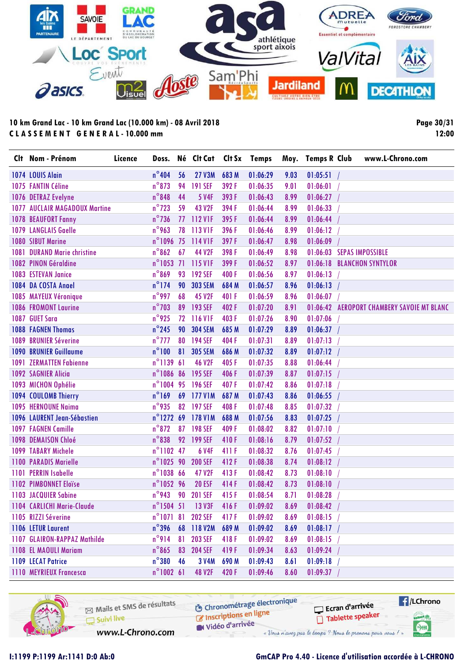

**Page 30/31 12:00**

|      | Clt Nom - Prénom                     | Licence | Doss.               |    | Né Clt Cat     | Clt Sx | <b>Temps</b> |      | Moy. Temps R Club         | www.L-Chrono.com                           |
|------|--------------------------------------|---------|---------------------|----|----------------|--------|--------------|------|---------------------------|--------------------------------------------|
|      | 1074 LOUIS Alain                     |         | $n^{\circ}$ 404     | 56 | <b>27 V3M</b>  | 683 M  | 01:06:29     | 9.03 | 01:05:51                  |                                            |
|      | 1075 FANTIN Céline                   |         | $n^{\circ}$ 873     | 94 | <b>191 SEF</b> | 392F   | 01:06:35     | 9.01 | 01:06:01                  |                                            |
|      | 1076 DETRAZ Evelyne                  |         | $n^{\circ}$ 848     | 44 | <b>5 V4F</b>   | 393F   | 01:06:43     | 8.99 | 01:06:27                  |                                            |
|      | <b>1077 AUCLAIR MAGADOUX Martine</b> |         | $n^{\circ}$ 723     | 59 | <b>43 V2F</b>  | 394F   | 01:06:44     | 8.99 | 01:06:33                  |                                            |
|      | <b>1078 BEAUFORT Fanny</b>           |         | $n^{\circ}$ 736     | 77 | 112 VIF        | 395F   | 01:06:44     | 8.99 | 01:06:44                  |                                            |
|      | <b>1079 LANGLAIS Gaelle</b>          |         | $n^{\circ}$ 963     | 78 | 113 V1F        | 396 F  | 01:06:46     | 8.99 | 01:06:12                  |                                            |
|      | 1080 SIBUT Marine                    |         | n°1096 75           |    | 114 V1F        | 397F   | 01:06:47     | 8.98 | 01:06:09                  |                                            |
| 1081 | <b>DURAND Marie christine</b>        |         | $n^{\circ}862$      | 67 | 44 V2F         | 398 F  | 01:06:49     | 8.98 | 01:06:03 SEPAS IMPOSSIBLE |                                            |
|      | 1082 PINON Géraldine                 |         | $n^{\circ}$ 1053 71 |    | 115 VIF        | 399 F  | 01:06:52     | 8.97 |                           | 01:06:18 BLANCHON SYNTYLOR                 |
|      | 1083 ESTEVAN Janice                  |         | $n^{\circ}869$      | 93 | <b>192 SEF</b> | 400F   | 01:06:56     | 8.97 | 01:06:13                  |                                            |
|      | 1084 DA COSTA Anael                  |         | $n^{\circ}$ 174     | 90 | <b>303 SEM</b> | 684 M  | 01:06:57     | 8.96 | 01:06:13                  |                                            |
|      | 1085 MAYEUX Véronique                |         | $n^{\circ}$ 997     | 68 | 45 V2F         | 401 F  | 01:06:59     | 8.96 | 01:06:07                  |                                            |
|      | <b>1086 FROMONT Laurine</b>          |         | $n^{\circ}$ 703     | 89 | <b>193 SEF</b> | 402F   | 01:07:20     | 8.91 |                           | 01:06:42 AEROPORT CHAMBERY SAVOIE MT BLANC |
| 1087 | <b>GUET Sara</b>                     |         | $n^{\circ}$ 925     | 72 | 116 VIF        | 403F   | 01:07:26     | 8.90 | 01:07:06                  |                                            |
|      | <b>1088 FAGNEN Thomas</b>            |         | $n^{\circ}$ 245     | 90 | <b>304 SEM</b> | 685 M  | 01:07:29     | 8.89 | 01:06:37                  |                                            |
| 1089 | <b>BRUNIER Séverine</b>              |         | $n^{\circ}$ 777     | 80 | <b>194 SEF</b> | 404F   | 01:07:31     | 8.89 | 01:07:13                  |                                            |
|      | <b>1090 BRUNIER Guillaume</b>        |         | $n^{\circ}100$      | 81 | <b>305 SEM</b> | 686 M  | 01:07:32     | 8.89 | 01:07:12                  |                                            |
| 1091 | <b>ZERMATTEN Fabienne</b>            |         | $n^{\circ}113961$   |    | <b>46 V2F</b>  | 405F   | 01:07:35     | 8.88 | 01:06:44                  |                                            |
|      | <b>1092 SAGNIER Alicia</b>           |         | n°1086 86           |    | <b>195 SEF</b> | 406F   | 01:07:39     | 8.87 | 01:07:15                  |                                            |
|      | 1093 MICHON Ophélie                  |         | n°1004 95           |    | <b>196 SEF</b> | 407F   | 01:07:42     | 8.86 | 01:07:18                  |                                            |
|      | 1094 COULOMB Thierry                 |         | $n^{\circ}$ 169     | 69 | <b>177 V1M</b> | 687 M  | 01:07:43     | 8.86 | 01:06:55                  |                                            |
|      | 1095 HERNOUNE Naima                  |         | $n^{\circ}$ 935     | 82 | <b>197 SEF</b> | 408F   | 01:07:48     | 8.85 | 01:07:32                  |                                            |
|      | 1096 LAURENT Jean-Sébastien          |         | $n^{\circ}$ 1272    | 69 | <b>178 V1M</b> | 688 M  | 01:07:56     | 8.83 | 01:07:25                  |                                            |
|      | <b>1097 FAGNEN Camille</b>           |         | $n^{\circ}872$      | 87 | <b>198 SEF</b> | 409F   | 01:08:02     | 8.82 | 01:07:10                  |                                            |
|      | 1098 DEMAISON Chloé                  |         | $n^{\circ}$ 838     | 92 | <b>199 SEF</b> | 410F   | 01:08:16     | 8.79 | 01:07:52                  |                                            |
|      | 1099 TABARY Michele                  |         | $n^{\circ}$ 1102 47 |    | <b>6 V4F</b>   | 411 F  | 01:08:32     | 8.76 | 01:07:45                  |                                            |
|      | <b>1100 PARADIS Marielle</b>         |         | n°1025 90           |    | <b>200 SEF</b> | 412F   | 01:08:38     | 8.74 | 01:08:12                  |                                            |
| 1101 | <b>PERRIN Isabelle</b>               |         | $n^{\circ}$ 1038 66 |    | 47 V2F         | 413F   | 01:08:42     | 8.73 | 01:08:10                  |                                            |
|      | 1102 PIMBONNET Eloïse                |         | n°1052 96           |    | <b>20 ESF</b>  | 414F   | 01:08:42     | 8.73 | 01:08:10                  |                                            |
|      | <b>1103 JACQUIER Sabine</b>          |         | $n^{\circ}$ 943     | 90 | <b>201 SEF</b> | 415F   | 01:08:54     | 8.71 | 01:08:28                  |                                            |
|      | 1104 CARLICHI Marie-Claude           |         | $n^{\circ}1504$ 51  |    | <b>13 V3F</b>  | 416 F  | 01:09:02     | 8.69 | 01:08:42                  |                                            |
|      | 1105 RIZZI Séverine                  |         | $n^{\circ}107181$   |    | <b>202 SEF</b> | 417F   | 01:09:02     | 8.69 | 01:08:15                  |                                            |
|      | 1106 LETUR Laurent                   |         | $n^{\circ}$ 396     |    | 68 118 V2M     | 689 M  | 01:09:02     | 8.69 | 01:08:17                  |                                            |
|      | 1107 GLAIRON-RAPPAZ Mathilde         |         | $n^{\circ}$ 914     | 81 | <b>203 SEF</b> | 418F   | 01:09:02     | 8.69 | 01:08:15                  |                                            |
|      | <b>1108 EL MAOULI Mariam</b>         |         | $n^{\circ}865$      | 83 | <b>204 SEF</b> | 419F   | 01:09:34     | 8.63 | 01:09:24                  |                                            |
|      | 1109 LECAT Patrice                   |         | $n^{\circ}380$      | 46 | 3 V4M          | 690 M  | 01:09:43     | 8.61 | 01:09:18                  |                                            |
|      | <b>1110 MEYRIEUX Francesca</b>       |         | $n^{\circ}1002$ 61  |    | <b>48 V2F</b>  | 420 F  | 01:09:46     | 8.60 | 01:09:37                  |                                            |